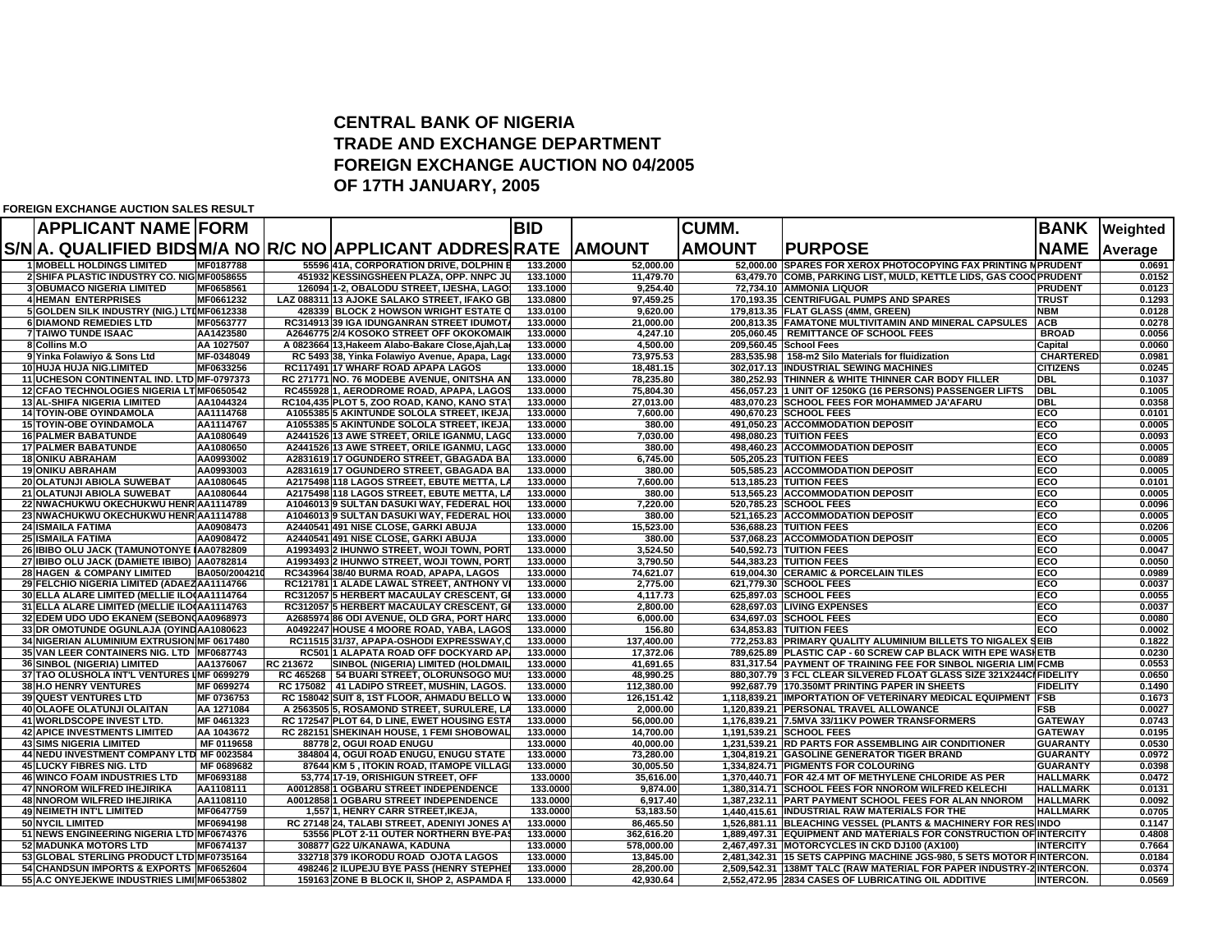## **CENTRAL BANK OF NIGERIATRADE AND EXCHANGE DEPARTMENTFOREIGN EXCHANGE AUCTION NO 04/2005 OF 17TH JANUARY, 2005**

**FOREIGN EXCHANGE AUCTION SALES RESULT**

| <b>APPLICANT NAME FORM</b>                                   |                        |           |                                                                                        | <b>BID</b>           |                        | <b>CUMM.</b>  |                                                                                                                                     |                   | <b>BANK Weighted</b> |
|--------------------------------------------------------------|------------------------|-----------|----------------------------------------------------------------------------------------|----------------------|------------------------|---------------|-------------------------------------------------------------------------------------------------------------------------------------|-------------------|----------------------|
|                                                              |                        |           | S/NA. QUALIFIED BIDSM/A NO R/C NO APPLICANT ADDRES RATE                                |                      | <b>AMOUNT</b>          | <b>AMOUNT</b> | <b>IPURPOSE</b>                                                                                                                     | <b>NAME</b>       | Average              |
| <b>1 MOBELL HOLDINGS LIMITED</b>                             | MF0187788              |           | 55596 41A, CORPORATION DRIVE, DOLPHIN E                                                | 133.2000             | 52,000.00              |               | 52,000.00 SPARES FOR XEROX PHOTOCOPYING FAX PRINTING MPRUDENT                                                                       |                   | 0.0691               |
| 2 SHIFA PLASTIC INDUSTRY CO. NIG MF0058655                   |                        |           | 451932 KESSINGSHEEN PLAZA, OPP. NNPC JU                                                | 133.1000             | 11,479.70              |               | 63,479.70 COMB, PARKING LIST, MULD, KETTLE LIDS, GAS COOC PRUDENT                                                                   |                   | 0.0152               |
| <b>3 OBUMACO NIGERIA LIMITED</b>                             | MF0658561              |           | 126094 1-2, OBALODU STREET, IJESHA, LAGOS                                              | 133.1000             | 9.254.40               |               | 72,734.10 AMMONIA LIQUOR                                                                                                            | <b>PRUDENT</b>    | 0.0123               |
| <b>4 HEMAN ENTERPRISES</b>                                   | MF0661232              |           | LAZ 088311 13 AJOKE SALAKO STREET. IFAKO GB.                                           | 133.0800             | 97.459.25              |               | 170.193.35 CENTRIFUGAL PUMPS AND SPARES                                                                                             | <b>TRUST</b>      | 0.1293               |
| 5 GOLDEN SILK INDUSTRY (NIG.) LTIMF0612338                   |                        |           | 428339 BLOCK 2 HOWSON WRIGHT ESTATE O                                                  | 133.0100             | 9.620.00               |               | 179.813.35 FLAT GLASS (4MM, GREEN)                                                                                                  | <b>NBM</b>        | 0.0128               |
| <b>6 DIAMOND REMEDIES LTD</b>                                | MF0563777              |           | RC314913 39 IGA IDUNGANRAN STREET IDUMOT.                                              | 133.0000             | 21.000.00              |               | 200,813.35 FAMATONE MULTIVITAMIN AND MINERAL CAPSULES                                                                               | <b>ACB</b>        | 0.0278               |
| <b>7 TAIWO TUNDE ISAAC</b>                                   | AA1423580              |           | A2646775 2/4 KOSOKO STREET OFF OKOKOMAIP                                               | 133.0000             | 4.247.10               |               | 205,060.45   REMITTANCE OF SCHOOL FEES                                                                                              | <b>BROAD</b>      | 0.0056               |
| 8 Collins M.O                                                | AA 1027507             |           | A 0823664 13, Hakeem Alabo-Bakare Close, Ajah, Lag                                     | 133.0000             | 4.500.00               |               | 209,560.45 School Fees                                                                                                              | Capital           | 0.0060               |
| 9 Yinka Folawiyo & Sons Ltd                                  | MF-0348049             |           | RC 5493 38, Yinka Folawiyo Avenue, Apapa, Lago                                         | 133.0000             | 73,975.53              |               | 283,535.98 158-m2 Silo Materials for fluidization                                                                                   | <b>CHARTERED</b>  | 0.0981               |
| 10 HUJA HUJA NIG.LIMITED                                     | MF0633256              |           | RC117491 17 WHARF ROAD APAPA LAGOS                                                     | 133.0000             | 18,481.15              |               | 302,017.13 INDUSTRIAL SEWING MACHINES                                                                                               | <b>CITIZENS</b>   | 0.0245               |
| 11 UCHESON CONTINENTAL IND. LTD MF-0797373                   |                        |           | RC 271771 NO. 76 MODEBE AVENUE, ONITSHA AN                                             | 133.0000             | 78,235.80              |               | 380,252.93 THINNER & WHITE THINNER CAR BODY FILLER                                                                                  | <b>DBI</b>        | 0.1037               |
| 12 CFAO TECHNOLOGIES NIGERIA LTMF0650542                     |                        |           | RC455928 1, AERODROME ROAD, APAPA, LAGOS                                               | 133.0000             | 75,804.30              |               | 456,057.23 1 UNIT OF 1250KG (16 PERSONS) PASSENGER LIFTS                                                                            | <b>DBL</b>        | 0.1005               |
| <b>13 AL-SHIFA NIGERIA LIMITED</b>                           | AA1044324              |           | RC104,435 PLOT 5, ZOO ROAD, KANO, KANO STA                                             | 133,0000<br>133.0000 | 27.013.00<br>7.600.00  |               | 483,070.23 SCHOOL FEES FOR MOHAMMED JA'AFARU<br>490.670.23 SCHOOL FEES                                                              | <b>DBL</b><br>ECO | 0.0358<br>0.0101     |
| <b>14 TOYIN-OBE OYINDAMOLA</b>                               | AA1114768              |           | A1055385 5 AKINTUNDE SOLOLA STREET, IKEJA<br>A1055385 5 AKINTUNDE SOLOLA STREET, IKEJA | 133.0000             |                        |               | 491,050.23 ACCOMMODATION DEPOSIT                                                                                                    | ECO               | 0.0005               |
| <b>15 TOYIN-OBE OYINDAMOLA</b><br><b>16 PALMER BABATUNDE</b> | AA1114767<br>AA1080649 |           | A2441526 13 AWE STREET, ORILE IGANMU, LAGO                                             | 133.0000             | 380.00<br>7,030.00     |               | 498,080.23 TUITION FEES                                                                                                             | ECO               | 0.0093               |
| <b>17 PALMER BABATUNDE</b>                                   | AA1080650              |           | A2441526 13 AWE STREET, ORILE IGANMU, LAGO                                             | 133.0000             | 380.00                 |               | 498.460.23 ACCOMMODATION DEPOSIT                                                                                                    | ECO               | 0.0005               |
| <b>18 ONIKU ABRAHAM</b>                                      | AA0993002              |           | A2831619 17 OGUNDERO STREET, GBAGADA BA                                                | 133.0000             | 6,745.00               |               | 505.205.23 TUITION FEES                                                                                                             | ECO               | 0.0089               |
| <b>19 ONIKU ABRAHAM</b>                                      | AA0993003              |           | A2831619 17 OGUNDERO STREET, GBAGADA BA                                                | 133.0000             | 380.00                 |               | 505.585.23 ACCOMMODATION DEPOSIT                                                                                                    | ECO               | 0.0005               |
| 20 OLATUNJI ABIOLA SUWEBAT                                   | AA1080645              |           | A2175498 118 LAGOS STREET, EBUTE METTA, LA                                             | 133.0000             | 7.600.00               |               | 513,185.23 TUITION FEES                                                                                                             | ECO               | 0.0101               |
| 21 OLATUNJI ABIOLA SUWEBAT                                   | AA1080644              |           | A2175498 118 LAGOS STREET, EBUTE METTA, LA                                             | 133.0000             | 380.00                 |               | 513,565.23 ACCOMMODATION DEPOSIT                                                                                                    | ECO               | 0.0005               |
| 22 NWACHUKWU OKECHUKWU HENR AA1114789                        |                        |           | A1046013 9 SULTAN DASUKI WAY, FEDERAL HOL                                              | 133.0000             | 7.220.00               |               | 520,785.23 SCHOOL FEES                                                                                                              | ECO               | 0.0096               |
| 23 NWACHUKWU OKECHUKWU HENR AA1114788                        |                        |           | A1046013 9 SULTAN DASUKI WAY, FEDERAL HOL                                              | 133.0000             | 380.00                 |               | 521,165.23 ACCOMMODATION DEPOSIT                                                                                                    | ECO               | 0.0005               |
| <b>24 ISMAILA FATIMA</b>                                     | AA0908473              |           | A2440541 491 NISE CLOSE, GARKI ABUJA                                                   | 133.0000             | 15.523.00              |               | 536.688.23 TUITION FEES                                                                                                             | ECO               | 0.0206               |
| <b>25 ISMAILA FATIMA</b>                                     | AA0908472              |           | A2440541 491 NISE CLOSE, GARKI ABUJA                                                   | 133.0000             | 380.00                 |               | 537,068.23 ACCOMMODATION DEPOSIT                                                                                                    | ECO               | 0.0005               |
| 26 IBIBO OLU JACK (TAMUNOTONYE IAA0782809                    |                        |           | A1993493 2 IHUNWO STREET, WOJI TOWN, PORT                                              | 133.0000             | 3,524.50               |               | 540,592.73 TUITION FEES                                                                                                             | ECO               | 0.0047               |
| 27 IBIBO OLU JACK (DAMIETE IBIBO)   AA0782814                |                        |           | A1993493 2 IHUNWO STREET, WOJI TOWN, PORT                                              | 133.0000             | 3.790.50               |               | 544.383.23 TUITION FEES                                                                                                             | ECO               | 0.0050               |
| <b>28 HAGEN &amp; COMPANY LIMITED</b>                        | BA050/200421           |           | RC343964 38/40 BURMA ROAD, APAPA, LAGOS                                                | 133,0000             | 74.621.07              |               | 619,004.30 CERAMIC & PORCELAIN TILES                                                                                                | ECO               | 0.0989               |
| 29 FELCHIO NIGERIA LIMITED (ADAEZAA1114766                   |                        |           | RC12178111 ALADE LAWAL STREET, ANTHONY                                                 | 133.0000             | 2.775.00               |               | 621.779.30 SCHOOL FEES                                                                                                              | <b>ECO</b>        | 0.0037               |
| 30 ELLA ALARE LIMITED (MELLIE ILO (AA1114764                 |                        |           | RC312057 5 HERBERT MACAULAY CRESCENT, GI                                               | 133.0000             | 4.117.73               |               | 625,897.03 SCHOOL FEES                                                                                                              | ECO               | 0.0055               |
| 31 ELLA ALARE LIMITED (MELLIE ILO AA1114763                  |                        |           | RC312057 5 HERBERT MACAULAY CRESCENT, GI                                               | 133.0000             | 2.800.00               |               | 628,697.03 LIVING EXPENSES                                                                                                          | <b>ECO</b>        | 0.0037               |
| 32 EDEM UDO UDO EKANEM (SEBON)AA0968973                      |                        |           | A2685974 86 ODI AVENUE, OLD GRA, PORT HARO                                             | 133.0000             | 6.000.00               |               | 634,697.03 SCHOOL FEES                                                                                                              | ECO               | 0.0080               |
| 33 DR OMOTUNDE OGUNLAJA (OYINDAA1080623                      |                        |           | A0492247 HOUSE 4 MOORE ROAD, YABA, LAGOS                                               | 133.0000             | 156.80                 |               | 634.853.83 TUITION FEES                                                                                                             | ECO               | 0.0002               |
| 34 NIGERIAN ALUMINIUM EXTRUSION MF 0617480                   |                        |           | RC11515 31/37. APAPA-OSHODI EXPRESSWAY.C                                               | 133.0000             | 137.400.00             |               | 772.253.83 PRIMARY QUALITY ALUMINIUM BILLETS TO NIGALEX SEIB                                                                        |                   | 0.1822               |
| 35 VAN LEER CONTAINERS NIG. LTD MF0687743                    |                        |           | RC501 1 ALAPATA ROAD OFF DOCKYARD AP/                                                  | 133.0000             | 17,372.06              |               | 789,625.89 PLASTIC CAP - 60 SCREW CAP BLACK WITH EPE WASHETB                                                                        |                   | 0.0230               |
| <b>36 SINBOL (NIGERIA) LIMITED</b>                           | AA1376067              | RC 213672 | SINBOL (NIGERIA) LIMITED (HOLDMAIL                                                     | 133.0000             | 41,691.65              |               | 831,317.54 PAYMENT OF TRAINING FEE FOR SINBOL NIGERIA LIMIFCMB                                                                      |                   | 0.0553               |
| 37 TAO OLUSHOLA INT'L VENTURES IMF 0699279                   |                        |           | RC 465268   54 BUARI STREET, OLORUNSOGO MUS                                            | 133.0000             | 48,990.25              |               | 880,307.79 3 FCL CLEAR SILVERED FLOAT GLASS SIZE 321X244CI FIDELITY                                                                 |                   | 0.0650               |
| <b>38 H.O HENRY VENTURES</b>                                 | MF 0699274             |           | RC 175082 41 LADIPO STREET, MUSHIN, LAGOS.                                             | 133.0000             | 112.380.00             |               | 992.687.79 170.350MT PRINTING PAPER IN SHEETS                                                                                       | <b>FIDELITY</b>   | 0.1490               |
| <b>39 QUEST VENTURES LTD</b>                                 | MF 0736753             |           | RC 158042 SUIT 8, 1ST FLOOR, AHMADU BELLO W                                            | 133,0000             | 126.151.42             |               | 1,118,839.21 IMPORTATION OF VETERINARY MEDICAL EQUIPMENT                                                                            | <b>IFSB</b>       | 0.1673               |
| 40 OLAOFE OLATUNJI OLAITAN                                   | AA 1271084             |           | A 2563505 5, ROSAMOND STREET, SURULERE, LA                                             | 133.0000             | 2,000.00               |               | 1,120,839.21 PERSONAL TRAVEL ALLOWANCE                                                                                              | <b>FSB</b>        | 0.0027               |
| 41 WORLDSCOPE INVEST LTD.                                    | MF 0461323             |           | RC 172547 PLOT 64, D LINE, EWET HOUSING ESTA                                           | 133,0000             | 56.000.00              |               | 1,176,839.21 7.5MVA 33/11KV POWER TRANSFORMERS                                                                                      | <b>GATEWAY</b>    | 0.0743               |
| <b>42 APICE INVESTMENTS LIMITED</b>                          | AA 1043672             |           | RC 282151 SHEKINAH HOUSE, 1 FEMI SHOBOWAL                                              | 133.0000             | 14.700.00              |               | 1,191,539.21 SCHOOL FEES                                                                                                            | <b>GATEWAY</b>    | 0.0195               |
| <b>43 SIMS NIGERIA LIMITED</b>                               | MF 0119658             |           | 88778 2. OGUI ROAD ENUGU                                                               | 133.0000             | 40.000.00              |               | 1,231,539.21  RD PARTS FOR ASSEMBLING AIR CONDITIONER                                                                               | <b>GUARANTY</b>   | 0.0530               |
| 44 NEDU INVESTMENT COMPANY LTD MF 0023584                    |                        |           | 384804 4. OGUI ROAD ENUGU. ENUGU STATE                                                 | 133.0000             | 73.280.00              |               | 1.304.819.21 GASOLINE GENERATOR TIGER BRAND                                                                                         | <b>GUARANTY</b>   | 0.0972               |
| <b>45 LUCKY FIBRES NIG. LTD</b>                              | MF 0689682             |           | 87644 KM 5, ITOKIN ROAD, ITAMOPE VILLAGI                                               | 133.0000             | 30.005.50              |               | 1,334,824.71 PIGMENTS FOR COLOURING                                                                                                 | <b>GUARANTY</b>   | 0.0398               |
| <b>46 WINCO FOAM INDUSTRIES LTD</b>                          | MF0693188              |           | 53,774 17-19, ORISHIGUN STREET, OFF                                                    | 133,0000             | 35,616.00              |               | 1,370,440.71 FOR 42.4 MT OF METHYLENE CHLORIDE AS PER                                                                               | <b>HALLMARK</b>   | 0.0472               |
| <b>47 NNOROM WILFRED IHEJIRIKA</b>                           | AA1108111              |           | A0012858 1 OGBARU STREET INDEPENDENCE                                                  | 133.0000             | 9.874.00               |               | 1,380,314.71 SCHOOL FEES FOR NNOROM WILFRED KELECHI                                                                                 | <b>HALLMARK</b>   | 0.0131               |
| <b>48 NNOROM WILFRED IHEJIRIKA</b>                           | AA1108110              |           | A0012858 1 OGBARU STREET INDEPENDENCE                                                  | 133,0000             | 6.917.40               |               | 1,387,232.11 PART PAYMENT SCHOOL FEES FOR ALAN NNOROM                                                                               | <b>HALLMARK</b>   | 0.0092               |
| <b>49 NEIMETH INT'L LIMITED</b><br>50 NYCIL LIMITED          | MF0647759<br>MF0694198 |           | 1,55711, HENRY CARR STREET, IKEJA                                                      | 133.0000<br>133.0000 | 53,183.50<br>86,465.50 |               | 1,440,415.61 INDUSTRIAL RAW MATERIALS FOR THE                                                                                       | <b>HALLMARK</b>   | 0.0705<br>0.1147     |
| 51 NEWS ENGINEERING NIGERIA LTD MF0674376                    |                        |           | RC 27148 24, TALABI STREET, ADENIYI JONES A<br>53556 PLOT 2-11 OUTER NORTHERN BYE-PA   | 133.0000             | 362,616.20             |               | 1,526,881.11 BLEACHING VESSEL (PLANTS & MACHINERY FOR RESINDO<br>1,889,497.31 EQUIPMENT AND MATERIALS FOR CONSTRUCTION OF INTERCITY |                   | 0.4808               |
| <b>52 MADUNKA MOTORS LTD</b>                                 | MF0674137              |           | 308877 G22 U/KANAWA, KADUNA                                                            | 133,0000             | 578,000.00             |               | 2,467,497.31 MOTORCYCLES IN CKD DJ100 (AX100)                                                                                       | <b>INTERCITY</b>  | 0.7664               |
| 53 GLOBAL STERLING PRODUCT LTD MF0735164                     |                        |           | 332718 379 IKORODU ROAD OJOTA LAGOS                                                    | 133,0000             | 13,845.00              |               | 2,481,342.31 15 SETS CAPPING MACHINE JGS-980, 5 SETS MOTOR FINTERCON.                                                               |                   | 0.0184               |
| 54 CHANDSUN IMPORTS & EXPORTS MF0652604                      |                        |           | 498246 2 ILUPEJU BYE PASS (HENRY STEPHEI                                               | 133.0000             | 28,200.00              |               | 2,509,542.31 138MT TALC (RAW MATERIAL FOR PAPER INDUSTRY-2INTERCON.                                                                 |                   | 0.0374               |
| 55 A.C ONYEJEKWE INDUSTRIES LIMINF0653802                    |                        |           | 159163 ZONE B BLOCK II, SHOP 2, ASPAMDA P                                              | 133,0000             | 42.930.64              |               | 2,552,472.95 2834 CASES OF LUBRICATING OIL ADDITIVE                                                                                 | <b>INTERCON.</b>  | 0.0569               |
|                                                              |                        |           |                                                                                        |                      |                        |               |                                                                                                                                     |                   |                      |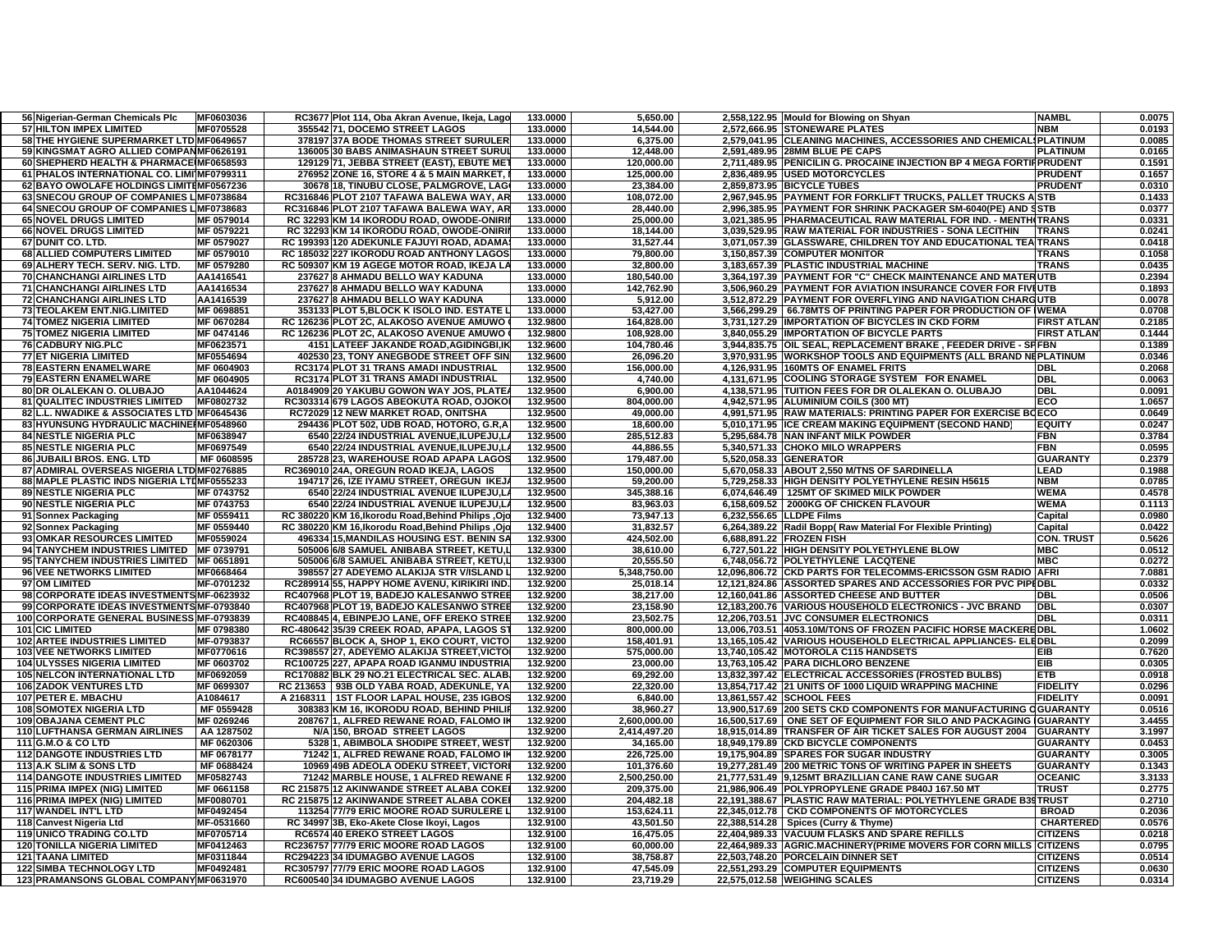| 56 Nigerian-German Chemicals Plc           | MF0603036  | RC3677 Plot 114, Oba Akran Avenue, Ikeja, Lago                       | 133.0000 | 5,650.00     |                          | 2,558,122.95 Mould for Blowing on Shyan                               | <b>NAMBL</b>       | 0.0075 |
|--------------------------------------------|------------|----------------------------------------------------------------------|----------|--------------|--------------------------|-----------------------------------------------------------------------|--------------------|--------|
| <b>57 HILTON IMPEX LIMITED</b>             | MF0705528  | 355542 71, DOCEMO STREET LAGOS                                       | 133.0000 | 14,544.00    |                          | 2,572,666.95 STONEWARE PLATES                                         | <b>NBM</b>         | 0.0193 |
| 58 THE HYGIENE SUPERMARKET LTD MF0649657   |            | 378197 37A BODE THOMAS STREET SURULER                                | 133.0000 | 6,375.00     |                          | 2,579,041.95 CLEANING MACHINES, ACCESSORIES AND CHEMICAL PLATINUM     |                    | 0.0085 |
| 59 KINGSMAT AGRO ALLIED COMPANMF0626191    |            | 136005 30 BABS ANIMASHAUN STREET SURUI                               | 133.0000 | 12.448.00    |                          | 2.591.489.95 28MM BLUE PE CAPS                                        | <b>PLATINUM</b>    | 0.0165 |
| 60 SHEPHERD HEALTH & PHARMACE MF0658593    |            | 129129 71, JEBBA STREET (EAST), EBUTE MET                            | 133.0000 | 120,000.00   |                          | 2,711,489.95 PENICILIN G. PROCAINE INJECTION BP 4 MEGA FORTIF PRUDENT |                    | 0.1591 |
| 61 PHALOS INTERNATIONAL CO. LIMINF0799311  |            | 276952 ZONE 16, STORE 4 & 5 MAIN MARKET,                             | 133.0000 | 125,000.00   |                          | 2,836,489.95 USED MOTORCYCLES                                         | <b>PRUDENT</b>     | 0.1657 |
| 62 BAYO OWOLAFE HOLDINGS LIMITEMF0567236   |            | 30678 18, TINUBU CLOSE, PALMGROVE, LAGO                              | 133.0000 | 23,384.00    |                          | 2,859,873.95 BICYCLE TUBES                                            | <b>PRUDENT</b>     | 0.0310 |
| 63 SNECOU GROUP OF COMPANIES LIMF0738684   |            | RC316846 PLOT 2107 TAFAWA BALEWA WAY, AR                             | 133.0000 | 108,072.00   |                          | 2,967,945.95 PAYMENT FOR FORKLIFT TRUCKS, PALLET TRUCKS A STB         |                    | 0.1433 |
| 64 SNECOU GROUP OF COMPANIES LIMF0738683   |            | RC316846 PLOT 2107 TAFAWA BALEWA WAY, AR                             | 133.0000 | 28.440.00    |                          | 2,996,385.95 PAYMENT FOR SHRINK PACKAGER SM-6040(PE) AND SSTB         |                    | 0.0377 |
| <b>65 NOVEL DRUGS LIMITED</b>              | MF 0579014 | RC 32293 KM 14 IKORODU ROAD, OWODE-ONIRII                            | 133.0000 | 25,000.00    |                          | 3,021,385.95   PHARMACEUTICAL RAW MATERIAL FOR IND. - MENTH TRANS     |                    | 0.0331 |
| <b>66 NOVEL DRUGS LIMITED</b>              | MF 0579221 | RC 32293 KM 14 IKORODU ROAD, OWODE-ONIRII                            | 133.0000 | 18,144.00    |                          | 3,039,529.95 RAW MATERIAL FOR INDUSTRIES - SONA LECITHIN              | <b>TRANS</b>       | 0.0241 |
| 67 DUNIT CO. LTD.                          | MF 0579027 | RC 199393 120 ADEKUNLE FAJUYI ROAD, ADAMA                            | 133.0000 | 31,527.44    |                          | 3,071,057.39 GLASSWARE, CHILDREN TOY AND EDUCATIONAL TEA TRANS        |                    | 0.0418 |
| <b>68 ALLIED COMPUTERS LIMITED</b>         | MF 0579010 | RC 185032 227 IKORODU ROAD ANTHONY LAGOS                             | 133.0000 | 79,800.00    |                          | 3,150,857.39 COMPUTER MONITOR                                         | <b>TRANS</b>       | 0.1058 |
| 69 ALHERY TECH. SERV. NIG. LTD.            | MF 0579280 | RC 509307 KM 19 AGEGE MOTOR ROAD, IKEJA LA                           | 133.0000 | 32,800.00    |                          | 3,183,657.39 PLASTIC INDUSTRIAL MACHINE                               | <b>TRANS</b>       | 0.0435 |
| 70 CHANCHANGI AIRLINES LTD                 | AA1416541  | 237627 8 AHMADU BELLO WAY KADUNA                                     | 133.0000 | 180,540.00   |                          | 3,364,197.39 PAYMENT FOR "C" CHECK MAINTENANCE AND MATERUTB           |                    | 0.2394 |
| 71 CHANCHANGI AIRLINES LTD                 | AA1416534  | 237627 8 AHMADU BELLO WAY KADUNA                                     | 133.0000 | 142,762.90   |                          | 3,506,960.29 PAYMENT FOR AVIATION INSURANCE COVER FOR FIVILUTB        |                    | 0.1893 |
| <b>72 CHANCHANGI AIRLINES LTD</b>          | AA1416539  | 237627 8 AHMADU BELLO WAY KADUNA                                     | 133.0000 | 5,912.00     |                          | 3,512,872.29 PAYMENT FOR OVERFLYING AND NAVIGATION CHARGUTB           |                    | 0.0078 |
| 73 TEOLAKEM ENT.NIG.LIMITED                | MF 0698851 | 353133 PLOT 5, BLOCK K ISOLO IND. ESTATE L                           | 133.0000 | 53,427.00    |                          | 3,566,299.29   66.78MTS OF PRINTING PAPER FOR PRODUCTION OF IWEMA     |                    | 0.0708 |
| <b>74 TOMEZ NIGERIA LIMITED</b>            | MF 0670284 | RC 126236 PLOT 2C, ALAKOSO AVENUE AMUWO                              | 132.9800 | 164,828.00   |                          | 3,731,127.29 IMPORTATION OF BICYCLES IN CKD FORM                      | <b>FIRST ATLAN</b> | 0.2185 |
| <b>75 TOMEZ NIGERIA LIMITED</b>            | MF 0474146 | RC 126236 PLOT 2C, ALAKOSO AVENUE AMUWO                              | 132.9800 | 108,928.00   |                          | 3,840,055.29 IMPORTATION OF BICYCLE PARTS                             | <b>FIRST ATLAN</b> | 0.1444 |
| <b>76 CADBURY NIG.PLC</b>                  | MF0623571  | 4151 LATEEF JAKANDE ROAD, AGIDINGBI, IK                              | 132.9600 | 104,780.46   |                          | 3,944,835.75 OIL SEAL, REPLACEMENT BRAKE, FEEDER DRIVE - SPFBN        |                    | 0.1389 |
| <b>77 ET NIGERIA LIMITED</b>               | MF0554694  | 402530 23, TONY ANEGBODE STREET OFF SIN                              | 132.9600 | 26,096.20    |                          | 3,970,931.95 WORKSHOP TOOLS AND EQUIPMENTS (ALL BRAND NEPLATINUM      |                    | 0.0346 |
| 78 EASTERN ENAMELWARE                      | MF 0604903 | RC3174 PLOT 31 TRANS AMADI INDUSTRIAL                                | 132.9500 | 156,000.00   |                          | 4,126,931.95 160MTS OF ENAMEL FRITS                                   | <b>DBL</b>         | 0.2068 |
| <b>79 EASTERN ENAMELWARE</b>               | MF 0604905 | RC3174 PLOT 31 TRANS AMADI INDUSTRIAL                                | 132.9500 | 4,740.00     |                          | 4,131,671.95 COOLING STORAGE SYSTEM FOR ENAMEL                        | <b>DBL</b>         | 0.0063 |
| 80 DR OLALEKAN O. OLUBAJO                  | AA1044624  | A0184909 20 YAKUBU GOWON WAY JOS. PLATE                              | 132.9500 | 6,900.00     |                          | 4,138,571.95 TUITION FEES FOR DR OLALEKAN O. OLUBAJO                  | <b>DBL</b>         | 0.0091 |
| <b>81 QUALITEC INDUSTRIES LIMITED</b>      | MF0802732  | RC303314 679 LAGOS ABEOKUTA ROAD, OJOKO                              | 132.9500 | 804,000.00   |                          | 4,942,571.95 ALUMINIUM COILS (300 MT)                                 | ECO                | 1.0657 |
| 82 L.L. NWADIKE & ASSOCIATES LTD MF0645436 |            | RC72029 12 NEW MARKET ROAD, ONITSHA                                  | 132.9500 | 49,000.00    |                          | 4,991,571.95 RAW MATERIALS: PRINTING PAPER FOR EXERCISE BOECO         |                    | 0.0649 |
| 83 HYUNSUNG HYDRAULIC MACHINE MF0548960    |            | 294436 PLOT 502, UDB ROAD, HOTORO, G.R, A                            | 132.9500 | 18,600.00    |                          | 5,010,171.95 ICE CREAM MAKING EQUIPMENT (SECOND HAND)                 | <b>EQUITY</b>      | 0.0247 |
| <b>84 NESTLE NIGERIA PLC</b>               | MF0638947  | 6540 22/24 INDUSTRIAL AVENUE,ILUPEJU,LA                              | 132.9500 | 285,512.83   |                          | 5,295,684.78 NAN INFANT MILK POWDER                                   | <b>FBN</b>         | 0.3784 |
| <b>85 NESTLE NIGERIA PLC</b>               | MF0697549  | 6540 22/24 INDUSTRIAL AVENUE, ILUPEJU, LA                            | 132.9500 | 44,886.55    |                          | 5,340,571.33 CHOKO MILO WRAPPERS                                      | FBN                | 0.0595 |
| <b>86 JUBAILI BROS. ENG. LTD</b>           | MF 0608595 | 285728 23, WAREHOUSE ROAD APAPA LAGOS                                | 132.9500 | 179,487.00   | 5,520,058.33 GENERATOR   |                                                                       | <b>GUARANTY</b>    | 0.2379 |
| 87 ADMIRAL OVERSEAS NIGERIA LTD MF0276885  |            | RC369010 24A, OREGUN ROAD IKEJA, LAGOS                               | 132.9500 | 150,000.00   |                          | 5,670,058.33 ABOUT 2,550 M/TNS OF SARDINELLA                          | LEAD               | 0.1988 |
| 88 MAPLE PLASTIC INDS NIGERIA LTIMF0555233 |            | 194717 26, IZE IYAMU STREET, OREGUN IKEJ.                            | 132.9500 | 59,200.00    |                          | 5,729,258.33 HIGH DENSITY POLYETHYLENE RESIN H5615                    | <b>NBM</b>         | 0.0785 |
| <b>89 NESTLE NIGERIA PLC</b>               | MF 0743752 | 6540 22/24 INDUSTRIAL AVENUE ILUPEJU,L.                              | 132.9500 | 345,388.16   |                          | 6,074,646.49 125MT OF SKIMED MILK POWDER                              | <b>WEMA</b>        | 0.4578 |
| 90 NESTLE NIGERIA PLC                      | MF 0743753 | 6540 22/24 INDUSTRIAL AVENUE ILUPEJU,LA                              | 132.9500 | 83,963.03    |                          | 6,158,609.52 2000KG OF CHICKEN FLAVOUR                                | <b>WEMA</b>        | 0.1113 |
| 91 Sonnex Packaging                        | MF 0559411 | RC 380220 KM 16, Ikorodu Road, Behind Philips, Ojo                   | 132.9400 | 73,947.13    | 6,232,556.65 LLDPE Films |                                                                       | Capital            | 0.0980 |
| 92 Sonnex Packaging                        | MF 0559440 | RC 380220 KM 16, Ikorodu Road, Behind Philips, Ojo                   | 132.9400 | 31,832.57    |                          | 6,264,389.22 Radil Bopp(Raw Material For Flexible Printing)           | Capital            | 0.0422 |
| 93 OMKAR RESOURCES LIMITED                 | MF0559024  | 496334 15, MANDILAS HOUSING EST. BENIN SA                            | 132.9300 | 424,502.00   |                          | 6,688,891.22 FROZEN FISH                                              | <b>CON. TRUST</b>  | 0.5626 |
| 94 TANYCHEM INDUSTRIES LIMITED             | MF 0739791 | 505006 6/8 SAMUEL ANIBABA STREET, KETU,L                             | 132.9300 | 38,610.00    |                          | 6,727,501.22 HIGH DENSITY POLYETHYLENE BLOW                           | <b>MBC</b>         | 0.0512 |
| 95 TANYCHEM INDUSTRIES LIMITED MF 0651891  |            | 505006 6/8 SAMUEL ANIBABA STREET, KETU,L                             | 132.9300 | 20,555.50    |                          | 6,748,056.72 POLYETHYLENE LACQTENE                                    | <b>MBC</b>         | 0.0272 |
| 96 VEE NETWORKS LIMITED                    | MF0668464  | 398557 27 ADEYEMO ALAKIJA STR V/ISLAND I                             | 132.9200 | 5,348,750.00 |                          | 12,096,806.72 CKD PARTS FOR TELECOMMS-ERICSSON GSM RADIO AFRI         |                    | 7.0881 |
| 97 OM LIMITED                              | MF-0701232 | RC289914155, HAPPY HOME AVENU, KIRIKIRI IND.                         | 132.9200 | 25,018.14    |                          | 12.121.824.86 ASSORTED SPARES AND ACCESSORIES FOR PVC PIPEDBL         |                    | 0.0332 |
| 98 CORPORATE IDEAS INVESTMENTS MF-0623932  |            | RC407968 PLOT 19, BADEJO KALESANWO STREE                             | 132.9200 | 38,217.00    |                          | 12,160,041.86 ASSORTED CHEESE AND BUTTER                              | <b>DBL</b>         | 0.0506 |
| 99 CORPORATE IDEAS INVESTMENTS MF-0793840  |            | RC407968 PLOT 19, BADEJO KALESANWO STREE                             | 132.9200 | 23,158.90    |                          | 12,183,200.76 VARIOUS HOUSEHOLD ELECTRONICS - JVC BRAND               | <b>DBL</b>         | 0.0307 |
| 100 CORPORATE GENERAL BUSINESS MF-0793839  |            | RC408845 4, EBINPEJO LANE, OFF EREKO STREE                           | 132.9200 | 23,502.75    |                          | 12,206,703.51 JVC CONSUMER ELECTRONICS                                | <b>DBL</b>         | 0.0311 |
| <b>101 CIC LIMITED</b>                     | MF 0798380 | RC-480642 35/39 CREEK ROAD, APAPA, LAGOS S'                          | 132.9200 | 800,000.00   |                          | 13,006,703.51 4053.10M/TONS OF FROZEN PACIFIC HORSE MACKEREDBL        |                    | 1.0602 |
| <b>102 ARTEE INDUSTRIES LIMITED</b>        | MF-0793837 | RC66557 BLOCK A, SHOP 1, EKO COURT, VICTO                            | 132.9200 | 158,401.91   |                          | 13,165,105.42 VARIOUS HOUSEHOLD ELECTRICAL APPLIANCES- ELEDBL         |                    | 0.2099 |
| <b>103 VEE NETWORKS LIMITED</b>            | MF0770616  | RC398557 27, ADEYEMO ALAKIJA STREET, VICTO                           | 132.9200 | 575,000.00   |                          | 13,740,105.42 MOTOROLA C115 HANDSETS                                  | <b>FIB</b>         | 0.7620 |
| <b>104 ULYSSES NIGERIA LIMITED</b>         | MF 0603702 | RC100725 227, APAPA ROAD IGANMU INDUSTRIA                            | 132.9200 | 23,000.00    |                          | 13,763,105.42 PARA DICHLORO BENZENE                                   | EIB                | 0.0305 |
| 105 NELCON INTERNATIONAL LTD               | MF0692059  | RC170882 BLK 29 NO.21 ELECTRICAL SEC. ALAB                           | 132.9200 | 69,292.00    |                          | 13,832,397.42 ELECTRICAL ACCESSORIES (FROSTED BULBS)                  | <b>ETB</b>         | 0.0918 |
| <b>106 ZADOK VENTURES LTD</b>              | MF 0699307 | RC 213653   93B OLD YABA ROAD, ADEKUNLE, YA                          | 132.9200 | 22,320.00    |                          | 13,854,717.42 21 UNITS OF 1000 LIQUID WRAPPING MACHINE                | <b>FIDELITY</b>    | 0.0296 |
| 107 PETER E. MBACHU                        | A1084617   | A 2168311   1ST FLOOR LAPAL HOUSE, 235 IGBOS                         | 132.9200 | 6,840.00     |                          | 13,861,557.42 SCHOOL FEES                                             | <b>FIDELITY</b>    | 0.0091 |
| <b>108 SOMOTEX NIGERIA LTD</b>             | MF 0559428 | 308383 KM 16, IKORODU ROAD, BEHIND PHILIF                            | 132.9200 | 38,960.27    |                          | 13,900,517.69 200 SETS CKD COMPONENTS FOR MANUFACTURING               | <b>GUARANTY</b>    | 0.0516 |
| 109 OBAJANA CEMENT PLC                     | MF 0269246 | 208767 1, ALFRED REWANE ROAD, FALOMO IM                              | 132.9200 | 2,600,000.00 |                          | 16,500,517.69 ONE SET OF EQUIPMENT FOR SILO AND PACKAGING IGUARANTY   |                    | 3.4455 |
| <b>110 LUFTHANSA GERMAN AIRLINES</b>       | AA 1287502 | N/A 150, BROAD STREET LAGOS                                          | 132.9200 | 2,414,497.20 |                          | 18,915,014.89 TRANSFER OF AIR TICKET SALES FOR AUGUST 2004            | <b>GUARANTY</b>    | 3.1997 |
| 111 G.M.O & CO LTD                         | MF 0620306 | 5328 1, ABIMBOLA SHODIPE STREET, WEST                                | 132.9200 | 34,165.00    |                          | 18,949,179.89 CKD BICYCLE COMPONENTS                                  | <b>GUARANTY</b>    | 0.0453 |
| <b>112 DANGOTE INDUSTRIES LTD</b>          | MF 0678177 | 71242 1, ALFRED REWANE ROAD, FALOMO IM                               | 132.9200 | 226,725.00   |                          | 19,175,904.89 SPARES FOR SUGAR INDUSTRY                               | <b>GUARANTY</b>    | 0.3005 |
| 113 A.K SLIM & SONS LTD                    | MF 0688424 | 10969 49B ADEOLA ODEKU STREET, VICTOR                                | 132.9200 | 101,376.60   |                          | 19,277,281.49 200 METRIC TONS OF WRITING PAPER IN SHEETS              | <b>GUARANTY</b>    | 0.1343 |
| <b>114 DANGOTE INDUSTRIES LIMITED</b>      | MF0582743  | 71242 MARBLE HOUSE, 1 ALFRED REWANE R                                | 132.9200 | 2,500,250.00 |                          | 21,777,531.49 9,125MT BRAZILLIAN CANE RAW CANE SUGAR                  | <b>OCEANIC</b>     | 3.3133 |
| 115 PRIMA IMPEX (NIG) LIMITED              | MF 0661158 | RC 215875 12 AKINWANDE STREET ALABA COKEI                            | 132.9200 | 209,375.00   |                          | 21,986,906.49 POLYPROPYLENE GRADE P840J 167.50 MT                     | <b>TRUST</b>       | 0.2775 |
| 116 PRIMA IMPEX (NIG) LIMITED              | MF0080701  | RC 215875 12 AKINWANDE STREET ALABA COKEI                            | 132.9200 | 204,482.18   |                          | 22,191,388.67 PLASTIC RAW MATERIAL: POLYETHYLENE GRADE B39TRUST       |                    | 0.2710 |
| <b>117 WANDEL INT'L LTD</b>                | MF0492454  | 113254 77/79 ERIC MOORE ROAD SURULERE L                              | 132.9100 | 153,624.11   |                          | 22,345,012.78   CKD COMPONENTS OF MOTORCYCLES                         | <b>BROAD</b>       | 0.2036 |
| 118 Canvest Nigeria Ltd                    | MF-0531660 | RC 34997 3B, Eko-Akete Close Ikoyi, Lagos                            | 132.9100 | 43,501.50    |                          | 22,388,514.28   Spices (Curry & Thyme)                                | <b>CHARTERED</b>   | 0.0576 |
| <b>119 UNICO TRADING CO.LTD</b>            | MF0705714  |                                                                      | 132.9100 | 16,475.05    |                          | 22,404,989.33 VACUUM FLASKS AND SPARE REFILLS                         | <b>CITIZENS</b>    | 0.0218 |
| <b>120 TONILLA NIGERIA LIMITED</b>         | MF0412463  | RC6574 40 EREKO STREET LAGOS<br>RC236757 77/79 ERIC MOORE ROAD LAGOS | 132.9100 | 60.000.00    |                          |                                                                       |                    | 0.0795 |
|                                            |            |                                                                      |          |              |                          | 22,464,989.33 AGRIC.MACHINERY(PRIME MOVERS FOR CORN MILLS CITIZENS    |                    |        |
| <b>121 TAANA LIMITED</b>                   | MF0311844  | RC294223 34 IDUMAGBO AVENUE LAGOS                                    | 132.9100 | 38,758.87    |                          | 22,503,748.20 PORCELAIN DINNER SET                                    | <b>CITIZENS</b>    | 0.0514 |
| <b>122 SIMBA TECHNOLOGY LTD</b>            | MF0492481  | RC305797 77/79 ERIC MOORE ROAD LAGOS                                 | 132.9100 | 47,545.09    |                          | 22,551,293.29 COMPUTER EQUIPMENTS                                     | <b>CITIZENS</b>    | 0.0630 |
| 123 PRAMANSONS GLOBAL COMPANYIMF0631970    |            | RC600540 34 IDUMAGBO AVENUE LAGOS                                    | 132.9100 | 23,719.29    |                          | 22,575,012.58 WEIGHING SCALES                                         | <b>CITIZENS</b>    | 0.0314 |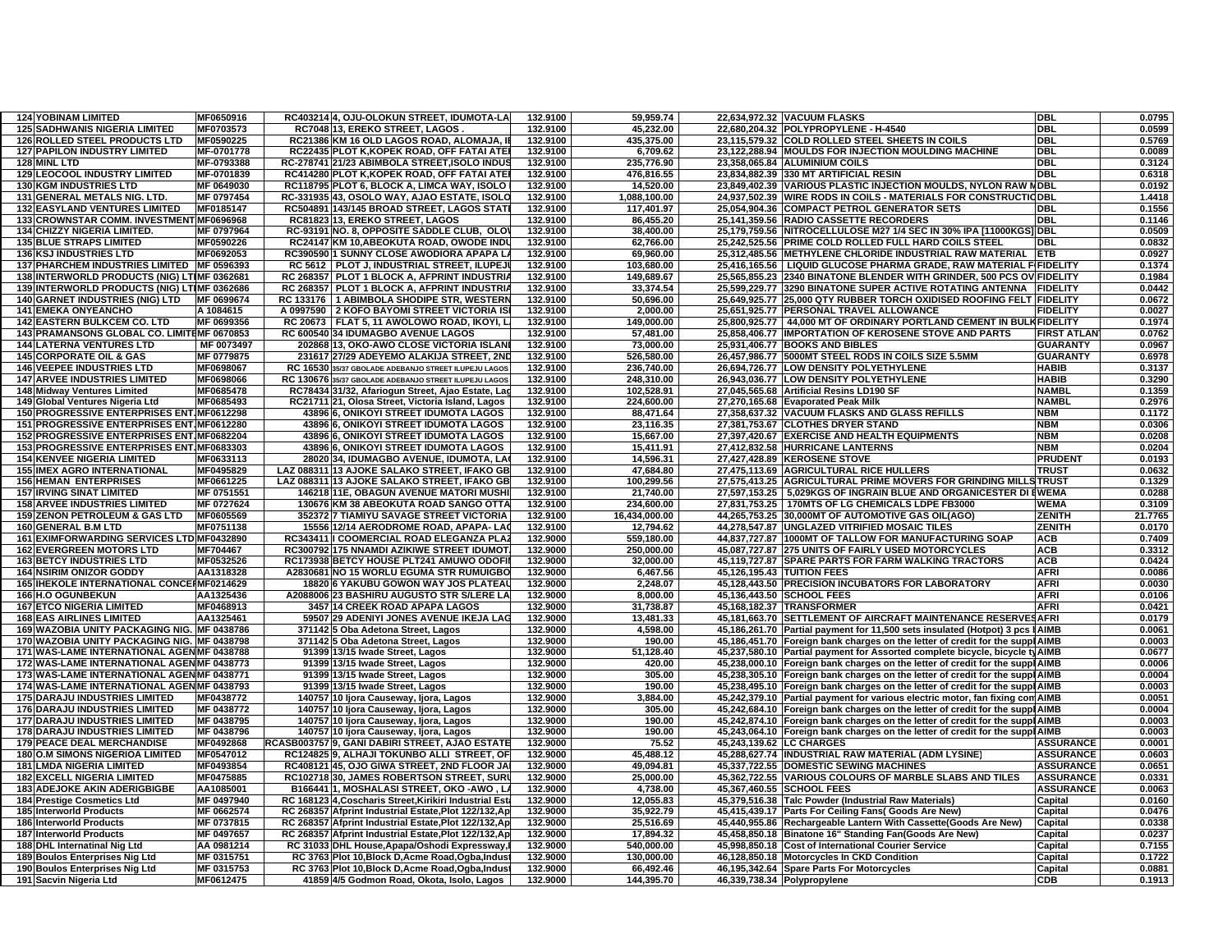| <b>124 YOBINAM LIMITED</b>                  | MF0650916  | RC403214 4, OJU-OLOKUN STREET, IDUMOTA-LA               | 132.9100 | 59,959.74     |                          | 22,634,972.32 VACUUM FLASKS                                                     | <b>DBL</b>         | 0.0795  |
|---------------------------------------------|------------|---------------------------------------------------------|----------|---------------|--------------------------|---------------------------------------------------------------------------------|--------------------|---------|
| <b>125 SADHWANIS NIGERIA LIMITED</b>        | MF0703573  | RC704813. EREKO STREET. LAGOS                           | 132.9100 | 45.232.00     |                          | 22.680.204.32 POLYPROPYLENE - H-4540                                            | <b>DBL</b>         | 0.0599  |
| <b>126 ROLLED STEEL PRODUCTS LTD</b>        | MF0590225  | RC21386 KM 16 OLD LAGOS ROAD, ALOMAJA, IE               | 132.9100 | 435,375.00    |                          | 23,115,579.32 COLD ROLLED STEEL SHEETS IN COILS                                 | <b>DBL</b>         | 0.5769  |
| <b>127 PAPILON INDUSTRY LIMITED</b>         | MF-0701778 | RC22435 PLOT K, KOPEK ROAD, OFF FATAI ATEI              | 132.9100 | 6,709.62      |                          | 23,122,288.94 MOULDS FOR INJECTION MOULDING MACHINE                             | <b>DBL</b>         | 0.0089  |
| 128 MINL LTD                                | MF-0793388 | RC-278741 21/23 ABIMBOLA STREET, ISOLO INDUS            | 132.9100 | 235.776.90    |                          | 23,358,065.84 ALUMINIUM COILS                                                   | <b>DBL</b>         | 0.3124  |
| <b>129 LEOCOOL INDUSTRY LIMITED</b>         | MF-0701839 | RC414280 PLOT K, KOPEK ROAD, OFF FATAI ATE              | 132.9100 | 476,816.55    |                          | 23,834,882.39 330 MT ARTIFICIAL RESIN                                           | <b>DBL</b>         | 0.6318  |
| <b>130 KGM INDUSTRIES LTD</b>               | MF 0649030 | RC118795 PLOT 6, BLOCK A, LIMCA WAY, ISOLO              | 132.9100 | 14,520.00     |                          | 23,849,402.39 VARIOUS PLASTIC INJECTION MOULDS, NYLON RAW                       | <b>NDBL</b>        | 0.0192  |
| 131 GENERAL METALS NIG. LTD.                | MF 0797454 | RC-331935 43, OSOLO WAY, AJAO ESTATE, ISOLO             | 132.9100 | 1,088,100.00  |                          | 24,937,502.39 WIRE RODS IN COILS - MATERIALS FOR CONSTRUCTIODBL                 |                    | 1.4418  |
| <b>132 EASYLAND VENTURES LIMITED</b>        | MF0185147  | RC504891 143/145 BROAD STREET, LAGOS STAT               | 132.9100 | 117,401.97    |                          | 25,054,904.36 COMPACT PETROL GENERATOR SETS                                     | <b>DBL</b>         | 0.1556  |
| 133 CROWNSTAR COMM. INVESTMENT MF0696968    |            | RC81823 13, EREKO STREET, LAGOS                         | 132.9100 | 86.455.20     |                          | 25,141,359.56 RADIO CASSETTE RECORDERS                                          | <b>DBL</b>         | 0.1146  |
| <b>134 CHIZZY NIGERIA LIMITED.</b>          | MF 0797964 | RC-93191 NO. 8, OPPOSITE SADDLE CLUB, OLO               | 132.9100 | 38,400.00     |                          | 25,179,759.56 NITROCELLULOSE M27 1/4 SEC IN 30% IPA [11000KGS] DBL              |                    | 0.0509  |
| <b>135 BLUE STRAPS LIMITED</b>              | MF0590226  | RC24147 KM 10, ABEOKUTA ROAD, OWODE INDU                | 132.9100 | 62,766.00     |                          | 25,242,525.56 PRIME COLD ROLLED FULL HARD COILS STEEL                           | <b>DBL</b>         | 0.0832  |
| <b>136 KSJ INDUSTRIES LTD</b>               | MF0692053  | RC390590 1 SUNNY CLOSE AWODIORA APAPA L                 | 132.9100 | 69,960.00     |                          | 25,312,485.56 METHYLENE CHLORIDE INDUSTRIAL RAW MATERIAL                        | <b>ETB</b>         | 0.0927  |
| 137 PHARCHEM INDUSTRIES LIMITED MF 0596393  |            | RC 5612   PLOT J, INDUSTRIAL STREET, ILUPEJ             | 132.9100 | 103,680.00    |                          | 25,416,165.56   LIQUID GLUCOSE PHARMA GRADE, RAW MATERIAL FIFIDELITY            |                    | 0.1374  |
| 138 INTERWORLD PRODUCTS (NIG) LTIMF 0362681 |            | RC 268357 PLOT 1 BLOCK A, AFPRINT INDUSTRIA             | 132.9100 | 149.689.67    |                          | 25.565.855.23 2340 BINATONE BLENDER WITH GRINDER, 500 PCS OV FIDELITY           |                    | 0.1984  |
| 139 INTERWORLD PRODUCTS (NIG) LTIMF 0362686 |            | RC 268357 PLOT 1 BLOCK A, AFPRINT INDUSTRIA             | 132.9100 | 33,374.54     |                          | 25,599,229.77 3290 BINATONE SUPER ACTIVE ROTATING ANTENNA FIDELITY              |                    | 0.0442  |
| <b>140 GARNET INDUSTRIES (NIG) LTD</b>      | MF 0699674 | RC 133176   1 ABIMBOLA SHODIPE STR, WESTERN             | 132.9100 | 50,696.00     |                          | 25,649,925.77 25,000 QTY RUBBER TORCH OXIDISED ROOFING FELT FIDELITY            |                    | 0.0672  |
| <b>141 EMEKA ONYEANCHO</b>                  | A 1084615  | A 0997590 2 KOFO BAYOMI STREET VICTORIA IS              | 132.9100 | 2,000.00      |                          | 25,651,925.77 PERSONAL TRAVEL ALLOWANCE                                         | <b>FIDELITY</b>    | 0.0027  |
| 142 EASTERN BULKCEM CO. LTD                 | MF 0699356 | RC 20673   FLAT 5, 11 AWOLOWO ROAD, IKOYI, L            | 132.9100 | 149,000.00    |                          | 25,800,925.77 44,000 MT OF ORDINARY PORTLAND CEMENT IN BUL                      | <b>KFIDELITY</b>   | 0.1974  |
| 143 PRAMANSONS GLOBAL CO. LIMITEMF 0670853  |            | RC 600540 34 IDUMAGBO AVENUE LAGOS                      | 132.9100 | 57,481.00     |                          | 25,858,406.77 IMPORTATION OF KEROSENE STOVE AND PARTS                           | <b>FIRST ATLAN</b> | 0.0762  |
| <b>144 LATERNA VENTURES LTD</b>             | MF 0073497 | 202868 13, OKO-AWO CLOSE VICTORIA ISLANI                | 132.9100 | 73,000.00     |                          | 25,931,406.77 BOOKS AND BIBLES                                                  | <b>GUARANTY</b>    | 0.0967  |
| <b>145 CORPORATE OIL &amp; GAS</b>          | MF 0779875 | 231617 27/29 ADEYEMO ALAKIJA STREET, 2ND                | 132.9100 | 526,580.00    |                          | 26,457,986.77 5000MT STEEL RODS IN COILS SIZE 5.5MM                             | <b>GUARANTY</b>    | 0.6978  |
| <b>146 VEEPEE INDUSTRIES LTD</b>            | MF0698067  | RC 16530 35/37 GBOLADE ADEBANJO STREET ILUPEJU LAGOS    | 132.9100 | 236,740.00    |                          | 26,694,726.77 LOW DENSITY POLYETHYLENE                                          | <b>HABIB</b>       | 0.3137  |
| <b>147 ARVEE INDUSTRIES LIMITED</b>         | MF0698066  | RC 130676 35/37 GBOLADE ADEBANJO STREET ILUPEJU LAGOS   | 132.9100 | 248,310.00    |                          | 26,943,036.77 LOW DENSITY POLYETHYLENE                                          | <b>HABIB</b>       | 0.3290  |
| 148 Midway Ventures Limited                 | MF0685478  | RC78434 31/32, Afariogun Street, Ajao Estate, La        | 132.9100 | 102,528.91    |                          | 27,045,565.68 Artificial Resins LD190 SF                                        | <b>NAMBI</b>       | 0.1359  |
| 149 Global Ventures Nigeria Ltd             | MF0685493  | RC21711 21, Olosa Street, Victoria Island, Lagos        | 132.9100 | 224,600.00    |                          | 27,270,165.68 Evaporated Peak Milk                                              | <b>NAMBL</b>       | 0.2976  |
| 150 PROGRESSIVE ENTERPRISES ENT MF0612298   |            | 43896 6, ONIKOYI STREET IDUMOTA LAGOS                   | 132.9100 | 88,471.64     |                          | 27,358,637.32 VACUUM FLASKS AND GLASS REFILLS                                   | <b>NBM</b>         | 0.1172  |
| 151 PROGRESSIVE ENTERPRISES ENT MF0612280   |            | 43896 6, ONIKOYI STREET IDUMOTA LAGOS                   | 132.9100 | 23,116.35     |                          | 27,381,753.67 CLOTHES DRYER STAND                                               | <b>NBM</b>         | 0.0306  |
| 152 PROGRESSIVE ENTERPRISES ENT.MF0682204   |            | 43896 6, ONIKOYI STREET IDUMOTA LAGOS                   | 132.9100 | 15,667.00     |                          | 27,397,420.67 EXERCISE AND HEALTH EQUIPMENTS                                    | <b>NBM</b>         | 0.0208  |
| 153 PROGRESSIVE ENTERPRISES ENTIMF0683303   |            | 43896 6, ONIKOYI STREET IDUMOTA LAGOS                   | 132.9100 | 15,411.91     |                          | 27,412,832.58 HURRICANE LANTERNS                                                | <b>NBM</b>         | 0.0204  |
| <b>154 KENVEE NIGERIA LIMITED</b>           | MF0633113  | 28020 34, IDUMAGBO AVENUE, IDUMOTA, LA                  | 132.9100 | 14,596.31     |                          | 27,427,428.89 KEROSENE STOVE                                                    | <b>PRUDENT</b>     | 0.0193  |
| <b>155 IMEX AGRO INTERNATIONAL</b>          | MF0495829  | LAZ 088311 13 AJOKE SALAKO STREET, IFAKO GB.            | 132.9100 | 47,684.80     |                          | 27,475,113.69 AGRICULTURAL RICE HULLERS                                         | <b>TRUS</b>        | 0.0632  |
| <b>156 HEMAN ENTERPRISES</b>                | MF0661225  | LAZ 088311 13 AJOKE SALAKO STREET, IFAKO GB             | 132.9100 | 100,299.56    |                          | 27,575,413.25 AGRICULTURAL PRIME MOVERS FOR GRINDING MILLS TRUST                |                    | 0.1329  |
| <b>157 IRVING SINAT LIMITED</b>             | MF 0751551 | 146218 11E, OBAGUN AVENUE MATORI MUSHI                  | 132.9100 | 21,740.00     |                          | 27,597,153.25   5,029KGS OF INGRAIN BLUE AND ORGANICESTER DI EWEMA              |                    | 0.0288  |
| <b>158 ARVEE INDUSTRIES LIMITED</b>         | MF 0727624 | 130676 KM 38 ABEOKUTA ROAD SANGO OTTA                   | 132.9100 | 234,600.00    |                          | 27,831,753.25   170MTS OF LG CHEMICALS LDPE FB3000                              | <b>WEMA</b>        | 0.3109  |
| 159 ZENON PETROLEUM & GAS LTD               | MF0605569  | 352372 7 TIAMIYU SAVAGE STREET VICTORIA                 | 132.9100 | 16,434,000.00 |                          | 44.265.753.25 30.000MT OF AUTOMOTIVE GAS OIL(AGO)                               | <b>ZENITH</b>      | 21.7765 |
| 160 GENERAL B.M LTD                         | MF0751138  | 15556 12/14 AERODROME ROAD, APAPA-LAC                   | 132.9100 | 12,794.62     |                          | 44,278,547.87 UNGLAZED VITRIFIED MOSAIC TILES                                   | <b>ZENITH</b>      | 0.0170  |
| 161 EXIMFORWARDING SERVICES LTD MF0432890   |            | RC343411 II COOMERCIAL ROAD ELEGANZA PLAZ               | 132.9000 | 559,180.00    |                          | 44,837,727.87 1000MT OF TALLOW FOR MANUFACTURING SOAP                           | <b>ACB</b>         | 0.7409  |
| <b>162 EVERGREEN MOTORS LTD</b>             | MF704467   | RC300792 175 NNAMDI AZIKIWE STREET IDUMOT               | 132.9000 | 250,000.00    |                          | 45,087,727.87 275 UNITS OF FAIRLY USED MOTORCYCLES                              | <b>ACB</b>         | 0.3312  |
| <b>163 BETCY INDUSTRIES LTD</b>             | MF0532526  | RC173938 BETCY HOUSE PLT241 AMUWO ODOFII                | 132.9000 | 32,000.00     |                          | 45,119,727.87 SPARE PARTS FOR FARM WALKING TRACTORS                             | <b>ACB</b>         | 0.0424  |
| <b>164 NSIRIM ONIZOR GODDY</b>              | AA1318328  | A2830681 NO 15 WORLU EGUMA STR RUMUIGBO                 | 132.9000 | 6,467.56      |                          | 45,126,195.43 TUITION FEES                                                      | <b>AFRI</b>        | 0.0086  |
| 165 IHEKOLE INTERNATIONAL CONCERMF0214629   |            | 18820 6 YAKUBU GOWON WAY JOS PLATEAU                    | 132.9000 | 2,248.07      |                          | 45,128,443.50 PRECISION INCUBATORS FOR LABORATORY                               | <b>AFRI</b>        | 0.0030  |
| 166 H.O OGUNBEKUN                           | AA1325436  | A2088006 23 BASHIRU AUGUSTO STR S/LERE LA               | 132.9000 | 8,000.00      |                          | 45,136,443.50 SCHOOL FEES                                                       | <b>AFRI</b>        | 0.0106  |
| <b>167 ETCO NIGERIA LIMITED</b>             | MF0468913  | 3457 14 CREEK ROAD APAPA LAGOS                          | 132.9000 | 31,738.87     |                          | 45,168,182.37 TRANSFORMER                                                       | <b>AFRI</b>        | 0.0421  |
| <b>168 EAS AIRLINES LIMITED</b>             | AA1325461  | 59507 29 ADENIYI JONES AVENUE IKEJA LAG                 | 132.9000 | 13,481.33     |                          | 45,181,663.70 SETTLEMENT OF AIRCRAFT MAINTENANCE RESERVES AFRI                  |                    | 0.0179  |
| 169 WAZOBIA UNITY PACKAGING NIG. MF 0438786 |            | 371142 5 Oba Adetona Street, Lagos                      | 132.9000 | 4,598.00      |                          | 45,186,261.70   Partial payment for 11,500 sets insulated (Hotpot) 3 pcs I AIMB |                    | 0.0061  |
| 170 WAZOBIA UNITY PACKAGING NIG. MF 0438798 |            | 371142 5 Oba Adetona Street, Lagos                      | 132.9000 | 190.00        |                          | 45,186,451.70 Foreign bank charges on the letter of credit for the suppl AIMB   |                    | 0.0003  |
| 171 WAS-LAME INTERNATIONAL AGENMF 0438788   |            | 91399 13/15 Iwade Street, Lagos                         | 132.9000 | 51,128.40     |                          | 45,237,580.10 Partial payment for Assorted complete bicycle, bicycle ty AIMB    |                    | 0.0677  |
| 172 WAS-LAME INTERNATIONAL AGENMF 0438773   |            | 91399 13/15 Iwade Street, Lagos                         | 132.9000 | 420.00        |                          | 45,238,000.10 Foreign bank charges on the letter of credit for the suppl AIMB   |                    | 0.0006  |
| 173 WAS-LAME INTERNATIONAL AGENMF 0438771   |            | 91399 13/15 Iwade Street, Lagos                         | 132.9000 | 305.00        |                          | 45,238,305.10 Foreign bank charges on the letter of credit for the suppl AIMB   |                    | 0.0004  |
| 174 WAS-LAME INTERNATIONAL AGENMF 0438793   |            | 91399 13/15 Iwade Street, Lagos                         | 132.9000 | 190.00        |                          | 45,238,495.10   Foreign bank charges on the letter of credit for the suppl AIMB |                    | 0.0003  |
| <b>175 DARAJU INDUSTRIES LIMITED</b>        | MF0438772  | 140757 10 Ijora Causeway, Ijora, Lagos                  | 132.9000 | 3,884.00      |                          | 45,242,379.10 Partial payment for various electric motor, fan fixing com AIMB   |                    | 0.0051  |
| <b>176 DARAJU INDUSTRIES LIMITED</b>        | MF 0438772 | 140757 10 Ijora Causeway, Ijora, Lagos                  | 132.9000 | 305.00        |                          | 45,242,684.10   Foreign bank charges on the letter of credit for the suppl AIMB |                    | 0.0004  |
| <b>177 DARAJU INDUSTRIES LIMITED</b>        | MF 0438795 | 140757 10 Ijora Causeway, Ijora, Lagos                  | 132.9000 | 190.00        |                          | 45,242,874.10 Foreign bank charges on the letter of credit for the suppl AIMB   |                    | 0.0003  |
| <b>178 DARAJU INDUSTRIES LIMITED</b>        | MF 0438796 | 140757 10 Ijora Causeway, Ijora, Lagos                  | 132.9000 | 190.00        |                          | 45,243,064.10 Foreign bank charges on the letter of credit for the suppl AIMB   |                    | 0.0003  |
| <b>179 PEACE DEAL MERCHANDISE</b>           | MF0492868  | RCASB003757 9, GANI DABIRI STREET, AJAO ESTATE          | 132.9000 | 75.52         | 45,243,139.62 LC CHARGES |                                                                                 | <b>ASSURANCE</b>   | 0.0001  |
| <b>180 O.M SIMONS NIGERIOA LIMITED</b>      | MF0547012  | RC124825 9, ALHAJI TOKUNBO ALLI STREET, OF              | 132.9000 | 45,488.12     |                          | 45,288,627.74 INDUSTRIAL RAW MATERIAL (ADM LYSINE)                              | <b>ASSURANCE</b>   | 0.0603  |
| <b>181 LMDA NIGERIA LIMITED</b>             | MF0493854  | RC408121 45, OJO GIWA STREET, 2ND FLOOR JA              | 132.9000 | 49,094.81     |                          | 45,337,722.55 DOMESTIC SEWING MACHINES                                          | <b>ASSURANCE</b>   | 0.0651  |
| <b>182 EXCELL NIGERIA LIMITED</b>           | MF0475885  | RC102718 30, JAMES ROBERTSON STREET, SURU               | 132.9000 | 25,000.00     |                          | 45,362,722.55 VARIOUS COLOURS OF MARBLE SLABS AND TILES                         | <b>ASSURANCE</b>   | 0.0331  |
| <b>183 ADEJOKE AKIN ADERIGBIGBE</b>         | AA1085001  | B166441 1, MOSHALASI STREET, OKO -AWO, L.               | 132.9000 | 4,738.00      |                          | 45,367,460.55 SCHOOL FEES                                                       | <b>ASSURANCE</b>   | 0.0063  |
| 184 Prestige Cosmetics Ltd                  | MF 0497940 | RC 168123 4, Coscharis Street, Kirikiri Industrial Est. | 132.9000 | 12,055.83     |                          | 45,379,516.38 Talc Powder (Industrial Raw Materials)                            | Capital            | 0.0160  |
| 185 Interworld Products                     | MF 0662574 | RC 268357 Afprint Industrial Estate, Plot 122/132, Ap   | 132.9000 | 35,922.79     |                          | 45,415,439.17 Parts For Ceiling Fans( Goods Are New)                            | Capital            | 0.0476  |
| 186 Interworld Products                     | MF 0737815 | RC 268357 Afprint Industrial Estate, Plot 122/132, Ap   | 132.9000 | 25,516.69     |                          | 45,440,955.86 Rechargeable Lantern With Cassette(Goods Are New)                 | Capital            | 0.0338  |
| 187 Interworld Products                     | MF 0497657 | RC 268357 Afprint Industrial Estate, Plot 122/132, Ap   | 132.9000 | 17,894.32     |                          | 45,458,850.18 Binatone 16" Standing Fan(Goods Are New)                          | Capital            | 0.0237  |
| 188 DHL Internatinal Nig Ltd                | AA 0981214 | RC 31033 DHL House, Apapa/Oshodi Expressway,            | 132.9000 | 540,000.00    |                          | 45,998,850.18 Cost of International Courier Service                             | Capital            | 0.7155  |
| 189 Boulos Enterprises Nig Ltd              | MF 0315751 | RC 3763 Plot 10, Block D, Acme Road, Ogba, Indus        | 132.9000 | 130,000.00    |                          | 46,128,850.18 Motorcycles In CKD Condition                                      | Capital            | 0.1722  |
| 190 Boulos Enterprises Nig Ltd              | MF 0315753 | RC 3763 Plot 10, Block D, Acme Road, Ogba, Indust       | 132.9000 | 66,492.46     |                          | 46,195,342.64 Spare Parts For Motorcycles                                       | Capital            | 0.0881  |
| 191 Sacvin Nigeria Ltd                      | MF0612475  | 41859 4/5 Godmon Road, Okota, Isolo, Lagos              | 132.9000 | 144,395.70    |                          | 46,339,738.34 Polypropylene                                                     | <b>CDB</b>         | 0.1913  |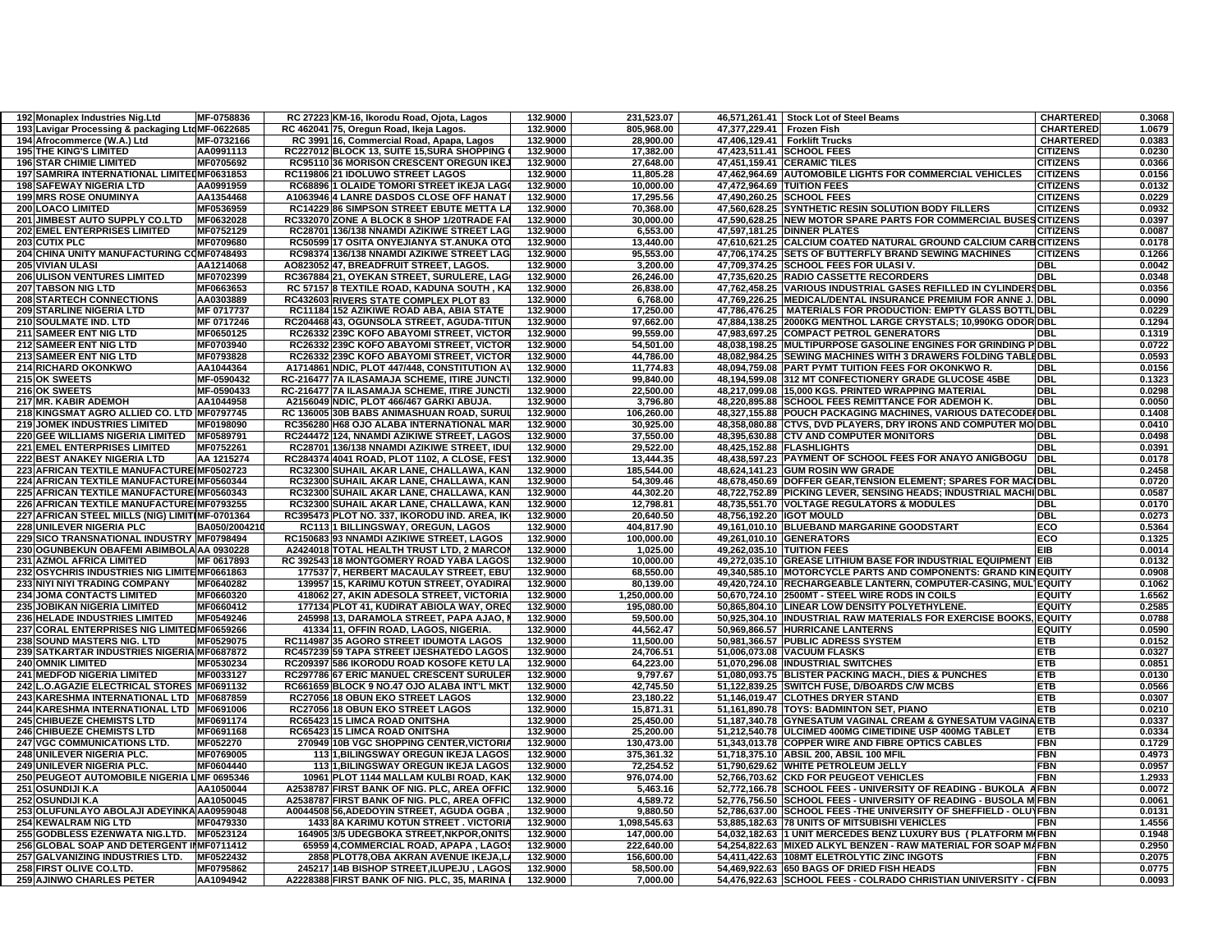| 192 Monaplex Industries Nig.Ltd                  | MF-0758836   | RC 27223 KM-16, Ikorodu Road, Ojota, Lagos   | 132.9000 | 231,523.07   |                             | 46,571,261.41 Stock Lot of Steel Beams                            | <b>CHARTERED</b> | 0.3068 |
|--------------------------------------------------|--------------|----------------------------------------------|----------|--------------|-----------------------------|-------------------------------------------------------------------|------------------|--------|
| 193 Lavigar Processing & packaging LtdMF-0622685 |              | RC 462041 75, Oregun Road, Ikeja Lagos.      | 132.9000 | 805,968.00   | 47,377,229.41   Frozen Fish |                                                                   | <b>CHARTERED</b> | 1.0679 |
| 194 Afrocommerce (W.A.) Ltd                      | MF-0732166   | RC 3991 16, Commercial Road, Apapa, Lagos    | 132.9000 | 28,900.00    | 47,406,129.41               | <b>Forklift Trucks</b>                                            | <b>CHARTERED</b> | 0.0383 |
| <b>195 THE KING'S LIMITED</b>                    | AA0991113    | RC227012 BLOCK 13, SUITE 15, SURA SHOPPING   | 132.9000 | 17,382.00    |                             | 47,423,511.41 SCHOOL FEES                                         | <b>CITIZENS</b>  | 0.0230 |
| <b>196 STAR CHIMIE LIMITED</b>                   | MF0705692    | RC95110 36 MORISON CRESCENT OREGUN IKEJ      | 132.9000 | 27,648.00    |                             | 47,451,159.41 CERAMIC TILES                                       | <b>CITIZENS</b>  | 0.0366 |
| 197 SAMRIRA INTERNATIONAL LIMITEDMF0631853       |              | RC119806 21 IDOLUWO STREET LAGOS             | 132.9000 | 11.805.28    |                             | 47,462,964.69 AUTOMOBILE LIGHTS FOR COMMERCIAL VEHICLES           | <b>CITIZENS</b>  | 0.0156 |
| <b>198 SAFEWAY NIGERIA LTD</b>                   | AA0991959    | RC68896 1 OLAIDE TOMORI STREET IKEJA LAG     | 132.9000 | 10,000.00    |                             | 47,472,964.69 TUITION FEES                                        | <b>CITIZENS</b>  | 0.0132 |
| <b>199 MRS ROSE ONUMINYA</b>                     | AA1354468    | A1063946 4 LANRE DASDOS CLOSE OFF HANAT      | 132.9000 | 17,295.56    |                             | 47,490,260.25 SCHOOL FEES                                         | <b>CITIZENS</b>  | 0.0229 |
| <b>200 LOACO LIMITED</b>                         | MF0536959    | RC14229 86 SIMPSON STREET EBUTE METTA LA     | 132.9000 | 70,368.00    |                             | 47,560,628.25 SYNTHETIC RESIN SOLUTION BODY FILLERS               | <b>CITIZENS</b>  | 0.0932 |
| 201 JIMBEST AUTO SUPPLY CO.LTD                   | MF0632028    | RC332070 ZONE A BLOCK 8 SHOP 1/20TRADE FA    | 132.9000 | 30,000.00    |                             | 47,590,628.25 NEW MOTOR SPARE PARTS FOR COMMERCIAL BUSES CITIZENS |                  | 0.0397 |
| <b>202 EMEL ENTERPRISES LIMITED</b>              | MF0752129    | RC28701 136/138 NNAMDI AZIKIWE STREET LAG    | 132.9000 | 6,553.00     |                             | 47,597,181.25 DINNER PLATES                                       | CITIZENS         | 0.0087 |
| 203 CUTIX PLC                                    | MF0709680    | RC50599 17 OSITA ONYEJIANYA ST.ANUKA OTO     | 132.9000 | 13,440.00    |                             | 47,610,621.25 CALCIUM COATED NATURAL GROUND CALCIUM CARB CITIZENS |                  | 0.0178 |
| 204 CHINA UNITY MANUFACTURING COMF0748493        |              | RC98374 136/138 NNAMDI AZIKIWE STREET LAG    | 132.9000 | 95.553.00    |                             | 47.706.174.25 SETS OF BUTTERFLY BRAND SEWING MACHINES             | <b>CITIZENS</b>  | 0.1266 |
| <b>205 VIVIAN ULASI</b>                          | AA1214068    | AO823052 47, BREADFRUIT STREET, LAGOS.       | 132.9000 | 3,200.00     |                             | 47,709,374.25 SCHOOL FEES FOR ULASI V.                            | <b>DBL</b>       | 0.0042 |
| <b>206 ULISON VENTURES LIMITED</b>               | MF0702399    | RC367884 21, OYEKAN STREET, SURULERE, LAG    | 132.9000 | 26,246.00    |                             | 47,735,620.25 RADIO CASSETTE RECORDERS                            | <b>DBL</b>       | 0.0348 |
| <b>207 TABSON NIG LTD</b>                        | MF0663653    | RC 57157 8 TEXTILE ROAD, KADUNA SOUTH, KA    | 132.9000 | 26.838.00    |                             | 47,762,458.25 VARIOUS INDUSTRIAL GASES REFILLED IN CYLINDERSDBL   |                  | 0.0356 |
| <b>208 STARTECH CONNECTIONS</b>                  | AA0303889    | RC432603 RIVERS STATE COMPLEX PLOT 83        | 132.9000 | 6,768.00     |                             | 47,769,226.25 MEDICAL/DENTAL INSURANCE PREMIUM FOR ANNE J. DBL    |                  | 0.0090 |
| <b>209 STARLINE NIGERIA LTD</b>                  | MF 0717737   | RC11184 152 AZIKIWE ROAD ABA, ABIA STATE     | 132.9000 | 17,250.00    |                             | 47,786,476.25   MATERIALS FOR PRODUCTION: EMPTY GLASS BOTTL DBL   |                  | 0.0229 |
| 210 SOULMATE IND. LTD                            | MF 0717246   | RC204468 43, OGUNSOLA STREET, AGUDA-TITUN    | 132.9000 | 97,662.00    |                             | 47,884,138.25 2000KG MENTHOL LARGE CRYSTALS; 10,990KG ODOR DBL    |                  | 0.1294 |
| <b>211 SAMEER ENT NIG LTD</b>                    | MF0650125    | RC26332 239C KOFO ABAYOMI STREET, VICTOR     | 132.9000 | 99,559.00    |                             | 47,983,697.25 COMPACT PETROL GENERATORS                           | DBL              | 0.1319 |
| 212 SAMEER ENT NIG LTD                           | MF0703940    | RC26332 239C KOFO ABAYOMI STREET, VICTOR     | 132.9000 | 54.501.00    |                             | 48,038,198.25 MULTIPURPOSE GASOLINE ENGINES FOR GRINDING P DBL    |                  | 0.0722 |
| 213 SAMEER ENT NIG LTD                           | MF0793828    | RC26332 239C KOFO ABAYOMI STREET, VICTOR     | 132.9000 | 44,786.00    |                             | 48,082,984.25 SEWING MACHINES WITH 3 DRAWERS FOLDING TABLEDBL     |                  | 0.0593 |
| <b>214 RICHARD OKONKWO</b>                       | AA1044364    | A1714861 NDIC, PLOT 447/448, CONSTITUTION AV | 132.9000 | 11,774.83    |                             | 48,094,759.08 PART PYMT TUITION FEES FOR OKONKWO R.               | DBI.             | 0.0156 |
| 215 OK SWEETS                                    | MF-0590432   | RC-216477 7A ILASAMAJA SCHEME, ITIRE JUNCTI  | 132.9000 | 99,840.00    |                             | 48,194,599.08 312 MT CONFECTIONERY GRADE GLUCOSE 45BE             | DBL              | 0.1323 |
| 216 OK SWEETS                                    | MF-0590433   | RC-216477 7A ILASAMAJA SCHEME, ITIRE JUNCTI  | 132.9000 | 22,500.00    |                             | 48,217,099.08 15,000 KGS. PRINTED WRAPPING MATERIAL               | <b>DBI</b>       | 0.0298 |
| <b>217 MR. KABIR ADEMOH</b>                      | AA1044958    | A2156049 NDIC, PLOT 466/467 GARKI ABUJA.     | 132.9000 | 3.796.80     |                             | 48,220,895.88 SCHOOL FEES REMITTANCE FOR ADEMOH K.                | DBI              | 0.0050 |
| 218 KINGSMAT AGRO ALLIED CO. LTD MF0797745       |              | RC 136005 30B BABS ANIMASHUAN ROAD, SURU     | 132.9000 | 106,260.00   |                             | 48,327,155.88 POUCH PACKAGING MACHINES, VARIOUS DATECODE IDBL     |                  | 0.1408 |
| <b>219 JOMEK INDUSTRIES LIMITED</b>              | MF0198090    | RC356280 H68 OJO ALABA INTERNATIONAL MAR     | 132.9000 | 30,925.00    |                             | 48,358,080.88 CTVS, DVD PLAYERS, DRY IRONS AND COMPUTER MOIDBL    |                  | 0.0410 |
| 220 GEE WILLIAMS NIGERIA LIMITED                 | MF0589791    | RC244472 124, NNAMDI AZIKIWE STREET, LAGOS   | 132.9000 | 37,550.00    |                             | 48,395,630.88 CTV AND COMPUTER MONITORS                           | <b>DBI</b>       | 0.0498 |
| 221 EMEL ENTERPRISES LIMITED                     | MF0752261    | RC28701 136/138 NNAMDI AZIKIWE STREET, IDU   | 132.9000 | 29,522.00    |                             | 48,425,152.88 FLASHLIGHTS                                         | DBI              | 0.0391 |
| <b>222 BEST ANAKEY NIGERIA LTD</b>               | AA 1215274   | RC284374 4041 ROAD, PLOT 1102, A CLOSE, FES  | 132.9000 | 13.444.35    |                             | 48,438,597.23 PAYMENT OF SCHOOL FEES FOR ANAYO ANIGBOGU           | <b>DBL</b>       | 0.0178 |
| 223 AFRICAN TEXTILE MANUFACTURE MF0502723        |              | RC32300 SUHAIL AKAR LANE, CHALLAWA, KAN      | 132.9000 | 185,544.00   |                             | 48,624,141.23 GUM ROSIN WW GRADE                                  | DBL              | 0.2458 |
| 224 AFRICAN TEXTILE MANUFACTURE MF0560344        |              | RC32300 SUHAIL AKAR LANE, CHALLAWA, KAN      | 132.9000 | 54,309.46    |                             | 48,678,450.69 DOFFER GEAR,TENSION ELEMENT; SPARES FOR MACIDBL     |                  | 0.0720 |
| 225 AFRICAN TEXTILE MANUFACTURE MF0560343        |              | RC32300 SUHAIL AKAR LANE, CHALLAWA, KAN      | 132.9000 | 44,302.20    |                             | 48,722,752.89 PICKING LEVER, SENSING HEADS; INDUSTRIAL MACHI DBL  |                  | 0.0587 |
| 226 AFRICAN TEXTILE MANUFACTURE MF0793255        |              | RC32300 SUHAIL AKAR LANE, CHALLAWA, KAN      | 132.9000 | 12,798.81    |                             | 48,735,551.70 VOLTAGE REGULATORS & MODULES                        | DBI.             | 0.0170 |
| 227 AFRICAN STEEL MILLS (NIG) LIMITIMF-0701364   |              | RC395473 PLOT NO. 337. IKORODU IND. AREA. IK | 132.9000 | 20.640.50    | 48.756.192.20 IGOT MOULD    |                                                                   | DBL              | 0.0273 |
| 228 UNILEVER NIGERIA PLC                         | BA050/200421 | RC113 1 BILLINGSWAY, OREGUN, LAGOS           | 132.9000 | 404,817.90   |                             | 49,161,010.10 BLUEBAND MARGARINE GOODSTART                        | FCO              | 0.5364 |
| 229 SICO TRANSNATIONAL INDUSTRY MF0798494        |              | RC150683 93 NNAMDI AZIKIWE STREET, LAGOS     | 132.9000 | 100,000.00   |                             | 49,261,010.10 GENERATORS                                          | ECO              | 0.1325 |
| 230 OGUNBEKUN OBAFEMI ABIMBOLA AA 0930228        |              | A2424018 TOTAL HEALTH TRUST LTD, 2 MARCOI    | 132.9000 | 1,025.00     |                             | 49,262,035.10 TUITION FEES                                        | EIB              | 0.0014 |
| 231 AZMOL AFRICA LIMITED                         | MF 0617893   | RC 392543 18 MONTGOMERY ROAD YABA LAGOS      | 132.9000 | 10,000.00    |                             | 49,272,035.10 GREASE LITHIUM BASE FOR INDUSTRIAL EQUIPMENT EIB    |                  | 0.0132 |
| 232 OSYCHRIS INDUSTRIES NIG LIMITEMF0661863      |              | 177537 7, HERBERT MACAULAY STREET, EBU       | 132.9000 | 68.550.00    |                             | 49.340.585.10 IMOTORCYCLE PARTS AND COMPONENTS: GRAND KINEQUITY   |                  | 0.0908 |
| 233 NIYI NIYI TRADING COMPANY                    | MF0640282    | 139957 15, KARIMU KOTUN STREET, OYADIRA      | 132.9000 | 80,139.00    |                             | 49,420,724.10 RECHARGEABLE LANTERN, COMPUTER-CASING, MUL EQUITY   |                  | 0.1062 |
| <b>234 JOMA CONTACTS LIMITED</b>                 | MF0660320    | 418062 27, AKIN ADESOLA STREET, VICTORIA     | 132.9000 | 1,250,000.00 |                             | 50,670,724.10 2500MT - STEEL WIRE RODS IN COILS                   | EQUITY           | 1.6562 |
| <b>235 JOBIKAN NIGERIA LIMITED</b>               | MF0660412    | 177134 PLOT 41, KUDIRAT ABIOLA WAY, ORE      | 132.9000 | 195,080.00   |                             | 50,865,804.10 LINEAR LOW DENSITY POLYETHYLENE                     | <b>EQUITY</b>    | 0.2585 |
| <b>236 HELADE INDUSTRIES LIMITED</b>             | MF0549246    | 245998 13, DARAMOLA STREET, PAPA AJAO,       | 132.9000 | 59,500.00    |                             | 50,925,304.10 INDUSTRIAL RAW MATERIALS FOR EXERCISE BOOK          | <b>EQUITY</b>    | 0.0788 |
| 237 CORAL ENTERPRISES NIG LIMITEDMF0659266       |              | 41334 11. OFFIN ROAD. LAGOS. NIGERIA.        | 132.9000 | 44.562.47    |                             | 50.969.866.57 HURRICANE LANTERNS                                  | <b>EQUITY</b>    | 0.0590 |
| <b>238 SOUND MASTERS NIG. LTD</b>                | MF0529075    | RC114987 35 AGORO STREET IDUMOTA LAGOS       | 132.9000 | 11,500.00    |                             | 50,981,366.57 PUBLIC ADRESS SYSTEM                                | ETB              | 0.0152 |
| 239 SATKARTAR INDUSTRIES NIGERIA MF0687872       |              | RC457239 59 TAPA STREET IJESHATEDO LAGOS     | 132.9000 | 24,706.51    |                             | 51,006,073.08 VACUUM FLASKS                                       | ETB              | 0.0327 |
| <b>240 OMNIK LIMITED</b>                         | MF0530234    | RC209397 586 IKORODU ROAD KOSOFE KETU LA     | 132.9000 | 64,223.00    |                             | 51,070,296.08 INDUSTRIAL SWITCHES                                 | ETB              | 0.0851 |
| <b>241 MEDFOD NIGERIA LIMITED</b>                | MF0033127    | RC297786 67 ERIC MANUEL CRESCENT SURULER     | 132.9000 | 9,797.67     |                             | 51,080,093.75 BLISTER PACKING MACH., DIES & PUNCHES               | ETB              | 0.0130 |
| 242 L.O.AGAZIE ELECTRICAL STORES MF0691132       |              | RC661659 BLOCK 9 NO.47 OJO ALABA INT'L MKT   | 132.9000 | 42,745.50    |                             | 51,122,839.25 SWITCH FUSE, D/BOARDS C/W MCBS                      | TB               | 0.0566 |
| 243 KARESHMA INTERNATIONAL LTD MF0687859         |              | RC27056 18 OBUN EKO STREET LAGOS             | 132.9000 | 23,180.22    |                             | 51,146,019.47 CLOTHES DRYER STAND                                 | ETB              | 0.0307 |
| 244 KARESHMA INTERNATIONAL LTD   MF0691006       |              | RC27056 18 OBUN EKO STREET LAGOS             | 132.9000 | 15,871.31    |                             | 51,161,890.78 TOYS: BADMINTON SET, PIANO                          | ETB              | 0.0210 |
| <b>245 CHIBUEZE CHEMISTS LTD</b>                 | MF0691174    | RC65423 15 LIMCA ROAD ONITSHA                | 132.9000 | 25,450.00    |                             | 51,187,340.78 GYNESATUM VAGINAL CREAM & GYNESATUM VAGINA ETB      |                  | 0.0337 |
| <b>246 CHIBUEZE CHEMISTS LTD</b>                 | MF0691168    | RC65423 15 LIMCA ROAD ONITSHA                | 132.9000 | 25,200.00    |                             | 51,212,540.78   ULCIMED 400MG CIMETIDINE USP 400MG TABLET         | ETB              | 0.0334 |
| <b>247 VGC COMMUNICATIONS LTD.</b>               | MF052270     | 270949 10B VGC SHOPPING CENTER, VICTORI      | 132.9000 | 130,473.00   |                             | 51,343,013.78 COPPER WIRE AND FIBRE OPTICS CABLES                 | FBN              | 0.1729 |
| 248 UNILEVER NIGERIA PLC.                        | MF0769005    | 1131, BILINGSWAY OREGUN IKEJA LAGOS          | 132.9000 | 375,361.32   |                             | 51,718,375.10 ABSIL 200, ABSIL 100 MFIL                           | -<br>En          | 0.4973 |
| <b>249 UNILEVER NIGERIA PLC.</b>                 | MF0604440    | <b>113 1.BILINGSWAY OREGUN IKEJA LAGOS</b>   | 132.9000 | 72.254.52    |                             | 51.790.629.62 WHITE PETROLEUM JELLY                               | FBN              | 0.0957 |
| <b>250 PEUGEOT AUTOMOBILE NIGERIA</b>            | LMF 0695346  | 10961 PLOT 1144 MALLAM KULBI ROAD, KAK       | 132.9000 | 976,074.00   |                             | 52,766,703.62 CKD FOR PEUGEOT VEHICLES                            | FBN              | 1.2933 |
| 251 OSUNDIJI K.A                                 | AA1050044    | A2538787 FIRST BANK OF NIG. PLC, AREA OFFIC  | 132.9000 | 5,463.16     |                             | 52,772,166.78 SCHOOL FEES - UNIVERSITY OF READING - BUKOLA AFBN   |                  | 0.0072 |
| <b>252 OSUNDIJI K.A</b>                          | AA1050045    | A2538787 FIRST BANK OF NIG. PLC. AREA OFFIC  | 132.9000 | 4.589.72     |                             | 52,776,756.50 SCHOOL FEES - UNIVERSITY OF READING - BUSOLA M FBN  |                  | 0.0061 |
| 253 OLUFUNLAYO ABOLAJI ADEYINKA AA0959048        |              | A0044508 56, ADEDOYIN STREET, AGUDA OGBA     | 132.9000 | 9,880.50     |                             | 52,786,637.00 SCHOOL FEES - THE UNIVERSITY OF SHEFFIELD - OLUYFBN |                  | 0.0131 |
| <b>254 KEWALRAM NIG LTD</b>                      | MF0479330    | 1433 8A KARIMU KOTUN STREET. VICTORIA        | 132.9000 | 1,098,545.63 |                             | 53,885,182.63 78 UNITS OF MITSUBISHI VEHICLES                     | -BN              | 1.4556 |
| 255 GODBLESS EZENWATA NIG.LTD.                   | MF0523124    | 164905 3/5 UDEGBOKA STREET, NKPOR, ONITS     | 132.9000 | 147,000.00   |                             | 54,032,182.63 1 UNIT MERCEDES BENZ LUXURY BUS ( PLATFORM MIFBN    |                  | 0.1948 |
| 256 GLOBAL SOAP AND DETERGENT IMF0711412         |              | 65959 4, COMMERCIAL ROAD, APAPA, LAGO        | 132.9000 | 222,640.00   |                             | 54,254,822.63 MIXED ALKYL BENZEN - RAW MATERIAL FOR SOAP MAFBN    |                  | 0.2950 |
| 257 GALVANIZING INDUSTRIES LTD.                  | MF0522432    | 2858 PLOT78, OBA AKRAN AVENUE IKEJA, L       | 132.9000 | 156,600.00   |                             | 54,411,422.63 108MT ELETROLYTIC ZINC INGOTS                       | FBN              | 0.2075 |
| 258 FIRST OLIVE CO.LTD.                          | MF0795862    | 245217 14B BISHOP STREET, ILUPEJU, LAGOS     | 132.9000 | 58,500.00    |                             | 54,469,922.63 650 BAGS OF DRIED FISH HEADS                        | FBN              | 0.0775 |
| <b>259 AJINWO CHARLES PETER</b>                  | AA1094942    | A2228388 FIRST BANK OF NIG. PLC, 35, MARINA  | 132.9000 | 7,000.00     |                             | 54,476,922.63 SCHOOL FEES - COLRADO CHRISTIAN UNIVERSITY - CIFBN  |                  | 0.0093 |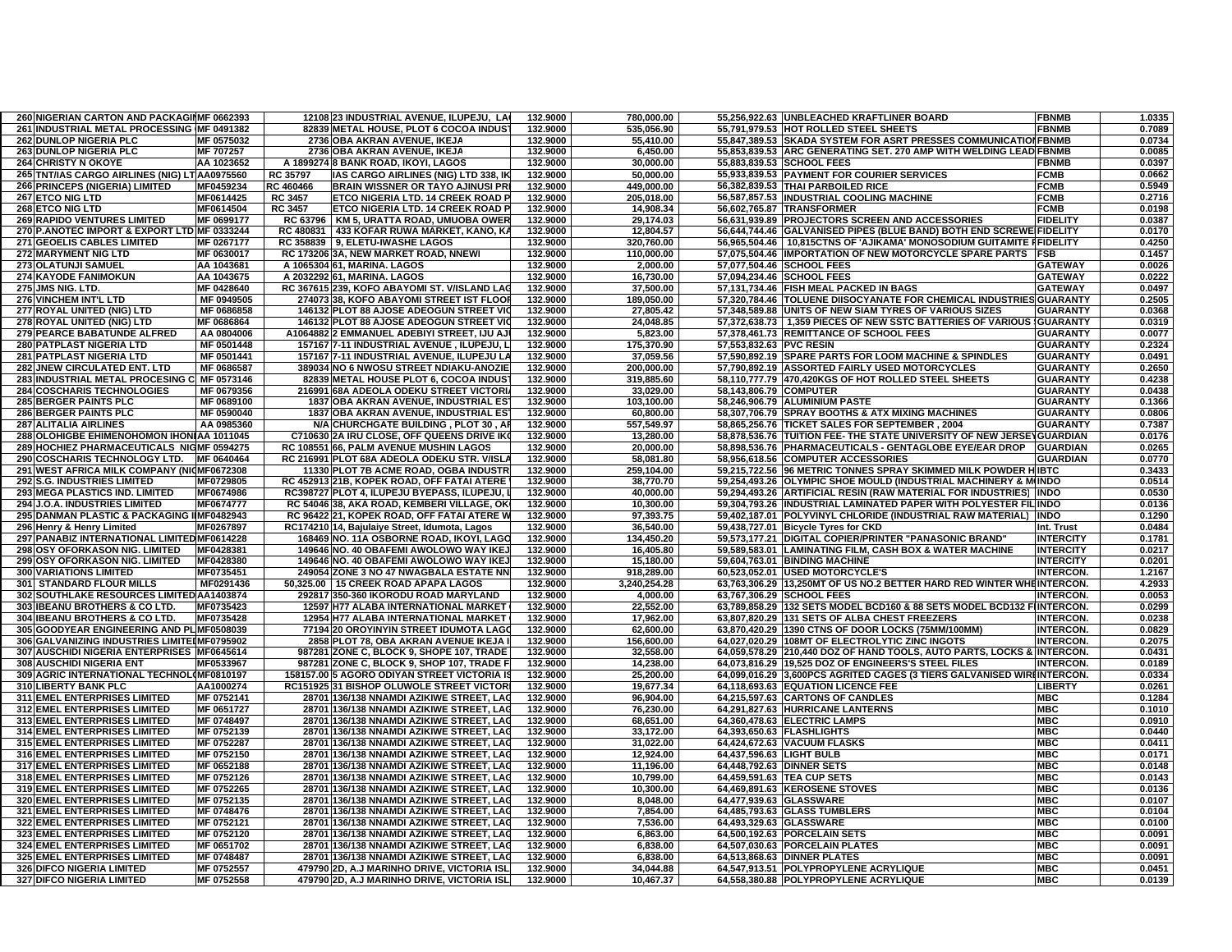| 260 NIGERIAN CARTON AND PACKAGINIF 0662393    |              |                | 12108 23 INDUSTRIAL AVENUE, ILUPEJU, LA       | 132.9000 | 780,000.00   |                           | 55,256,922.63 UNBLEACHED KRAFTLINER BOARD                              | <b>FBNMB</b>     | 1.0335 |
|-----------------------------------------------|--------------|----------------|-----------------------------------------------|----------|--------------|---------------------------|------------------------------------------------------------------------|------------------|--------|
| 261 INDUSTRIAL METAL PROCESSING MF 0491382    |              |                | 82839 METAL HOUSE, PLOT 6 COCOA INDUS         | 132.9000 | 535,056.90   |                           | 55,791,979.53 HOT ROLLED STEEL SHEETS                                  | <b>FBNMB</b>     | 0.7089 |
| <b>262 DUNLOP NIGERIA PLC</b>                 | MF 0575032   |                | 2736 OBA AKRAN AVENUE, IKEJA                  | 132.9000 | 55,410.00    |                           | 55,847,389.53 SKADA SYSTEM FOR ASRT PRESSES COMMUNICATION FBNMB        |                  | 0.0734 |
| 263 DUNLOP NIGERIA PLC                        | MF 707257    |                | 2736 OBA AKRAN AVENUE, IKEJA                  | 132.9000 | 6,450.00     |                           | 55,853,839.53 ARC GENERATING SET. 270 AMP WITH WELDING LEAD FBNMB      |                  | 0.0085 |
| <b>264 CHRISTY N OKOYE</b>                    | AA 1023652   |                | A 1899274 8 BANK ROAD, IKOYI, LAGOS           | 132.9000 | 30,000.00    |                           | 55,883,839.53 SCHOOL FEES                                              | <b>FBNMB</b>     | 0.0397 |
| 265 TNT/IAS CARGO AIRLINES (NIG) LT AA0975560 |              | RC 35797       | IAS CARGO AIRLINES (NIG) LTD 338, IK          | 132.9000 | 50,000.00    |                           | 55,933,839.53 PAYMENT FOR COURIER SERVICES                             | <b>FCMB</b>      | 0.0662 |
| <b>266 PRINCEPS (NIGERIA) LIMITED</b>         | MF0459234    | RC 460466      | <b>BRAIN WISSNER OR TAYO AJINUSI PRI</b>      | 132.9000 | 449,000.00   |                           | 56,382,839.53 THAI PARBOILED RICE                                      | <b>FCMB</b>      | 0.5949 |
| 267 ETCO NIG LTD                              | MF0614425    | <b>RC 3457</b> | ETCO NIGERIA LTD. 14 CREEK ROAD P             | 132.9000 | 205,018.00   |                           | 56,587,857.53 IINDUSTRIAL COOLING MACHINE                              | <b>FCMB</b>      | 0.2716 |
| 268 ETCO NIG LTD                              | MF0614504    | <b>RC 3457</b> | ETCO NIGERIA LTD. 14 CREEK ROAD P             | 132.9000 | 14,908.34    |                           | 56,602,765.87 TRANSFORMER                                              | <b>FCMB</b>      | 0.0198 |
| <b>269 RAPIDO VENTURES LIMITED</b>            | MF 0699177   | RC 63796       | KM 5, URATTA ROAD, UMUOBA OWER                | 132.9000 | 29,174.03    |                           | 56,631,939.89 PROJECTORS SCREEN AND ACCESSORIES                        | <b>FIDELITY</b>  | 0.0387 |
| 270 P.ANOTEC IMPORT & EXPORT LTD MF 0333244   |              |                | RC 480831   433 KOFAR RUWA MARKET, KANO, KA   | 132.9000 | 12,804.57    |                           | 56,644,744.46 GALVANISED PIPES (BLUE BAND) BOTH END SCREWE FIDELITY    |                  | 0.0170 |
| 271 GEOELIS CABLES LIMITED                    | MF 0267177   |                | RC 358839 9, ELETU-IWASHE LAGOS               | 132.9000 | 320,760.00   |                           | 56,965,504.46   10,815CTNS OF 'AJIKAMA' MONOSODIUM GUITAMITE FFIDELITY |                  | 0.4250 |
| 272 MARYMENT NIG LTD                          | MF 0630017   |                | RC 173206 3A, NEW MARKET ROAD, NNEWI          | 132.9000 | 110,000.00   |                           | 57,075,504.46 IMPORTATION OF NEW MOTORCYCLE SPARE PARTS                | <b>FSB</b>       | 0.1457 |
| 273 OLATUNJI SAMUEL                           | AA 1043681   |                | A 1065304 61, MARINA. LAGOS                   | 132.9000 | 2,000.00     |                           | 57,077,504.46 SCHOOL FEES                                              | <b>GATEWAY</b>   | 0.0026 |
| <b>274 KAYODE FANIMOKUN</b>                   | AA 1043675   |                | A 2032292 61, MARINA. LAGOS                   | 132.9000 | 16,730.00    |                           | 57,094,234.46 SCHOOL FEES                                              | <b>GATEWAY</b>   | 0.0222 |
| 275 JMS NIG. LTD.                             | MF 0428640   |                | RC 367615 239, KOFO ABAYOMI ST. V/ISLAND LAO  | 132.9000 | 37,500.00    |                           | 57,131,734.46 FISH MEAL PACKED IN BAGS                                 | <b>GATEWAY</b>   | 0.0497 |
| <b>276 VINCHEM INT'L LTD</b>                  | MF 0949505   |                | 274073 38. KOFO ABAYOMI STREET IST FLOOP      | 132.9000 | 189,050.00   |                           | 57.320.784.46 TOLUENE DIISOCYANATE FOR CHEMICAL INDUSTRIES GUARANTY    |                  | 0.2505 |
| 277 ROYAL UNITED (NIG) LTD                    | MF 0686858   |                | 146132 PLOT 88 AJOSE ADEOGUN STREET VIO       | 132.9000 | 27,805.42    |                           | 57,348,589.88 UNITS OF NEW SIAM TYRES OF VARIOUS SIZES                 | <b>GUARANTY</b>  | 0.0368 |
| 278 ROYAL UNITED (NIG) LTD                    | MF 0686864   |                | 146132 PLOT 88 AJOSE ADEOGUN STREET VIO       | 132.9000 | 24,048.85    |                           | 57,372,638.73 1,359 PIECES OF NEW SSTC BATTERIES OF VARIOUS            | <b>GUARANTY</b>  | 0.0319 |
| 279 PEARCE BABATUNDE ALFRED                   | AA 0804006   |                | A1064882 2 EMMANUEL ADEBIYI STREET, IJU AJ    | 132.9000 | 5,823.00     |                           | 57,378,461.73 REMITTANCE OF SCHOOL FEES                                | <b>GUARANTY</b>  | 0.0077 |
| <b>280 PATPLAST NIGERIA LTD</b>               | MF 0501448   |                | 157167 7-11 INDUSTRIAL AVENUE, ILUPEJU, L     | 132.9000 | 175,370.90   | 57,553,832.63 PVC RESIN   |                                                                        | <b>GUARANTY</b>  | 0.2324 |
| <b>281 PATPLAST NIGERIA LTD</b>               | MF 0501441   |                | 157167 7-11 INDUSTRIAL AVENUE, ILUPEJU LA     | 132.9000 | 37,059.56    |                           | 57,590,892.19 SPARE PARTS FOR LOOM MACHINE & SPINDLES                  | <b>GUARANTY</b>  | 0.0491 |
| 282 JNEW CIRCULATED ENT. LTD                  | MF 0686587   |                | 389034 NO 6 NWOSU STREET NDIAKU-ANOZIE        | 132.9000 | 200.000.00   |                           | 57.790.892.19 ASSORTED FAIRLY USED MOTORCYCLES                         | <b>GUARANTY</b>  | 0.2650 |
| <b>283 INDUSTRIAL METAL PROCESING</b>         | C MF 0573146 |                | 82839 METAL HOUSE PLOT 6, COCOA INDUS         | 132.9000 | 319,885.60   |                           | 58,110,777.79 470,420KGS OF HOT ROLLED STEEL SHEETS                    | <b>GUARANTY</b>  | 0.4238 |
| <b>284 COSCHARIS TECHNOLOGIES</b>             | MF 0679356   |                | 216991 68A ADEOLA ODEKU STREET VICTORI        | 132.9000 | 33,029.00    | 58,143,806.79 COMPUTER    |                                                                        | <b>GUARANTY</b>  | 0.0438 |
| <b>285 BERGER PAINTS PLC</b>                  | MF 0689100   |                | 1837 OBA AKRAN AVENUE, INDUSTRIAL ES'         | 132.9000 | 103.100.00   |                           | 58,246,906.79 ALUMINIUM PASTE                                          | <b>GUARANTY</b>  | 0.1366 |
| <b>286 BERGER PAINTS PLC</b>                  | MF 0590040   |                | 1837 OBA AKRAN AVENUE, INDUSTRIAL ES          | 132.9000 | 60,800.00    |                           | 58,307,706.79 SPRAY BOOTHS & ATX MIXING MACHINES                       | <b>GUARANTY</b>  | 0.0806 |
| <b>287 ALITALIA AIRLINES</b>                  | AA 0985360   |                | N/A CHURCHGATE BUILDING, PLOT 30, A           | 132.9000 | 557,549.97   |                           | 58,865,256.76 TICKET SALES FOR SEPTEMBER, 2004                         | <b>GUARANTY</b>  | 0.7387 |
| 288 OLOHIGBE EHIMENOHOMON IHONIAA 1011045     |              |                | C710630 2A IRU CLOSE, OFF QUEENS DRIVE IK     | 132.9000 | 13,280.00    |                           | 58,878,536.76 TUITION FEE- THE STATE UNIVERSITY OF NEW JERSE GUARDIAN  |                  | 0.0176 |
| 289 HOCHIEZ PHARMACEUTICALS NIGMF 0594275     |              |                | RC 108551 66, PALM AVENUE MUSHIN LAGOS        | 132.9000 | 20,000.00    |                           | 58,898,536.76 PHARMACEUTICALS - GENTAGLOBE EYE/EAR DROP                | <b>GUARDIAN</b>  | 0.0265 |
| 290 COSCHARIS TECHNOLOGY LTD.                 | MF 0640464   |                | RC 216991 PLOT 68A ADEOLA ODEKU STR. V/ISL    | 132.9000 | 58,081.80    |                           | 58,956,618.56 COMPUTER ACCESSORIES                                     | <b>GUARDIAN</b>  | 0.0770 |
| 291 WEST AFRICA MILK COMPANY (NICMF0672308    |              |                | 11330 PLOT 7B ACME ROAD, OGBA INDUSTR         | 132.9000 | 259,104.00   |                           | 59,215,722.56 96 METRIC TONNES SPRAY SKIMMED MILK POWDER HIBTC         |                  | 0.3433 |
| 292 S.G. INDUSTRIES LIMITED                   | MF0729805    |                | RC 452913 21B, KOPEK ROAD, OFF FATAI ATERE    | 132.9000 | 38,770.70    |                           | 59,254,493.26 OLYMPIC SHOE MOULD (INDUSTRIAL MACHINERY & MINDO         |                  | 0.0514 |
| 293 MEGA PLASTICS IND. LIMITED                | MF0674986    |                | RC398727 PLOT 4, ILUPEJU BYEPASS, ILUPEJU,    | 132.9000 | 40,000.00    |                           | 59,294,493.26 ARTIFICIAL RESIN (RAW MATERIAL FOR INDUSTRIES) INDO      |                  | 0.0530 |
| 294 J.O.A. INDUSTRIES LIMITED                 | MF0674777    |                | RC 54046 38, AKA ROAD, KEMBERI VILLAGE, OK    | 132.9000 | 10.300.00    |                           | 59,304,793.26 INDUSTRIAL LAMINATED PAPER WITH POLYESTER FIL INDO       |                  | 0.0136 |
| 295 DANMAN PLASTIC & PACKAGING IMF0482943     |              |                | RC 96422 21, KOPEK ROAD, OFF FATAI ATERE W    | 132.9000 | 97.393.75    |                           | 59,402,187.01 POLYVINYL CHLORIDE (INDUSTRIAL RAW MATERIAL)             | <b>INDO</b>      | 0.1290 |
| 296 Henry & Henry Limited                     | MF0267897    |                | RC174210 14, Bajulaiye Street, Idumota, Lagos | 132.9000 | 36,540.00    |                           | 59,438,727.01 Bicycle Tyres for CKD                                    | Int. Trust       | 0.0484 |
| 297 PANABIZ INTERNATIONAL LIMITED MF0614228   |              |                | 168469 NO. 11A OSBORNE ROAD, IKOYI, LAGO      | 132.9000 | 134.450.20   |                           | 59.573.177.21 DIGITAL COPIER/PRINTER "PANASONIC BRAND"                 | <b>INTERCITY</b> | 0.1781 |
| 298 OSY OFORKASON NIG. LIMITED                | MF0428381    |                | 149646 NO. 40 OBAFEMI AWOLOWO WAY IKE.        | 132.9000 | 16,405.80    |                           | 59,589,583.01 LAMINATING FILM, CASH BOX & WATER MACHINE                | <b>INTERCITY</b> | 0.0217 |
| 299 OSY OFORKASON NIG. LIMITED                | MF0428380    |                | 149646 NO. 40 OBAFEMI AWOLOWO WAY IKE,        | 132.9000 | 15,180.00    |                           | 59,604,763.01 BINDING MACHINE                                          | <b>INTERCITY</b> | 0.0201 |
| <b>300 VARIATIONS LIMITED</b>                 | MF0735451    | 249054         | ZONE 3 NO 47 NWAGBALA ESTATE NN               | 132.9000 | 918.289.00   |                           | 60,523,052.01 USED MOTORCYCLE'S                                        | <b>INTERCON.</b> | 1.2167 |
| 301 STANDARD FLOUR MILLS                      | MF0291436    | 50,325.00      | <b>15 CREEK ROAD APAPA LAGOS</b>              | 132.9000 | 3,240,254.28 |                           | 63,763,306.29 13,250MT OF US NO.2 BETTER HARD RED WINTER WHEINTERCON.  |                  | 4.2933 |
| 302 SOUTHLAKE RESOURCES LIMITED AA1403874     |              |                | 292817 350-360 IKORODU ROAD MARYLAND          | 132.9000 | 4,000.00     |                           | 63,767,306.29 SCHOOL FEES                                              | <b>INTERCON.</b> | 0.0053 |
| 303 IBEANU BROTHERS & CO LTD.                 | MF0735423    |                | 12597 H77 ALABA INTERNATIONAL MARKET          | 132.9000 | 22,552.00    |                           | 63,789,858.29 132 SETS MODEL BCD160 & 88 SETS MODEL BCD132 FIINTERCON. |                  | 0.0299 |
| 304 IBEANU BROTHERS & CO LTD.                 | MF0735428    |                | 12954 H77 ALABA INTERNATIONAL MARKET          | 132.9000 | 17,962.00    |                           | 63,807,820.29   131 SETS OF ALBA CHEST FREEZERS                        | <b>INTERCON.</b> | 0.0238 |
| 305 GOODYEAR ENGINEERING AND PLMF0508039      |              |                | 77194 20 OROYINYIN STREET IDUMOTA LAG(        | 132.9000 | 62.600.00    |                           | 63.870.420.29 1390 CTNS OF DOOR LOCKS (75MM/100MM)                     | <b>INTERCON.</b> | 0.0829 |
| 306 GALVANIZING INDUSTRIES LIMITEIMF0795902   |              | 2858           | PLOT 78, OBA AKRAN AVENUE IKEJA               | 132.9000 | 156,600.00   |                           | 64,027,020.29 108MT OF ELECTROLYTIC ZINC INGOTS                        | <b>INTERCON.</b> | 0.2075 |
| 307 AUSCHIDI NIGERIA ENTERPRISES MF0645614    |              |                | 987281 ZONE C, BLOCK 9, SHOPE 107, TRADE      | 132.9000 | 32,558.00    |                           | 64,059,578.29 210,440 DOZ OF HAND TOOLS, AUTO PARTS, LOCKS & INTERCON. |                  | 0.0431 |
| <b>308 AUSCHIDI NIGERIA ENT</b>               | MF0533967    |                | 987281 ZONE C, BLOCK 9, SHOP 107, TRADE F     | 132.9000 | 14,238.00    |                           | 64,073,816.29 19,525 DOZ OF ENGINEERS'S STEEL FILES                    | <b>INTERCON.</b> | 0.0189 |
| 309 AGRIC INTERNATIONAL TECHNOLOMF0810197     |              |                | 158157.00 5 AGORO ODIYAN STREET VICTORIA I    | 132.9000 | 25,200.00    |                           | 64,099,016.29 3,600PCS AGRITED CAGES (3 TIERS GALVANISED WIRHINTERCON. |                  | 0.0334 |
| 310 LIBERTY BANK PLC                          | AA1000274    |                | RC151925 31 BISHOP OLUWOLE STREET VICTOR      | 132.9000 | 19,677.34    |                           | 64,118,693.63 EQUATION LICENCE FEE                                     | <b>LIBERTY</b>   | 0.0261 |
| 311 EMEL ENTERPRISES LIMITED                  | MF 0752141   |                | 28701 136/138 NNAMDI AZIKIWE STREET, LAC      | 132.9000 | 96,904.00    |                           | 64,215,597.63 CARTONS OF CANDLES                                       | <b>MBC</b>       | 0.1284 |
| <b>312 EMEL ENTERPRISES LIMITED</b>           | MF 0651727   | 28701          | 136/138 NNAMDI AZIKIWE STREET, LAG            | 132.9000 | 76,230.00    |                           | 64,291,827.63 HURRICANE LANTERNS                                       | <b>IMBC</b>      | 0.1010 |
| 313 EMEL ENTERPRISES LIMITED                  | MF 0748497   | 28701          | 136/138 NNAMDI AZIKIWE STREET, LAG            | 132.9000 | 68.651.00    |                           | 64,360,478.63 ELECTRIC LAMPS                                           | <b>MBC</b>       | 0.0910 |
| <b>314 EMEL ENTERPRISES LIMITED</b>           | MF 0752139   | 28701          | 136/138 NNAMDI AZIKIWE STREET, LAO            | 132.9000 | 33,172.00    |                           | 64,393,650.63 FLASHLIGHTS                                              | <b>MBC</b>       | 0.0440 |
| <b>315 EMEL ENTERPRISES LIMITED</b>           | MF 0752287   | 28701          | 136/138 NNAMDI AZIKIWE STREET. LAO            | 132.9000 | 31.022.00    |                           | 64.424.672.63 VACUUM FLASKS                                            | <b>MBC</b>       | 0.0411 |
| <b>316 EMEL ENTERPRISES LIMITED</b>           | MF 0752150   | 28701          | 136/138 NNAMDI AZIKIWE STREET, LAC            | 132.9000 | 12,924.00    | 64,437,596.63 LIGHT BULB  |                                                                        | <b>MBC</b>       | 0.0171 |
| 317 EMEL ENTERPRISES LIMITED                  | MF 0652188   | 28701          | 136/138 NNAMDI AZIKIWE STREET, LAC            | 132.9000 | 11,196.00    | 64,448,792.63 DINNER SETS |                                                                        | <b>MBC</b>       | 0.0148 |
| 318 EMEL ENTERPRISES LIMITED                  | MF 0752126   | 28701          | 136/138 NNAMDI AZIKIWE STREET, LAG            | 132.9000 | 10,799.00    |                           | 64,459,591.63 TEA CUP SETS                                             | <b>MBC</b>       | 0.0143 |
| <b>319 EMEL ENTERPRISES LIMITED</b>           | MF 0752265   | 28701          | 136/138 NNAMDI AZIKIWE STREET, LAG            | 132.9000 | 10,300.00    |                           | 64,469,891.63 KEROSENE STOVES                                          | <b>MBC</b>       | 0.0136 |
| <b>320 EMEL ENTERPRISES LIMITED</b>           | MF 0752135   | 28701          | 136/138 NNAMDI AZIKIWE STREET. LAG            | 132.9000 | 8.048.00     | 64,477,939.63 GLASSWARE   |                                                                        | <b>MBC</b>       | 0.0107 |
| 321 EMEL ENTERPRISES LIMITED                  | MF 0748476   | 28701          | 136/138 NNAMDI AZIKIWE STREET, LAC            | 132.9000 | 7,854.00     |                           | 64,485,793.63 GLASS TUMBLERS                                           | <b>MBC</b>       | 0.0104 |
| 322 EMEL ENTERPRISES LIMITED                  | MF 0752121   |                | 28701 136/138 NNAMDI AZIKIWE STREET, LAG      | 132.9000 | 7,536.00     | 64,493,329.63 GLASSWARE   |                                                                        | <b>MBC</b>       | 0.0100 |
| 323 EMEL ENTERPRISES LIMITED                  | MF 0752120   | 28701          | 136/138 NNAMDI AZIKIWE STREET, LAG            | 132.9000 | 6,863.00     |                           | 64,500,192.63 PORCELAIN SETS                                           | <b>MBC</b>       | 0.0091 |
| <b>324 EMEL ENTERPRISES LIMITED</b>           | MF 0651702   | 28701          | 136/138 NNAMDI AZIKIWE STREET, LAC            | 132.9000 | 6,838.00     |                           | 64,507,030.63 PORCELAIN PLATES                                         | <b>MBC</b>       | 0.0091 |
| <b>325 EMEL ENTERPRISES LIMITED</b>           | MF 0748487   | 28701          | 136/138 NNAMDI AZIKIWE STREET, LAG            | 132.9000 | 6,838.00     |                           | 64,513,868.63 DINNER PLATES                                            | MBC              | 0.0091 |
| <b>326 DIFCO NIGERIA LIMITED</b>              | MF 0752557   |                | 479790 2D, A.J MARINHO DRIVE, VICTORIA ISL    | 132.9000 | 34.044.88    |                           | 64,547,913.51 POLYPROPYLENE ACRYLIQUE                                  | <b>MBC</b>       | 0.0451 |
| <b>327 DIFCO NIGERIA LIMITED</b>              | MF 0752558   |                | 479790 2D, A.J MARINHO DRIVE, VICTORIA ISL.   | 132.9000 | 10,467.37    |                           | 64,558,380.88 POLYPROPYLENE ACRYLIQUE                                  | <b>MBC</b>       | 0.0139 |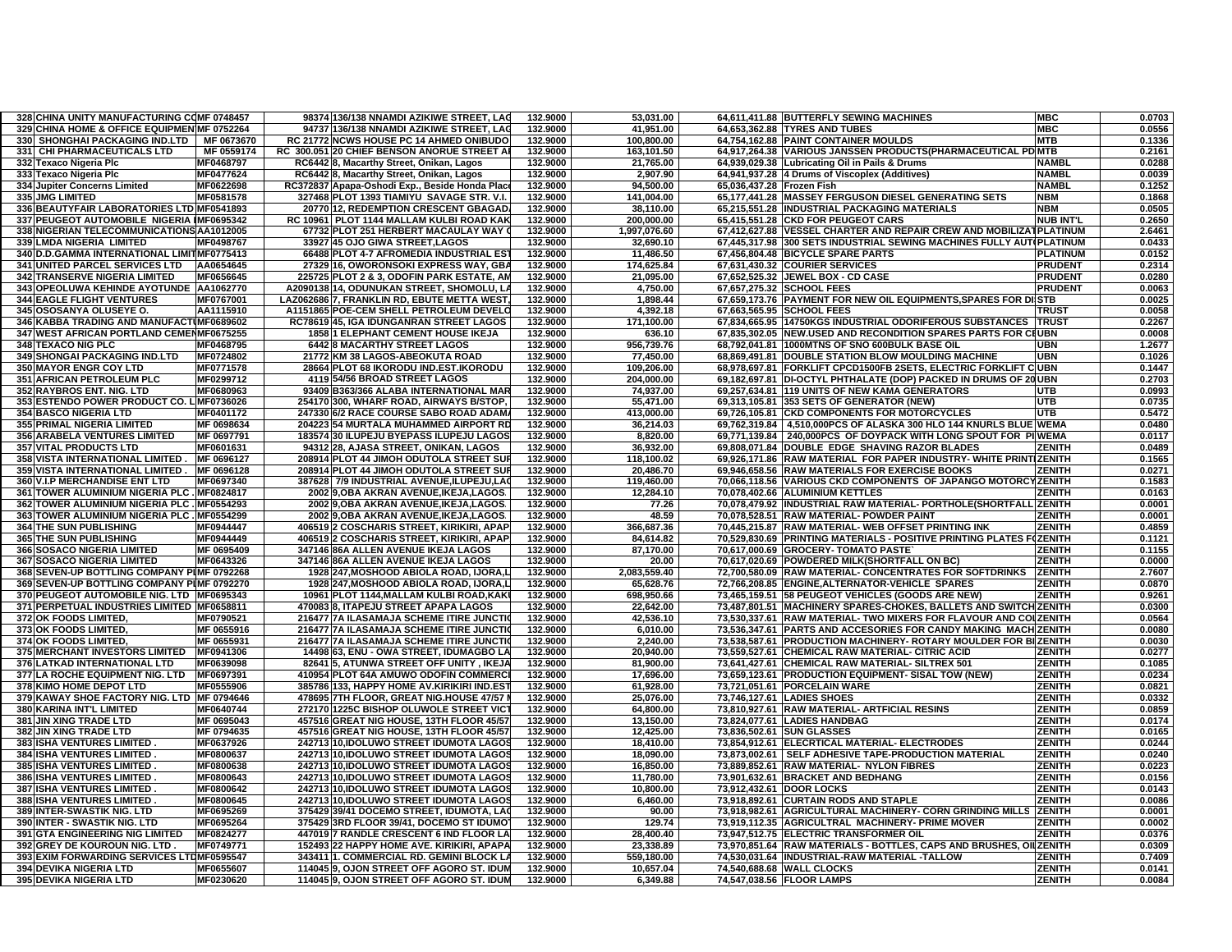| 328 CHINA UNITY MANUFACTURING COMF 0748457  |                  | 98374 136/138 NNAMDI AZIKIWE STREET, LAG      | 132.9000 | 53,031.00    | 64,611,411.88 BUTTERFLY SEWING MACHINES                              | <b>MBC</b>        | 0.0703 |
|---------------------------------------------|------------------|-----------------------------------------------|----------|--------------|----------------------------------------------------------------------|-------------------|--------|
| 329 CHINA HOME & OFFICE EQUIPMEN MF 0752264 |                  | 94737 136/138 NNAMDI AZIKIWE STREET, LAC      | 132.9000 | 41,951.00    | 64,653,362.88 TYRES AND TUBES                                        | <b>MBC</b>        | 0.0556 |
| 330 SHONGHAI PACKAGING IND.LTD   MF 0673670 |                  | RC 21772 NCWS HOUSE PC 14 AHMED ONIBUDO       | 132.9000 | 100,800.00   | 64,754,162.88 PAINT CONTAINER MOULDS                                 | <b>MTB</b>        | 0.1336 |
| 331 CHI PHARMACEUTICALS LTD                 | MF 0559174       | RC 300.051 20 CHIEF BENSON ANORUE STREET A    | 132.9000 | 163,101.50   | 64,917,264.38 VARIOUS JANSSEN PRODUCTS(PHARMACEUTICAL PD MTB         |                   | 0.2161 |
| 332 Texaco Nigeria Plc                      | MF0468797        | RC6442 8, Macarthy Street, Onikan, Lagos      | 132.9000 | 21,765.00    | 64,939,029.38 Lubricating Oil in Pails & Drums                       | <b>NAMBL</b>      | 0.0288 |
| 333 Texaco Nigeria Plc                      | <b>MF0477624</b> | RC6442 8, Macarthy Street, Onikan, Lagos      | 132.9000 | 2.907.90     | 64,941,937.28 4 Drums of Viscoplex (Additives)                       | <b>NAMBL</b>      | 0.0039 |
| 334 Jupiter Concerns Limited                | MF0622698        | RC372837 Apapa-Oshodi Exp., Beside Honda Plac | 132.9000 | 94,500.00    | 65,036,437.28 Frozen Fish                                            | <b>NAMBL</b>      | 0.1252 |
| 335 JMG LIMITED                             | MF0581578        | 327468 PLOT 1393 TIAMIYU SAVAGE STR. V.I.     | 132.9000 | 141,004.00   | 65,177,441.28 MASSEY FERGUSON DIESEL GENERATING SETS                 | <b>NBM</b>        | 0.1868 |
|                                             |                  |                                               |          |              |                                                                      |                   |        |
| 336 BEAUTYFAIR LABORATORIES LTD MF0541893   |                  | 20770 12, REDEMPTION CRESCENT GBAGAD/         | 132.9000 | 38,110.00    | 65,215,551.28 INDUSTRIAL PACKAGING MATERIALS                         | <b>NBM</b>        | 0.0505 |
| 337 PEUGEOT AUTOMOBILE NIGERIA IMF0695342   |                  | RC 10961 PLOT 1144 MALLAM KULBI ROAD KAK      | 132.9000 | 200,000.00   | 65,415,551.28 CKD FOR PEUGEOT CARS                                   | <b>NUB INT'L</b>  | 0.2650 |
| 338 NIGERIAN TELECOMMUNICATIONS AA1012005   |                  | 67732 PLOT 251 HERBERT MACAULAY WAY           | 132.9000 | 1,997,076.60 | 67,412,627.88 VESSEL CHARTER AND REPAIR CREW AND MOBILIZATPLATINUM   |                   | 2.6461 |
| 339 LMDA NIGERIA LIMITED                    | MF0498767        | 33927 45 OJO GIWA STREET, LAGOS               | 132.9000 | 32,690.10    | 67,445,317.98 300 SETS INDUSTRIAL SEWING MACHINES FULLY AUTOPLATINUM |                   | 0.0433 |
| 340 D.D.GAMMA INTERNATIONAL LIMITMF0775413  |                  | 66488 PLOT 4-7 AFROMEDIA INDUSTRIAL EST       | 132.9000 | 11,486.50    | 67,456,804.48 BICYCLE SPARE PARTS                                    | <b>PLATINUM</b>   | 0.0152 |
| 341 UNITED PARCEL SERVICES LTD              | AA0654645        | 27329 16, OWORONSOKI EXPRESS WAY, GBA         | 132.9000 | 174,625.84   | 67,631,430.32 COURIER SERVICES                                       | <b>PRUDENT</b>    | 0.2314 |
| 342 TRANSERVE NIGERIA LIMITED               | MF0656645        | 225725 PLOT 2 & 3, ODOFIN PARK ESTATE, AN     | 132.9000 | 21,095.00    | 67,652,525.32 JEWEL BOX - CD CASE                                    | <b>PRUDENT</b>    | 0.0280 |
| 343 OPEOLUWA KEHINDE AYOTUNDE AA1062770     |                  | A2090138 14. ODUNUKAN STREET. SHOMOLU. L      | 132.9000 | 4.750.00     | 67,657,275.32 SCHOOL FEES                                            | <b>PRUDENT</b>    | 0.0063 |
| <b>344 EAGLE FLIGHT VENTURES</b>            | MF0767001        | LAZ062686 7, FRANKLIN RD, EBUTE METTA WEST    | 132.9000 | 1.898.44     | 67,659,173.76 PAYMENT FOR NEW OIL EQUIPMENTS, SPARES FOR DISTB       |                   | 0.0025 |
| 345 OSOSANYA OLUSEYE O.                     | AA1115910        | A1151865 POE-CEM SHELL PETROLEUM DEVELO       | 132.9000 | 4,392.18     | 67,663,565.95 SCHOOL FEES                                            | TRUS <sub>1</sub> | 0.0058 |
| 346 KABBA TRADING AND MANUFACTIMF0689602    |                  | RC78619 45, IGA IDUNGANRAN STREET LAGOS       | 132.9000 | 171,100.00   | 67,834,665.95 14750KGS INDUSTRIAL ODORIFEROUS SUBSTANCES             | <b>TRUST</b>      | 0.2267 |
| 347 WEST AFRICAN PORTLAND CEMENMF0675255    |                  | <b>1858 1 ELEPHANT CEMENT HOUSE IKEJA</b>     | 132.9000 | 636.10       | 67,835,302.05 NEW.USED AND RECONDITION SPARES PARTS FOR CIUBN        |                   | 0.0008 |
| 348 TEXACO NIG PLC                          | MF0468795        | <b>6442 8 MACARTHY STREET LAGOS</b>           | 132.9000 | 956.739.76   | 68.792.041.81 1000MTNS OF SNO 600BULK BASE OIL                       | UBN               | 1.2677 |
| 349 SHONGAI PACKAGING IND.LTD               | MF0724802        | 21772 KM 38 LAGOS-ABEOKUTA ROAD               | 132.9000 | 77,450.00    | 68,869,491.81 DOUBLE STATION BLOW MOULDING MACHINE                   | <b>UBN</b>        | 0.1026 |
| <b>350 MAYOR ENGR COY LTD</b>               | MF0771578        | 28664 PLOT 68 IKORODU IND.EST.IKORODU         | 132.9000 | 109,206.00   | 68,978,697.81 FORKLIFT CPCD1500FB 2SETS, ELECTRIC FORKLIFT CUBN      |                   | 0.1447 |
| 351 AFRICAN PETROLEUM PLC                   | MF0299712        | 4119 54/56 BROAD STREET LAGOS                 | 132.9000 | 204,000.00   | DI-OCTYL PHTHALATE (DOP) PACKED IN DRUMS OF 20 UBN                   |                   | 0.2703 |
|                                             |                  |                                               |          |              | 69,182,697.81                                                        |                   |        |
| 352 RAYBROS ENT. NIG. LTD                   | MF0680963        | 93409 B363/366 ALABA INTERNATIONAL MAI        | 132.9000 | 74,937.00    | 69,257,634.81 119 UNITS OF NEW KAMA GENERATORS                       | UTB               | 0.0993 |
| 353 ESTENDO POWER PRODUCT CO. LIMF0736026   |                  | 254170 300, WHARF ROAD, AIRWAYS B/STOP,       | 132.9000 | 55,471.00    | 69,313,105.81 353 SETS OF GENERATOR (NEW)                            | <b>UTB</b>        | 0.0735 |
| <b>354 BASCO NIGERIA LTD</b>                | MF0401172        | 247330 6/2 RACE COURSE SABO ROAD ADAM         | 132.9000 | 413,000.00   | 69,726,105.81 CKD COMPONENTS FOR MOTORCYCLES                         | <b>UTB</b>        | 0.5472 |
| <b>355 PRIMAL NIGERIA LIMITED</b>           | MF 0698634       | 204223 54 MURTALA MUHAMMED AIRPORT RD         | 132.9000 | 36,214.03    | 69,762,319.84   4,510,000PCS OF ALASKA 300 HLO 144 KNURLS BLUE WEMA  |                   | 0.0480 |
| <b>356 ARABELA VENTURES LIMITED</b>         | MF 0697791       | 183574 30 ILUPEJU BYEPASS ILUPEJU LAGOS       | 132.9000 | 8,820.00     | 69,771,139.84 240,000PCS OF DOYPACK WITH LONG SPOUT FOR PI WEMA      |                   | 0.0117 |
| <b>357 VITAL PRODUCTS LTD</b>               | MF0601631        | 94312 28, AJASA STREET, ONIKAN, LAGOS         | 132.9000 | 36,932.00    | 69,808,071.84 DOUBLE EDGE SHAVING RAZOR BLADES                       | ZENITH            | 0.0489 |
| 358 VISTA INTERNATIONAL LIMITED             | MF 0696127       | 208914 PLOT 44 JIMOH ODUTOLA STREET SUI       | 132.9000 | 118,100.02   | 69,926,171.86 RAW MATERIAL FOR PAPER INDUSTRY- WHITE PRINTIZENITH    |                   | 0.1565 |
| 359 VISTA INTERNATIONAL LIMITED.            | MF 0696128       | 208914 PLOT 44 JIMOH ODUTOLA STREET SUP       | 132.9000 | 20,486.70    | 69,946,658.56 RAW MATERIALS FOR EXERCISE BOOKS                       | <b>ZENITH</b>     | 0.0271 |
| 360 V.I.P MERCHANDISE ENT LTD               | MF0697340        | 387628 7/9 INDUSTRIAL AVENUE,ILUPEJU,LAO      | 132.9000 | 119,460.00   | 70,066,118.56 VARIOUS CKD COMPONENTS OF JAPANGO MOTORCYZENITH        |                   | 0.1583 |
| 361 TOWER ALUMINIUM NIGERIA PLC.            | MF0824817        | 2002 9, OBA AKRAN AVENUE, IKEJA, LAGOS        | 132.9000 | 12.284.10    | 70.078.402.66 ALUMINIUM KETTLES                                      | <b>ZENITH</b>     | 0.0163 |
| 362 TOWER ALUMINIUM NIGERIA PLC . MF0554293 |                  | 2002 9, OBA AKRAN AVENUE, IKEJA, LAGOS        | 132.9000 | 77.26        | 70,078,479.92 INDUSTRIAL RAW MATERIAL - PORTHOLE(SHORTFAL            | ZENITH            | 0.0001 |
| 363 TOWER ALUMINIUM NIGERIA PLC. MF0554299  |                  | 2002 9, OBA AKRAN AVENUE, IKEJA, LAGOS        | 132.9000 | 48.59        | 70.078.528.51 RAW MATERIAL- POWDER PAINT                             | <b>ZENITH</b>     | 0.0001 |
| <b>364 THE SUN PUBLISHING</b>               | MF0944447        | 406519 2 COSCHARIS STREET, KIRIKIRI, APAP     | 132.9000 | 366,687.36   | 70,445,215.87 RAW MATERIAL- WEB OFFSET PRINTING INK                  | <b>ZENITH</b>     | 0.4859 |
| 365 THE SUN PUBLISHING                      | MF0944449        | 406519 2 COSCHARIS STREET, KIRIKIRI, APAP.    | 132.9000 | 84,614.82    | 70,529,830.69 PRINTING MATERIALS - POSITIVE PRINTING PLATES FOZENITH |                   | 0.1121 |
|                                             | MF 0695409       |                                               | 132.9000 | 87.170.00    |                                                                      | <b>ZENITH</b>     |        |
| 366 SOSACO NIGERIA LIMITED                  |                  | 347146 86A ALLEN AVENUE IKEJA LAGOS           |          |              | 70,617,000.69 GROCERY- TOMATO PASTE                                  |                   | 0.1155 |
| <b>367 SOSACO NIGERIA LIMITED</b>           | MF0643326        | 347146 86A ALLEN AVENUE IKEJA LAGOS           | 132.9000 | 20.00        | 70,617,020.69 POWDERED MILK(SHORTFALL ON BC)                         | <b>ZENITH</b>     | 0.0000 |
| 368 SEVEN-UP BOTTLING COMPANY PIMF 0792268  |                  | 1928 247, MOSHOOD ABIOLA ROAD, IJORA, I       | 132.9000 | 2,083,559.40 | 72,700,580.09 RAW MATERIAL- CONCENTRATES FOR SOFTDRINKS              | <b>ZENITH</b>     | 2.7607 |
| 369 SEVEN-UP BOTTLING COMPANY PIMF 0792270  |                  | 1928 247, MOSHOOD ABIOLA ROAD, IJORA, L       | 132.9000 | 65,628.76    | 72,766,208.85 ENGINE, ALTERNATOR-VEHICLE SPARES                      | <b>ZENITH</b>     | 0.0870 |
| 370 PEUGEOT AUTOMOBILE NIG. LTD   MF0695343 |                  | 10961 PLOT 1144, MALLAM KULBI ROAD, KAK       | 132.9000 | 698,950.66   | 73,465,159.51 58 PEUGEOT VEHICLES (GOODS ARE NEW                     | <b>ZENITH</b>     | 0.9261 |
| 371 PERPETUAL INDUSTRIES LIMITED MF0658811  |                  | 470083 8, ITAPEJU STREET APAPA LAGOS          | 132.9000 | 22.642.00    | MACHINERY SPARES-CHOKES, BALLETS AND SWITCH ZENITH<br>73.487.801.51  |                   | 0.0300 |
| 372 OK FOODS LIMITED.                       | MF0790521        | 216477 7A ILASAMAJA SCHEME ITIRE JUNCTI       | 132.9000 | 42,536.10    | RAW MATERIAL- TWO MIXERS FOR FLAVOUR AND COLZENITH<br>73,530,337.61  |                   | 0.0564 |
| 373 OK FOODS LIMITED.                       | MF 0655916       | 216477 7A ILASAMAJA SCHEME ITIRE JUNCTI       | 132.9000 | 6,010.00     | 73,536,347.61 PARTS AND ACCESORIES FOR CANDY MAKING MACH ZENITH      |                   | 0.0080 |
| 374 OK FOODS LIMITED.                       | MF 0655931       | 216477 7A ILASAMAJA SCHEME ITIRE JUNCTI       | 132.9000 | 2,240.00     | 73,538,587.61 PRODUCTION MACHINERY- ROTARY MOULDER FOR BIZENITH      |                   | 0.0030 |
| <b>375 MERCHANT INVESTORS LIMITED</b>       | MF0941306        | 14498 63, ENU - OWA STREET, IDUMAGBO LA       | 132.9000 | 20,940.00    | 73,559,527.61<br>CHEMICAL RAW MATERIAL- CITRIC ACID                  | ZENITH            | 0.0277 |
| 376 LATKAD INTERNATIONAL LTD                | MF0639098        | 82641 5, ATUNWA STREET OFF UNITY, IKEJA       | 132.9000 | 81,900.00    | 73,641,427.61 CHEMICAL RAW MATERIAL- SILTREX 501                     | <b>ZENITH</b>     | 0.1085 |
| 377 LA ROCHE EQUIPMENT NIG. LTD             | MF0697391        | 410954 PLOT 64A AMUWO ODOFIN COMMERC          | 132.9000 | 17,696.00    | 73,659,123.61 PRODUCTION EQUIPMENT- SISAL TOW (NEW)                  | ZENITH            | 0.0234 |
| 378 KIMO HOME DEPOT LTD                     | <b>MF0555906</b> | 385786 133, HAPPY HOME AV.KIRIKIRI IND.EST    | 132.9000 | 61,928.00    | 73,721,051.61 PORCELAIN WARE                                         | <b>ZENITH</b>     | 0.0821 |
| 379 KAWAY SHOE FACTORY NIG. LTD MF 0794646  |                  | 478695 7TH FLOOR, GREAT NIG.HOUSE 47/57       | 132.9000 | 25.076.00    | 73.746.127.61 LADIES SHOES                                           | ZENITH            | 0.0332 |
| 380 KARINA INT'L LIMITED                    | MF0640744        | 272170 1225C BISHOP OLUWOLE STREET VICT       | 132.9000 | 64,800.00    | 73,810,927.61 RAW MATERIAL- ARTFICIAL RESINS                         | <b>ZENITH</b>     | 0.0859 |
| <b>381 JIN XING TRADE LTD</b>               | MF 0695043       | 457516 GREAT NIG HOUSE, 13TH FLOOR 45/57      | 132.9000 | 13.150.00    | 73.824.077.61 LADIES HANDBAG                                         | <b>ZENITH</b>     | 0.0174 |
| 382 JIN XING TRADE LTD                      | MF 0794635       | 457516 GREAT NIG HOUSE, 13TH FLOOR 45/57      | 132.9000 | 12,425.00    | 73,836,502.61<br><b>SUN GLASSES</b>                                  | <b>ZENITH</b>     | 0.0165 |
| <b>383 ISHA VENTURES LIMITED</b>            | MF0637926        | 242713 10, IDOLUWO STREET IDUMOTA LAGOS       | 132.9000 | 18.410.00    | 73.854.912.61 ELECRTICAL MATERIAL- ELECTRODES                        | <b>ZENITH</b>     | 0.0244 |
| 384 ISHA VENTURES LIMITED                   | MF0800637        | 242713 10, IDOLUWO STREET IDUMOTA LAGOS       | 132.9000 | 18.090.00    | 73,873,002.61   SELF ADHESIVE TAPE-PRODUCTION MATERIAL               | <b>ZENITH</b>     | 0.0240 |
| <b>385 ISHA VENTURES LIMITED</b>            | MF0800638        | 242713 10, IDOLUWO STREET IDUMOTA LAGO        | 132.9000 | 16,850.00    | 73,889,852.61 RAW MATERIAL- NYLON FIBRES                             | <b>ZENITH</b>     | 0.0223 |
|                                             |                  |                                               |          |              |                                                                      |                   |        |
| <b>386 ISHA VENTURES LIMITED</b>            | MF0800643        | 242713 10.IDOLUWO STREET IDUMOTA LAGOS        | 132.9000 | 11.780.00    | 73.901.632.61 BRACKET AND BEDHANG                                    | <b>ZENITH</b>     | 0.0156 |
| 387 ISHA VENTURES LIMITED                   | MF0800642        | 242713 10, IDOLUWO STREET IDUMOTA LAGOS       | 132.9000 | 10,800.00    | 73,912,432.61 DOOR LOCKS                                             | <b>ZENITH</b>     | 0.0143 |
| 388 ISHA VENTURES LIMITED                   | MF0800645        | 242713 10, IDOLUWO STREET IDUMOTA LAGOS       | 132.9000 | 6,460.00     | 73,918,892.61 CURTAIN RODS AND STAPLE                                | <b>ZENITH</b>     | 0.0086 |
| 389 INTER-SWASTIK NIG. LTD                  | <b>MF0695269</b> | 375429 39/41 DOCEMO STREET, IDUMOTA, LA       | 132.9000 | 90.00        | AGRICULTURAL MACHINERY- CORN GRINDING MILLS<br>73.918.982.61         | <b>ZENITH</b>     | 0.0001 |
| 390 INTER - SWASTIK NIG. LTD                | MF0695264        | 375429 3RD FLOOR 39/41, DOCEMO ST IDUMO       | 132.9000 | 129.74       | 73,919,112.35 AGRICULTRAL MACHINERY- PRIME MOVER                     | ZENITH            | 0.0002 |
| <b>391 GTA ENGINEERING NIG LIMITED</b>      | MF0824277        | 447019 7 RANDLE CRESCENT 6 IND FLOOR LA       | 132.9000 | 28,400.40    | 73,947,512.75 ELECTRIC TRANSFORMER OIL                               | <b>ZENITH</b>     | 0.0376 |
| 392 GREY DE KOUROUN NIG. LTD                | MF0749771        | 152493 22 HAPPY HOME AVE. KIRIKIRI, APAPA     | 132.9000 | 23,338.89    | 73,970,851.64 RAW MATERIALS - BOTTLES, CAPS AND BRUSHES, OILZENITH   |                   | 0.0309 |
| 393 EXIM FORWARDING SERVICES LTDMF0595547   |                  | 343411 1. COMMERCIAL RD. GEMINI BLOCK L.      | 132.9000 | 559,180.00   | 74,530,031.64 INDUSTRIAL-RAW MATERIAL -TALLOW                        | ZENITH            | 0.7409 |
| <b>394 DEVIKA NIGERIA LTD</b>               | MF0655607        | 114045 9, OJON STREET OFF AGORO ST. IDUN      | 132.9000 | 10.657.04    | 74,540,688.68 WALL CLOCKS                                            | ZENITH            | 0.0141 |
| 395 DEVIKA NIGERIA LTD                      | MF0230620        | 114045 9, OJON STREET OFF AGORO ST. IDUM      | 132.9000 | 6,349.88     | 74,547,038.56 FLOOR LAMPS                                            | ZENITH            | 0.0084 |
|                                             |                  |                                               |          |              |                                                                      |                   |        |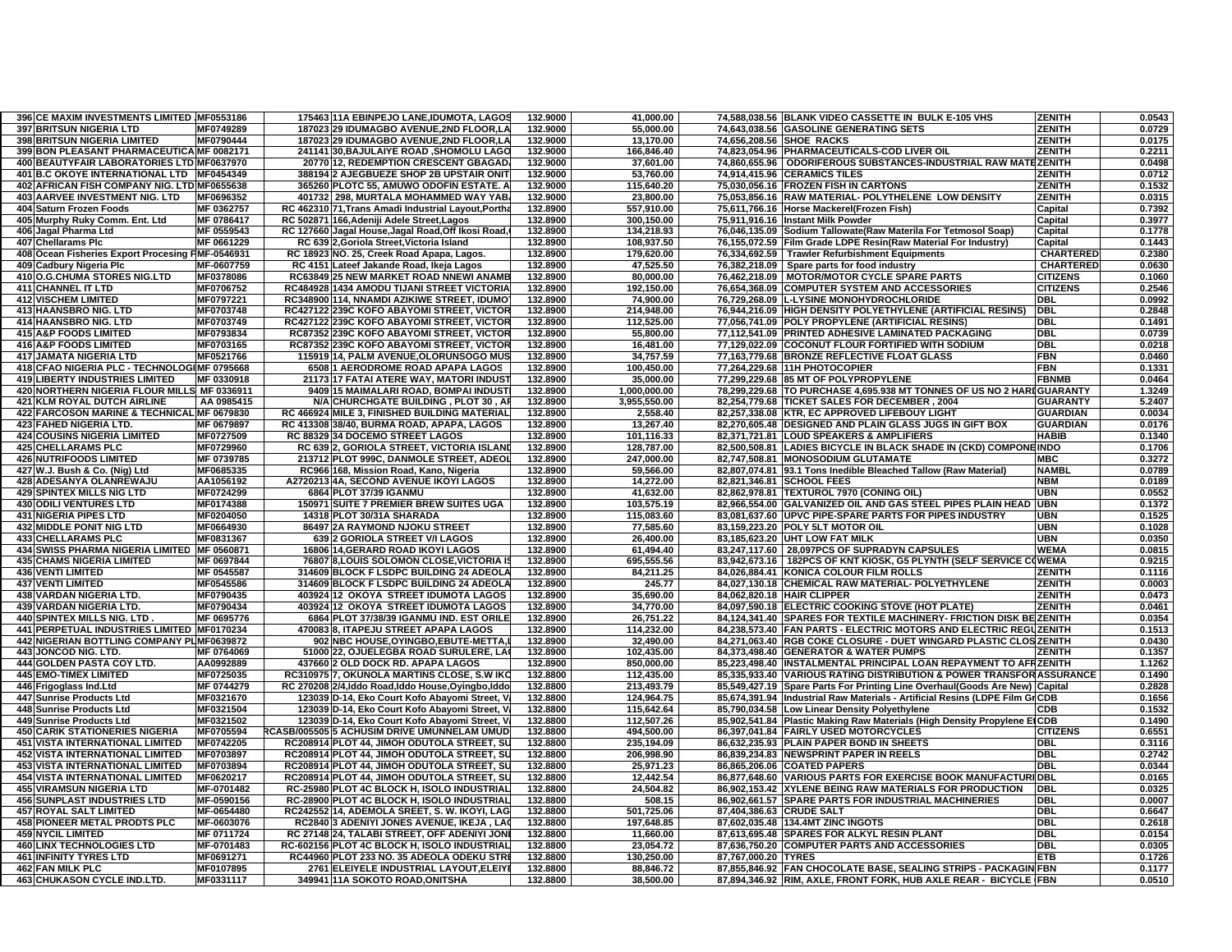| 396 CE MAXIM INVESTMENTS LIMITED IMF0553186      |            | 175463 11A EBINPEJO LANE, IDUMOTA, LAGOS            | 132.9000 | 41,000.00    |                          | 74,588,038.56 BLANK VIDEO CASSETTE IN BULK E-105 VHS                        | <b>ZENITH</b>    | 0.0543 |
|--------------------------------------------------|------------|-----------------------------------------------------|----------|--------------|--------------------------|-----------------------------------------------------------------------------|------------------|--------|
| <b>397 BRITSUN NIGERIA LTD</b>                   | MF0749289  | 187023 29 IDUMAGBO AVENUE, 2ND FLOOR, LA            | 132.9000 | 55,000.00    |                          | 74,643,038.56 GASOLINE GENERATING SETS                                      | <b>ZENITH</b>    | 0.0729 |
| <b>398 BRITSUN NIGERIA LIMITED</b>               | MF0790444  | 187023 29 IDUMAGBO AVENUE,2ND FLOOR,LA              | 132.9000 | 13,170.00    |                          | 74,656,208.56 SHOE RACKS                                                    | <b>ZENITH</b>    | 0.0175 |
| 399 BON PLEASANT PHARMACEUTICA MF 0082171        |            | 241141 30, BAJULAIYE ROAD, SHOMOLU LAGO             | 132.9000 | 166,846.40   |                          | 74,823,054.96 PHARMACEUTICALS-COD LIVER OIL                                 | <b>ZENITH</b>    | 0.2211 |
| 400 BEAUTYFAIR LABORATORIES LTD MF0637970        |            | 20770 12, REDEMPTION CRESCENT GBAGAD                | 132.9000 | 37,601.00    |                          | 74,860,655.96   ODORIFEROUS SUBSTANCES-INDUSTRIAL RAW MATEZENITH            |                  | 0.0498 |
| 401 B.C OKOYE INTERNATIONAL LTD MF0454349        |            | 388194 2 AJEGBUEZE SHOP 2B UPSTAIR ONIT             | 132.9000 | 53.760.00    |                          | 74.914.415.96 CERAMICS TILES                                                | ZENITH           | 0.0712 |
| 402 AFRICAN FISH COMPANY NIG. LTD MF0655638      |            | 365260 PLOTC 55, AMUWO ODOFIN ESTATE. A             | 132.9000 | 115,640.20   |                          | 75,030,056.16 FROZEN FISH IN CARTONS                                        | ZENITH           | 0.1532 |
| 403 AARVEE INVESTMENT NIG. LTD                   | MF0696352  | 401732 298, MURTALA MOHAMMED WAY YAB.               | 132.9000 | 23,800.00    |                          | 75,053,856.16 RAW MATERIAL- POLYTHELENE LOW DENSITY                         | <b>ZENITH</b>    | 0.0315 |
| 404 Saturn Frozen Foods                          | MF 0362757 | RC 462310 71, Trans Amadi Industrial Layout, Portha | 132.8900 | 557,910.00   |                          | 75,611,766.16 Horse Mackerel(Frozen Fish)                                   | Capital          | 0.7392 |
| 405 Murphy Ruky Comm. Ent. Ltd                   | MF 0786417 | RC 502871 166, Adeniji Adele Street, Lagos          | 132.8900 | 300,150.00   |                          | 75,911,916.16 Instant Milk Powder                                           | Capital          | 0.3977 |
| 406 Jagal Pharma Ltd                             | MF 0559543 | RC 127660 Jagal House, Jagal Road, Off Ikosi Road,  | 132.8900 | 134,218.93   |                          | 76,046,135.09 Sodium Tallowate(Raw Materila For Tetmosol Soap)              | Capital          | 0.1778 |
| 407 Chellarams Plc                               | MF 0661229 | RC 639 2, Goriola Street, Victoria Island           | 132.8900 | 108,937.50   |                          | 76,155,072.59 Film Grade LDPE Resin(Raw Material For Industry)              | Capital          | 0.1443 |
| 408 Ocean Fisheries Export Procesing FMF-0546931 |            | RC 18923 NO. 25, Creek Road Apapa, Lagos.           | 132.8900 | 179.620.00   |                          | 76.334.692.59 Trawler Refurbishment Equipments                              | <b>CHARTERED</b> | 0.2380 |
| 409 Cadbury Nigeria Plc                          | MF-0607759 | RC 4151 Lateef Jakande Road, Ikeja Lagos            | 132.8900 | 47,525.50    |                          | 76,382,218.09 Spare parts for food industry                                 | <b>CHARTERED</b> | 0.0630 |
| 410 O.G.CHUMA STORES NIG.LTD                     | MF0378086  | RC63849 25 NEW MARKET ROAD NNEWI ANAME              | 132.8900 | 80,000.00    |                          | 76,462,218.09   MOTOR/MOTOR CYCLE SPARE PARTS                               | <b>CITIZENS</b>  | 0.1060 |
| 411 CHANNEL IT LTD                               | MF0706752  | RC484928 1434 AMODU TIJANI STREET VICTORIA          | 132.8900 | 192.150.00   |                          | 76,654,368.09 COMPUTER SYSTEM AND ACCESSORIES                               | <b>CITIZENS</b>  | 0.2546 |
| <b>412 VISCHEM LIMITED</b>                       | MF0797221  | RC348900 114, NNAMDI AZIKIWE STREET, IDUMO          | 132.8900 | 74,900.00    |                          | 76,729,268.09 L-LYSINE MONOHYDROCHLORIDE                                    | <b>DBL</b>       | 0.0992 |
| <b>413 HAANSBRO NIG. LTD</b>                     | MF0703748  | RC427122 239C KOFO ABAYOMI STREET, VICTOR           | 132.8900 | 214,948.00   |                          | 76,944,216.09 HIGH DENSITY POLYETHYLENE (ARTIFICIAL RESINS)                 | <b>DBL</b>       | 0.2848 |
| 414 HAANSBRO NIG. LTD                            | MF0703749  | RC427122 239C KOFO ABAYOMI STREET, VICTOR           | 132.8900 | 112,525.00   |                          | 77,056,741.09 POLY PROPYLENE (ARTIFICIAL RESINS)                            | <b>DBL</b>       | 0.1491 |
| <b>415 A&amp;P FOODS LIMITED</b>                 | MF0793834  | RC87352 239C KOFO ABAYOMI STREET, VICTOR            | 132.8900 | 55,800.00    |                          | 77,112,541.09 PRINTED ADHESIVE LAMINATED PACKAGING                          | <b>DBL</b>       | 0.0739 |
| <b>416 A&amp;P FOODS LIMITED</b>                 | MF0703165  | RC87352 239C KOFO ABAYOMI STREET, VICTOR            | 132.8900 | 16,481.00    |                          | 77,129,022.09 COCONUT FLOUR FORTIFIED WITH SODIUM                           | <b>DBL</b>       | 0.0218 |
| <b>417 JAMATA NIGERIA LTD</b>                    | MF0521766  | 115919 14, PALM AVENUE, OLORUNSOGO MUS              | 132.8900 | 34,757.59    |                          | 77,163,779.68 BRONZE REFLECTIVE FLOAT GLASS                                 | FBN              | 0.0460 |
| 418 CFAO NIGERIA PLC - TECHNOLOGIMF 0795668      |            | 6508 1 AERODROME ROAD APAPA LAGOS                   | 132.8900 | 100,450.00   |                          | 77,264,229.68 11H PHOTOCOPIER                                               | <b>FBN</b>       | 0.1331 |
| <b>419 LIBERTY INDUSTRIES LIMITED</b>            | MF 0330918 | 21173 17 FATAI ATERE WAY, MATORI INDUST             | 132.8900 | 35,000.00    |                          | 77,299,229.68 85 MT OF POLYPROPYLENE                                        | <b>FBNMB</b>     | 0.0464 |
| 420 NORTHERN NIGERIA FLOUR MILLS MF 0336911      |            | 9409 15 MAIMALARI ROAD, BOMPAI INDUST               | 132.8900 | 1,000,000.00 |                          | 78,299,229.68 TO PURCHASE 4,695.938 MT TONNES OF US NO 2 HARIGUARANTY       |                  | 1.3249 |
| <b>421 KLM ROYAL DUTCH AIRLINE</b>               | AA 0985415 | N/A CHURCHGATE BUILDING, PLOT 30, AI                | 132.8900 | 3,955,550.00 |                          | 82,254,779.68 TICKET SALES FOR DECEMBER, 2004                               | <b>GUARANTY</b>  | 5.2407 |
| 422 FARCOSON MARINE & TECHNICAL MF 0679830       |            | RC 466924 MILE 3, FINISHED BUILDING MATERIAL        | 132.8900 | 2,558.40     |                          | 82,257,338.08 KTR, EC APPROVED LIFEBOUY LIGHT                               | <b>GUARDIAN</b>  | 0.0034 |
| <b>423 FAHED NIGERIA LTD.</b>                    | MF 0679897 | RC 413308 38/40, BURMA ROAD, APAPA, LAGOS           | 132.8900 | 13,267.40    |                          | 82,270,605.48 DESIGNED AND PLAIN GLASS JUGS IN GIFT BOX                     | <b>GUARDIAN</b>  | 0.0176 |
| <b>424 COUSINS NIGERIA LIMITED</b>               | MF0727509  | RC 88329 34 DOCEMO STREET LAGOS                     | 132.8900 | 101,116.33   |                          | 82,371,721.81 LOUD SPEAKERS & AMPLIFIERS                                    | <b>HABIB</b>     | 0.1340 |
| <b>425 CHELLARAMS PLC</b>                        | MF0729960  | RC 639 2, GORIOLA STREET, VICTORIA ISLANI           | 132.8900 | 128,787.00   |                          | 82,500,508.81 LADIES BICYCLE IN BLACK SHADE IN (CKD) COMPON                 | <b>EINDO</b>     | 0.1706 |
| <b>426 NUTRIFOODS LIMITED</b>                    | MF 0739785 | 213712 PLOT 999C, DANMOLE STREET, ADEOL             | 132.8900 | 247.000.00   |                          | 82.747.508.81 MONOSODIUM GLUTAMATE                                          | <b>MBC</b>       | 0.3272 |
| 427 W.J. Bush & Co. (Nig) Ltd                    | MF0685335  | RC966 168, Mission Road, Kano, Nigeria              | 132.8900 | 59,566.00    |                          | 82,807,074.81 93.1 Tons Inedible Bleached Tallow (Raw Material)             | <b>NAMB</b>      | 0.0789 |
| 428 ADESANYA OLANREWAJU                          | AA1056192  | A2720213 4A, SECOND AVENUE IKOYI LAGOS              | 132.8900 | 14,272.00    |                          | 82,821,346.81 SCHOOL FEES                                                   | <b>NBM</b>       | 0.0189 |
| <b>429 SPINTEX MILLS NIG LTD</b>                 | MF0724299  | 6864 PLOT 37/39 IGANMU                              | 132.8900 | 41,632.00    |                          | 82,862,978.81 TEXTUROL 7970 (CONING OIL)                                    | <b>UBN</b>       | 0.0552 |
| <b>430 ODILI VENTURES LTD</b>                    | MF0174388  | 150971 SUITE 7 PREMIER BREW SUITES UGA              | 132.8900 | 103,575.19   |                          | 82,966,554.00 GALVANIZED OIL AND GAS STEEL PIPES PLAIN HEAD                 | <b>UBN</b>       | 0.1372 |
| <b>431 NIGERIA PIPES LTD</b>                     | MF0204050  | 14318 PLOT 30/31A SHARADA                           | 132.8900 | 115.083.60   |                          | 83,081,637.60 UPVC PIPE-SPARE PARTS FOR PIPES INDUSTRY                      | UBN              | 0.1525 |
| <b>432 MIDDLE PONIT NIG LTD</b>                  | MF0664930  | 86497 2A RAYMOND NJOKU STREET                       | 132.8900 | 77,585.60    |                          | 83,159,223.20 POLY 5LT MOTOR OIL                                            | <b>UBN</b>       | 0.1028 |
| <b>433 CHELLARAMS PLC</b>                        | MF0831367  | 639 2 GORIOLA STREET V/I LAGOS                      | 132.8900 | 26,400.00    |                          | 83,185,623.20 UHT LOW FAT MILK                                              | <b>UBN</b>       | 0.0350 |
| 434 SWISS PHARMA NIGERIA LIMITED MF 0560871      |            | 16806 14, GERARD ROAD IKOYI LAGOS                   | 132.8900 | 61,494.40    |                          | 83,247,117.60 28,097PCS OF SUPRADYN CAPSULES                                | <b>WEMA</b>      | 0.0815 |
| <b>435 CHAMS NIGERIA LIMITED</b>                 | MF 0697844 | 76807 8, LOUIS SOLOMON CLOSE, VICTORIA I            | 132.8900 | 695,555.56   |                          | 83,942,673.16   182PCS OF KNT KIOSK, G5 PLYNTH (SELF SERVICE COWEMA         |                  | 0.9215 |
| <b>436 VENTI LIMITED</b>                         | MF 0545587 | 314609 BLOCK F LSDPC BUILDING 24 ADEOLA             | 132.8900 | 84.211.25    |                          | 84,026,884.41 KONICA COLOUR FILM ROLLS                                      | <b>ZENITH</b>    | 0.1116 |
| <b>437 VENTI LIMITED</b>                         | MF0545586  | 314609 BLOCK F LSDPC BUILDING 24 ADEOLA             | 132.8900 | 245.77       |                          | 84,027,130.18 CHEMICAL RAW MATERIAL- POLYETHYLENE                           | ZENITH           | 0.0003 |
| 438 VARDAN NIGERIA LTD.                          | MF0790435  | 403924 12 OKOYA STREET IDUMOTA LAGOS                | 132.8900 | 35,690.00    |                          | 84.062.820.18 HAIR CLIPPER                                                  | <b>ZENITH</b>    | 0.0473 |
| 439 VARDAN NIGERIA LTD.                          | MF0790434  | 403924 12 OKOYA STREET IDUMOTA LAGOS                | 132.8900 | 34,770.00    |                          | 84,097,590.18 ELECTRIC COOKING STOVE (HOT PLATE)                            | <b>ZENITH</b>    | 0.0461 |
| <b>440 SPINTEX MILLS NIG. LTD</b>                | MF 0695776 | 6864 PLOT 37/38/39 IGANMU IND. EST ORILE            | 132.8900 | 26,751.22    |                          | 84,124,341.40 SPARES FOR TEXTILE MACHINERY- FRICTION DISK BE ZENITH         |                  | 0.0354 |
| 441 PERPETUAL INDUSTRIES LIMITED MF0170234       |            | 470083 8. ITAPEJU STREET APAPA LAGOS                | 132.8900 | 114,232.00   |                          | 84.238.573.40 FAN PARTS - ELECTRIC MOTORS AND ELECTRIC REGUZENITH           |                  | 0.1513 |
| 442 NIGERIAN BOTTLING COMPANY PLMF0639872        |            | 902 NBC HOUSE, OYINGBO, EBUTE-METTA,                | 132.8900 | 32,490.00    |                          | 84,271,063.40 RGB COKE CLOSURE - DUET WINGARD PLASTIC CLOSZENITH            |                  | 0.0430 |
| 443 JONCOD NIG. LTD.                             | MF 0764069 | 51000 22, OJUELEGBA ROAD SURULERE, LA               | 132.8900 | 102,435.00   |                          | 84,373,498.40 GENERATOR & WATER PUMPS                                       | <b>ZENITH</b>    | 0.1357 |
| 444 GOLDEN PASTA COY LTD.                        | AA0992889  | 437660 2 OLD DOCK RD. APAPA LAGOS                   | 132.8900 | 850,000.00   |                          | 85,223,498.40  INSTALMENTAL PRINCIPAL LOAN REPAYMENT TO AFRZENITH           |                  | 1.1262 |
| <b>445 EMO-TIMEX LIMITED</b>                     | MF0725035  | RC310975 7, OKUNOLA MARTINS CLOSE, S.W IKO          | 132.8800 | 112,435.00   |                          | 85,335,933.40 VARIOUS RATING DISTRIBUTION & POWER TRANSFOR ASSURANCE        |                  | 0.1490 |
| 446 Frigoglass Ind.Ltd                           | MF 0744279 | RC 270208 2/4,Iddo Road,Iddo House,Oyingbo,Iddo     | 132.8800 | 213,493.79   |                          | 85,549,427.19 Spare Parts For Printing Line Overhaul(Goods Are New) Capital |                  | 0.2828 |
| 447 Sunrise Products Ltd                         | MF0321670  | 123039 D-14, Eko Court Kofo Abayomi Street, V.      | 132.8800 | 124,964.75   |                          | 85,674,391.94 Industrial Raw Materials - Artificial Resins (LDPE Film GrCDB |                  | 0.1656 |
| 448 Sunrise Products Ltd                         | MF0321504  | 123039 D-14, Eko Court Kofo Abayomi Street, V.      | 132.8800 | 115,642.64   |                          | 85,790,034.58 Low Linear Density Polyethylene                               | <b>CDB</b>       | 0.1532 |
| 449 Sunrise Products Ltd                         | MF0321502  | 123039 D-14, Eko Court Kofo Abayomi Street, V.      | 132.8800 | 112,507.26   |                          | 85,902,541.84 Plastic Making Raw Materials (High Density Propylene EtCDB    |                  | 0.1490 |
| <b>450 CARIK STATIONERIES NIGERIA</b>            | MF0705594  | RCASB/005505 5 ACHUSIM DRIVE UMUNNELAM UMUD         | 132.8800 | 494,500.00   |                          | 86,397,041.84 FAIRLY USED MOTORCYCLES                                       | <b>CITIZENS</b>  | 0.6551 |
| <b>451 VISTA INTERNATIONAL LIMITED</b>           | MF0742205  | RC208914 PLOT 44, JIMOH ODUTOLA STREET, SU          | 132.8800 | 235,194.09   |                          | 86,632,235.93 PLAIN PAPER BOND IN SHEETS                                    | <b>DBL</b>       | 0.3116 |
| <b>452 VISTA INTERNATIONAL LIMITED</b>           | MF0703897  | RC208914 PLOT 44, JIMOH ODUTOLA STREET, SU          | 132.8800 | 206,998.90   |                          | 86,839,234.83 NEWSPRINT PAPER IN REELS                                      | <b>DBL</b>       | 0.2742 |
| <b>453 VISTA INTERNATIONAL LIMITED</b>           | MF0703894  | RC208914 PLOT 44, JIMOH ODUTOLA STREET, SU          | 132.8800 | 25.971.23    |                          | 86.865.206.06 COATED PAPERS                                                 | <b>DBL</b>       | 0.0344 |
| <b>454 VISTA INTERNATIONAL LIMITED</b>           | MF0620217  | RC208914 PLOT 44, JIMOH ODUTOLA STREET, SU          | 132.8800 | 12,442.54    |                          | 86,877,648.60 VARIOUS PARTS FOR EXERCISE BOOK MANUFACTU                     | <b>IDBL</b>      | 0.0165 |
| <b>455 VIRAMSUN NIGERIA LTD</b>                  | MF-0701482 | RC-25980 PLOT 4C BLOCK H, ISOLO INDUSTRIAL          | 132.8800 | 24,504.82    |                          | 86,902,153.42 XYLENE BEING RAW MATERIALS FOR PRODUCTION                     | <b>DBL</b>       | 0.0325 |
| <b>456 SUNPLAST INDUSTRIES LTD</b>               | MF-0590156 | RC-28900 PLOT 4C BLOCK H, ISOLO INDUSTRIAL          | 132.8800 | 508.15       |                          | 86,902,661.57 SPARE PARTS FOR INDUSTRIAL MACHINERIES                        | <b>DBL</b>       | 0.0007 |
| <b>457 ROYAL SALT LIMITED</b>                    | MF-0654480 | RC242552 14, ADEMOLA SREET, S. W. IKOYI, LAG        | 132.8800 | 501,725.06   | 87,404,386.63 CRUDE SALT |                                                                             | <b>DBL</b>       | 0.6647 |
| <b>458 PIONEER METAL PRODTS PLC</b>              | MF-0603076 | RC2840 3 ADENIYI JONES AVENUE, IKEJA, LAC           | 132.8800 | 197,648.85   |                          | 87,602,035.48 134.4MT ZINC INGOTS                                           | <b>DBL</b>       | 0.2618 |
| <b>459 NYCIL LIMITED</b>                         | MF 0711724 | RC 27148 24, TALABI STREET, OFF ADENIYI JON         | 132.8800 | 11,660.00    |                          | 87,613,695.48 SPARES FOR ALKYL RESIN PLANT                                  | <b>DBL</b>       | 0.0154 |
| <b>460 LINX TECHNOLOGIES LTD</b>                 | MF-0701483 | RC-602156 PLOT 4C BLOCK H, ISOLO INDUSTRIAL         | 132.8800 | 23,054.72    |                          | 87,636,750.20 COMPUTER PARTS AND ACCESSORIES                                | <b>DBL</b>       | 0.0305 |
| <b>461 INFINITY TYRES LTD</b>                    | MF0691271  | RC44960 PLOT 233 NO. 35 ADEOLA ODEKU STRI           | 132.8800 | 130,250.00   | 87,767,000.20 TYRES      |                                                                             | <b>ETB</b>       | 0.1726 |
| <b>462 FAN MILK PLC</b>                          | MF0107895  | 2761 ELEIYELE INDUSTRIAL LAYOUT, ELEIYI             | 132.8800 | 88,846.72    |                          | 87,855,846.92 FAN CHOCOLATE BASE, SEALING STRIPS - PACKAGIN FBN             |                  | 0.1177 |
| 463 CHUKASON CYCLE IND.LTD.                      | MF0331117  | 349941 11A SOKOTO ROAD, ONITSHA                     | 132.8800 | 38,500.00    |                          | 87,894,346.92 RIM, AXLE, FRONT FORK, HUB AXLE REAR - BICYCLE FBN            |                  | 0.0510 |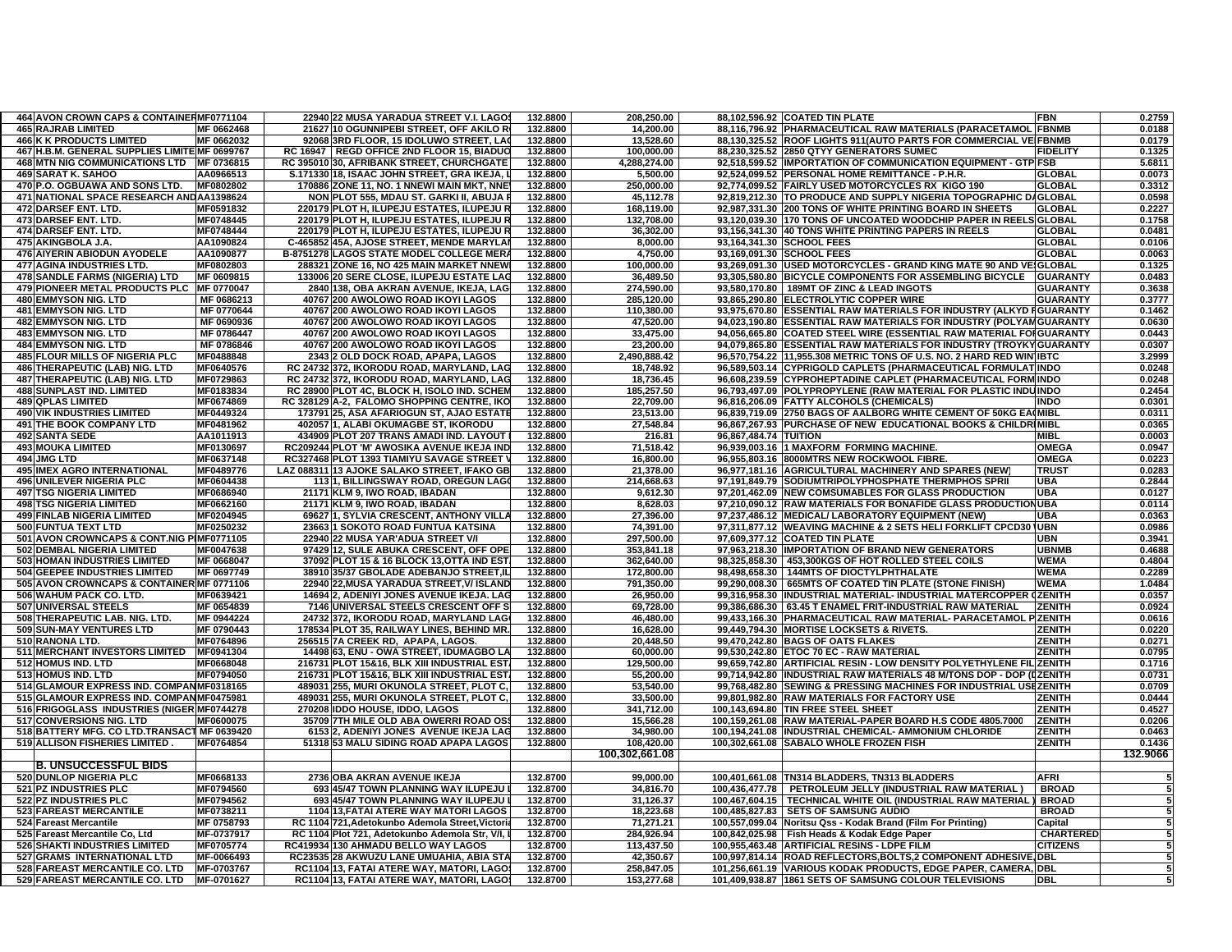| 464 AVON CROWN CAPS & CONTAINERMF0771104      |                        | 22940 22 MUSA YARADUA STREET V.I. LAGO:         | 132.8800 | 208,250.00              |                       | 88,102,596.92 COATED TIN PLATE                                       | FBN              | 0.2759   |
|-----------------------------------------------|------------------------|-------------------------------------------------|----------|-------------------------|-----------------------|----------------------------------------------------------------------|------------------|----------|
| <b>465 RAJRAB LIMITED</b>                     | MF 0662468             | 21627 10 OGUNNIPEBI STREET, OFF AKILO RO        | 132.8800 | 14.200.00               |                       | 88,116,796.92 PHARMACEUTICAL RAW MATERIALS (PARACETAMOL FBNMB        |                  | 0.0188   |
| <b>466 K K PRODUCTS LIMITED</b>               | MF 0662032             | 92068 3RD FLOOR, 15 IDOLUWO STREET, LAC         | 132.8800 | 13,528.60               |                       | 88,130,325.52 ROOF LIGHTS 911(AUTO PARTS FOR COMMERCIAL VE FBNMB     |                  | 0.0179   |
| 467 H.B.M. GENERAL SUPPLIES LIMITE MF 0699767 |                        | RC 16947   REGD OFFICE 2ND FLOOR 15, BIADUO     | 132.8800 | 100,000.00              |                       | 88,230,325.52 2850 QTYY GENERATORS SUMEC                             | <b>FIDELITY</b>  | 0.1325   |
| 468 MTN NIG COMMUNICATIONS LTD MF 0736815     |                        | RC 395010 30, AFRIBANK STREET, CHURCHGATE       | 132,8800 | 4.288.274.00            |                       | 92,518,599.52 IMPORTATION OF COMMUNICATION EQUIPMENT - GTP FSB       |                  | 5.6811   |
| <b>469 SARAT K. SAHOO</b>                     | AA0966513              | S.171330 18, ISAAC JOHN STREET, GRA IKEJA,      | 132.8800 | 5,500.00                |                       | 92.524.099.52 PERSONAL HOME REMITTANCE - P.H.R.                      | <b>GLOBAL</b>    | 0.0073   |
| 470 P.O. OGBUAWA AND SONS LTD.                | MF0802802              | 170886 ZONE 11, NO. 1 NNEWI MAIN MKT, NNE       | 132.8800 | 250,000.00              |                       | 92,774,099.52 FAIRLY USED MOTORCYCLES RX KIGO 190                    | <b>GLOBAL</b>    | 0.3312   |
| 471 NATIONAL SPACE RESEARCH ANDAA1398624      |                        | NON PLOT 555, MDAU ST. GARKI II, ABUJA          | 132.8800 | 45,112.78               |                       | 92,819,212.30 TO PRODUCE AND SUPPLY NIGERIA TOPOGRAPHIC DAGLOBAL     |                  | 0.0598   |
| 472 DARSEF ENT. LTD.                          | MF0591832              | 220179 PLOT H, ILUPEJU ESTATES, ILUPEJU F       | 132.8800 | 168,119.00              |                       | 92,987,331.30 200 TONS OF WHITE PRINTING BOARD IN SHEETS             | <b>GLOBAL</b>    | 0.2227   |
| 473 DARSEF ENT. LTD.                          | MF0748445              | 220179 PLOT H, ILUPEJU ESTATES, ILUPEJU F       | 132.8800 | 132.708.00              |                       | 93,120,039.30 170 TONS OF UNCOATED WOODCHIP PAPER IN REELS GLOBAL    |                  | 0.1758   |
| 474 DARSEF ENT. LTD.                          | MF0748444              | 220179 PLOT H, ILUPEJU ESTATES, ILUPEJU F       | 132.8800 | 36,302.00               |                       | 93,156,341.30 40 TONS WHITE PRINTING PAPERS IN REELS                 | <b>GLOBAL</b>    | 0.0481   |
| 475 AKINGBOLA J.A.                            | AA1090824              | C-465852 45A, AJOSE STREET, MENDE MARYLA        | 132.8800 | 8,000.00                |                       | 93,164,341.30 SCHOOL FEES                                            | <b>GLOBAL</b>    | 0.0106   |
| 476 AIYERIN ABIODUN AYODELE                   | AA1090877              | B-8751278 LAGOS STATE MODEL COLLEGE MER.        | 132.8800 | 4,750.00                |                       | 93,169,091.30 SCHOOL FEES                                            | <b>GLOBAL</b>    | 0.0063   |
| <b>477 AGINA INDUSTRIES LTD.</b>              | MF0802803              | 288321 ZONE 16, NO 425 MAIN MARKET NNEW         | 132.8800 | 100,000.00              |                       | 93,269,091.30 USED MOTORCYCLES - GRAND KING MATE 90 AND VEIGLOBAL    |                  | 0.1325   |
| 478 SANDLE FARMS (NIGERIA) LTD                | MF 0609815             | 133006 20 SERE CLOSE. ILUPEJU ESTATE LAO        | 132.8800 | 36.489.50               |                       | 93,305,580.80 BICYCLE COMPONENTS FOR ASSEMBLING BICYCLE              | <b>GUARANTY</b>  | 0.0483   |
| 479 PIONEER METAL PRODUCTS PLC MF 0770047     |                        | 2840 138, OBA AKRAN AVENUE, IKEJA, LAG          | 132.8800 | 274,590.00              |                       | 93,580,170.80   189MT OF ZINC & LEAD INGOTS                          | <b>GUARANTY</b>  | 0.3638   |
| <b>480 EMMYSON NIG. LTD</b>                   | MF 0686213             | 40767 200 AWOLOWO ROAD IKOYI LAGOS              | 132.8800 | 285,120.00              |                       | 93,865,290.80 ELECTROLYTIC COPPER WIRE                               | <b>GUARANTY</b>  | 0.3777   |
| 481 EMMYSON NIG. LTD                          | MF 0770644             | 40767 200 AWOLOWO ROAD IKOYI LAGOS              | 132.8800 | 110,380.00              |                       | 93,975,670.80 ESSENTIAL RAW MATERIALS FOR INDUSTRY (ALKYD FGUARANTY  |                  | 0.1462   |
|                                               |                        |                                                 |          |                         |                       |                                                                      |                  | 0.0630   |
| 482 EMMYSON NIG. LTD                          | MF 0690936             | 40767 200 AWOLOWO ROAD IKOYI LAGOS              | 132.8800 | 47,520.00               |                       | 94,023,190.80 ESSENTIAL RAW MATERIALS FOR INDUSTRY (POLYAM GUARANTY  |                  |          |
| <b>483 EMMYSON NIG. LTD</b>                   | MF 0786447             | 40767 200 AWOLOWO ROAD IKOYI LAGOS              | 132.8800 | 33,475.00               |                       | 94,056,665.80 COATED STEEL WIRE (ESSENTIAL RAW MATERIAL FOI GUARANTY |                  | 0.0443   |
| 484 EMMYSON NIG. LTD                          | MF 0786846             | 40767 200 AWOLOWO ROAD IKOYI LAGOS              | 132.8800 | 23,200.00               |                       | 94,079,865.80 ESSENTIAL RAW MATERIALS FOR INDUSTRY (TROYKY GUARANTY  |                  | 0.0307   |
| <b>485 FLOUR MILLS OF NIGERIA PLC</b>         | MF0488848              | 2343 2 OLD DOCK ROAD, APAPA, LAGOS              | 132.8800 | 2,490,888.42            |                       | 96,570,754.22 11,955.308 METRIC TONS OF U.S. NO. 2 HARD RED WIN IBTC |                  | 3.2999   |
| 486 THERAPEUTIC (LAB) NIG. LTD                | MF0640576              | RC 24732 372, IKORODU ROAD, MARYLAND, LAC       | 132.8800 | 18,748.92               |                       | 96,589,503.14 CYPRIGOLD CAPLETS (PHARMACEUTICAL FORMULAT INDO        |                  | 0.0248   |
| <b>487 THERAPEUTIC (LAB) NIG. LTD</b>         | MF0729863              | RC 24732 372, IKORODU ROAD, MARYLAND, LAG       | 132.8800 | 18,736.45               |                       | 96,608,239.59 CYPROHEPTADINE CAPLET (PHARMACEUTICAL FORM INDO        |                  | 0.0248   |
| <b>488 SUNPLAST IND. LIMITED</b>              | MF0183834              | RC 28900 PLOT 4C, BLOCK H, ISOLO IND. SCHEN     | 132.8800 | 185,257.50              |                       | 96,793,497.09 POLYPROPYLENE (RAW MATERIAL FOR PLASTIC INDUINDO       |                  | 0.2454   |
| <b>489 QPLAS LIMITED</b>                      | MF0674869              | RC 328129 A-2, FALOMO SHOPPING CENTRE, IKO      | 132.8800 | 22,709.00               |                       | 96,816,206.09 FATTY ALCOHOLS (CHEMICALS)                             | <b>INDO</b>      | 0.0301   |
| <b>490 VIK INDUSTRIES LIMITED</b>             | MF0449324              | 173791 25, ASA AFARIOGUN ST, AJAO ESTATE        | 132.8800 | 23,513.00               |                       | 96,839,719.09 2750 BAGS OF AALBORG WHITE CEMENT OF 50KG EA(MIBL      |                  | 0.0311   |
| <b>491 THE BOOK COMPANY LTD</b>               | MF0481962              | 402057 1, ALABI OKUMAGBE ST, IKORODU            | 132.8800 | 27,548.84               |                       | 96,867,267.93 PURCHASE OF NEW EDUCATIONAL BOOKS & CHILDRIMIBL        |                  | 0.0365   |
| <b>492 SANTA SEDE</b>                         | AA1011913              | 434909 PLOT 207 TRANS AMADI IND. LAYOUT         | 132.8800 | 216.81                  | 96,867,484.74 TUITION |                                                                      | <b>MIBL</b>      | 0.0003   |
| <b>493 MOUKA LIMITED</b>                      | MF0130697              | RC209244 PLOT 'M' AWOSIKA AVENUE IKEJA IND      | 132.8800 | 71,518.42               |                       | 96,939,003.16 1 MAXFORM FORMING MACHINE.                             | OMEGA            | 0.0947   |
| 494 JMG LTD                                   | MF0637148              | RC327468 PLOT 1393 TIAMIYU SAVAGE STREET        | 132.8800 | 16,800.00               |                       | 96,955,803.16 8000MTRS NEW ROCKWOOL FIBRE                            | OMEGA            | 0.0223   |
| <b>495 IMEX AGRO INTERNATIONAL</b>            | MF0489776              | LAZ 088311 13 AJOKE SALAKO STREET, IFAKO GE     | 132.8800 | 21,378.00               |                       | 96,977,181.16 AGRICULTURAL MACHINERY AND SPARES (NEW                 | <b>TRUST</b>     | 0.0283   |
| <b>496 UNILEVER NIGERIA PLC</b>               | MF0604438              | 11311, BILLINGSWAY ROAD, OREGUN LAG             | 132.8800 | 214,668.63              |                       | 97,191,849.79 SODIUMTRIPOL YPHOSPHATE THERMPHOS SPRII                | <b>UBA</b>       | 0.2844   |
| <b>497 TSG NIGERIA LIMITED</b>                | MF0686940              | 21171 KLM 9, IWO ROAD, IBADAN                   | 132.8800 | 9,612.30                |                       | 97,201,462.09 NEW COMSUMABLES FOR GLASS PRODUCTION                   | <b>UBA</b>       | 0.0127   |
| <b>498 TSG NIGERIA LIMITED</b>                | MF0662160              | 21171 KLM 9, IWO ROAD, IBADAN                   | 132.8800 | 8.628.03                |                       | 97,210,090.12 RAW MATERIALS FOR BONAFIDE GLASS PRODUCTIONUBA         |                  | 0.0114   |
| <b>499 FINLAB NIGERIA LIMITED</b>             | MF0204945              | 69627 1, SYLVIA CRESCENT, ANTHONY VILL/         | 132.8800 | 27.396.00               |                       | 97.237.486.12 MEDICAL/ LABORATORY EQUIPMENT (NEW)                    | <b>UBA</b>       | 0.0363   |
| 500 FUNTUA TEXT LTD                           | MF0250232              | 23663 1 SOKOTO ROAD FUNTUA KATSINA              | 132.8800 | 74,391.00               |                       | 97,311,877.12 WEAVING MACHINE & 2 SETS HELI FORKLIFT CPCD30 JUBN     |                  | 0.0986   |
| 501 AVON CROWNCAPS & CONT.NIG PIMF0771105     |                        | 22940 22 MUSA YAR'ADUA STREET V/I               | 132.8800 | 297.500.00              |                       | 97.609.377.12 COATED TIN PLATE                                       | UBN              | 0.3941   |
| 502 DEMBAL NIGERIA LIMITED                    | MF0047638              | 97429 12, SULE ABUKA CRESCENT, OFF OPE          | 132.8800 | 353,841.18              |                       | 97,963,218.30 IMPORTATION OF BRAND NEW GENERATORS                    | <b>UBNMB</b>     | 0.4688   |
| 503 HOMAN INDUSTRIES LIMITED                  | MF 0668047             | 37092 PLOT 15 & 16 BLOCK 13, OTTA IND EST       | 132.8800 | 362,640.00              |                       | 98,325,858.30 453,300KGS OF HOT ROLLED STEEL COILS                   | <b>WEMA</b>      | 0.4804   |
| 504 GEEPEE INDUSTRIES LIMITED                 | MF 0697749             | 38910 35/37 GBOLADE ADEBANJO STREET, IL         | 132.8800 | 172.800.00              |                       | 98,498,658.30   144MTS OF DIOCTYLPHTHALATE                           | <b>WEMA</b>      | 0.2289   |
| 505 AVON CROWNCAPS & CONTAINER MF 0771106     |                        | 22940 22, MUSA YARADUA STREET, V/ ISLAND        | 132.8800 | 791,350.00              |                       | 99,290,008.30   665MTS OF COATED TIN PLATE (STONE FINISH             | <b>WEMA</b>      | 1.0484   |
| 506 WAHUM PACK CO. LTD.                       | MF0639421              | 14694 2, ADENIYI JONES AVENUE IKEJA. LAG        | 132.8800 | 26,950.00               |                       | 99,316,958.30  INDUSTRIAL MATERIAL- INDUSTRIAL MATERCOPPER (ZENITH   |                  | 0.0357   |
| 507 UNIVERSAL STEELS                          | MF 0654839             | 7146 UNIVERSAL STEELS CRESCENT OFF S            | 132.8800 | 69,728.00               |                       | 99,386,686.30   63.45 T ENAMEL FRIT-INDUSTRIAL RAW MATERIAL          | <b>ZENITH</b>    | 0.0924   |
| 508 THERAPEUTIC LAB. NIG. LTD.                | MF 0944224             | 24732 372, IKORODU ROAD, MARYLAND LAG           | 132.8800 | 46,480.00               |                       | 99,433,166.30 PHARMACEUTICAL RAW MATERIAL- PARACETAMOL PIZENITH      |                  | 0.0616   |
| 509 SUN-MAY VENTURES LTD                      | MF 0790443             | 178534 PLOT 35. RAILWAY LINES. BEHIND MR        | 132.8800 | 16.628.00               |                       |                                                                      | <b>ZENITH</b>    | 0.0220   |
|                                               |                        |                                                 |          |                         |                       | 99,449,794.30 MORTISE LOCKSETS & RIVETS.                             | <b>ZENITH</b>    |          |
| 510 RANONA LTD.                               | MF0764896              | 256515 7A CREEK RD, APAPA, LAGOS.               | 132.8800 | 20,448.50               |                       | 99,470,242.80 BAGS OF OATS FLAKES                                    |                  | 0.0271   |
| 511 MERCHANT INVESTORS LIMITED                | MF0941304<br>MF0668048 | 14498 63, ENU - OWA STREET, IDUMAGBO LA         | 132.8800 | 60,000.00<br>129.500.00 |                       | 99,530,242.80 ETOC 70 EC - RAW MATERIAL                              | <b>ZENITH</b>    | 0.0795   |
| 512 HOMUS IND. LTD                            |                        | 216731 PLOT 15&16, BLK XIII INDUSTRIAL EST      | 132.8800 |                         |                       | 99,659,742.80 ARTIFICIAL RESIN - LOW DENSITY POLYETHYLENE FIL ZENITH |                  | 0.1716   |
| 513 HOMUS IND. LTD                            | MF0794050              | 216731 PLOT 15&16, BLK XIII INDUSTRIAL EST      | 132.8800 | 55,200.00               |                       | 99,714,942.80 INDUSTRIAL RAW MATERIALS 48 M/TONS DOP - DOP (IZENITH  |                  | 0.0731   |
| 514 GLAMOUR EXPRESS IND. COMPANMF0318165      |                        | 489031 255, MURI OKUNOLA STREET, PLOT C.        | 132.8800 | 53,540.00               |                       | 99,768,482.80 SEWING & PRESSING MACHINES FOR INDUSTRIAL USEZENITH    |                  | 0.0709   |
| 515 GLAMOUR EXPRESS IND. COMPAN MF0475981     |                        | 489031 255, MURI OKUNOLA STREET, PLOT C,        | 132.8800 | 33,500.00               |                       | 99,801,982.80 RAW MATERIALS FOR FACTORY USE                          | ZENITH           | 0.0444   |
| 516 FRIGOGLASS INDUSTRIES (NIGER MF0744278    |                        | 270208 IDDO HOUSE, IDDO, LAGOS                  | 132.8800 | 341,712.00              |                       | 100,143,694.80 TIN FREE STEEL SHEET                                  | <b>ZENITH</b>    | 0.4527   |
| 517 CONVERSIONS NIG. LTD                      | MF0600075              | 35709 7TH MILE OLD ABA OWERRI ROAD OS           | 132.8800 | 15.566.28               |                       | 100.159.261.08 RAW MATERIAL-PAPER BOARD H.S CODE 4805.7000           | <b>ZENITH</b>    | 0.0206   |
| 518 BATTERY MFG. CO LTD.TRANSACT MF 0639420   |                        | 6153 2, ADENIYI JONES AVENUE IKEJA LAQ          | 132.8800 | 34,980.00               |                       | 100,194,241.08 INDUSTRIAL CHEMICAL- AMMONIUM CHLORIDE                | ZENITH           | 0.0463   |
| 519 ALLISON FISHERIES LIMITED.                | MF0764854              | 51318 53 MALU SIDING ROAD APAPA LAGOS           | 132.8800 | 108,420.00              |                       | 100,302,661.08 SABALO WHOLE FROZEN FISH                              | <b>ZENITH</b>    | 0.1436   |
|                                               |                        |                                                 |          | 100,302,661.08          |                       |                                                                      |                  | 132.9066 |
| <b>B. UNSUCCESSFUL BIDS</b>                   |                        |                                                 |          |                         |                       |                                                                      |                  |          |
| 520 DUNLOP NIGERIA PLC                        | MF0668133              | 2736 OBA AKRAN AVENUE IKEJA                     | 132.8700 | 99,000.00               |                       | 100,401,661.08 TN314 BLADDERS, TN313 BLADDERS                        | <b>AFRI</b>      |          |
| 521 PZ INDUSTRIES PLC                         | MF0794560              | 693 45/47 TOWN PLANNING WAY ILUPEJU             | 132.8700 | 34,816.70               | 100,436,477.78        | PETROLEUM JELLY (INDUSTRIAL RAW MATERIAL                             | <b>BROAD</b>     |          |
| 522 PZ INDUSTRIES PLC                         | MF0794562              | 693 45/47 TOWN PLANNING WAY ILUPEJU             | 132.8700 | 31,126.37               |                       | 100,467,604.15   TECHNICAL WHITE OIL (INDUSTRIAL RAW MATERIAL        | <b>BROAD</b>     |          |
| <b>523 FAREAST MERCANTILE</b>                 | MF0738211              | 1104 13, FATAI ATERE WAY MATORI LAGOS           | 132.8700 | 18,223.68               | 100,485,827.83        | <b>SETS OF SAMSUNG AUDIO</b>                                         | <b>BROAD</b>     |          |
| 524 Fareast Mercantile                        | MF 0758793             | RC 1104 721, Adetokunbo Ademola Street, Victori | 132.8700 | 71,271.21               |                       | 100,557,099.04 Noritsu Qss - Kodak Brand (Film For Printing)         | Capital          |          |
| 525 Fareast Mercantile Co, Ltd                | MF-0737917             | RC 1104 Plot 721, Adetokunbo Ademola Str, V/I,  | 132.8700 | 284,926.94              |                       | 100,842,025.98 Fish Heads & Kodak Edge Paper                         | <b>CHARTERED</b> |          |
| <b>526 SHAKTI INDUSTRIES LIMITED</b>          | MF0705774              | RC419934 130 AHMADU BELLO WAY LAGOS             | 132.8700 | 113,437.50              |                       | 100,955,463.48 ARTIFICIAL RESINS - LDPE FILM                         | <b>CITIZENS</b>  |          |
| 527 GRAMS INTERNATIONAL LTD                   | MF-0066493             | RC23535 28 AKWUZU LANE UMUAHIA, ABIA ST/        | 132.8700 | 42,350.67               |                       | 100,997,814.14 ROAD REFLECTORS, BOLTS, 2 COMPONENT ADHESIV           | JDBL             |          |
| 528 FAREAST MERCANTILE CO. LTD                | MF-0703767             | RC1104 13, FATAI ATERE WAY, MATORI, LAGO        | 132.8700 | 258.847.05              |                       | 101,256,661.19 VARIOUS KODAK PRODUCTS, EDGE PAPER, CAMERA.           | <b>DBL</b>       |          |
| 529 FAREAST MERCANTILE CO. LTD                | MF-0701627             | RC1104 13, FATAI ATERE WAY, MATORI, LAGOS       | 132.8700 | 153,277.68              |                       | 101,409,938.87 1861 SETS OF SAMSUNG COLOUR TELEVISIONS               | <b>DBL</b>       |          |
|                                               |                        |                                                 |          |                         |                       |                                                                      |                  |          |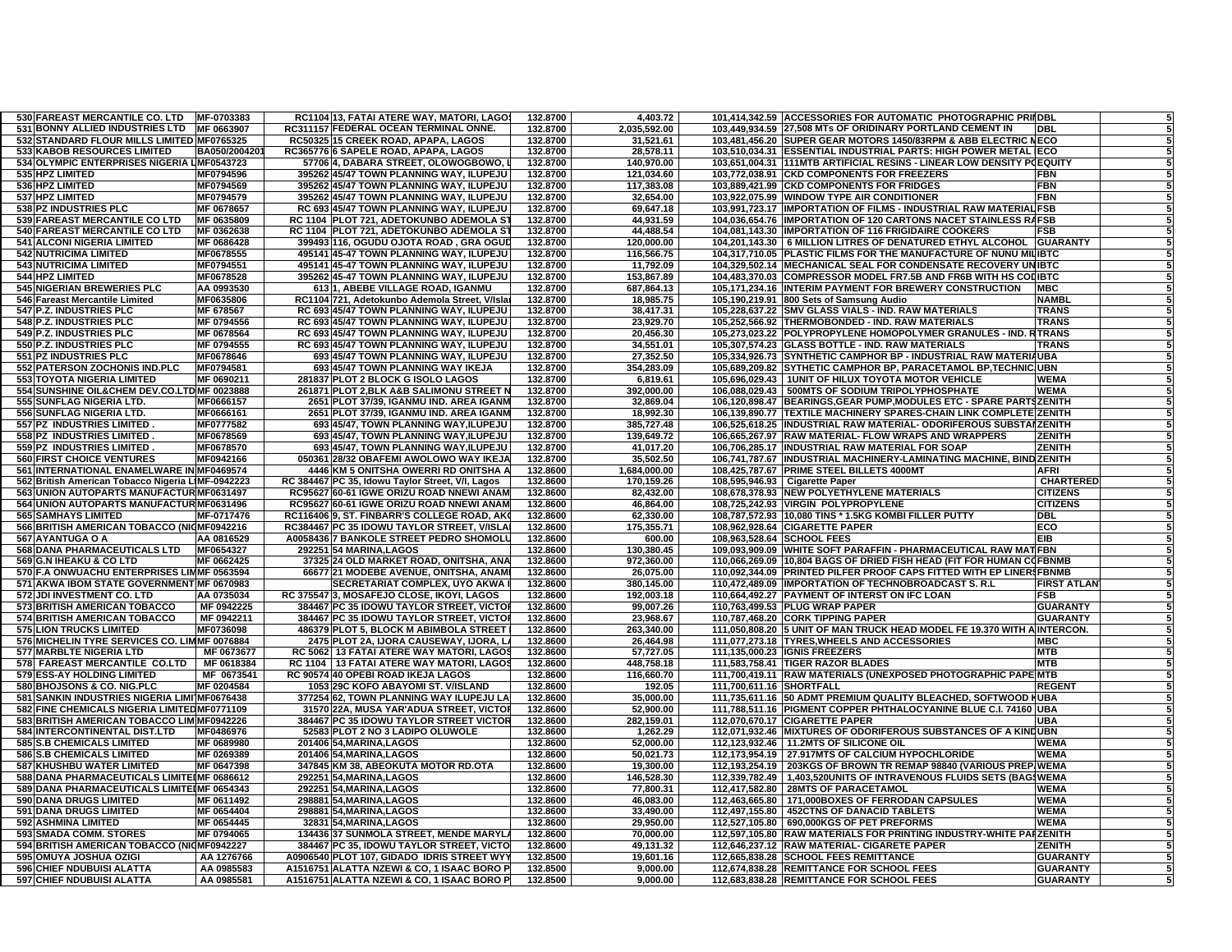| 530 FAREAST MERCANTILE CO. LTD                                                             | MF-0703383              | RC1104 13, FATAI ATERE WAY, MATORI, LAGOS                    | 132.8700             | 4,403.72                | 101,414,342.59 ACCESSORIES FOR AUTOMATIC PHOTOGRAPHIC PRIIDBL                                                                      |                    |
|--------------------------------------------------------------------------------------------|-------------------------|--------------------------------------------------------------|----------------------|-------------------------|------------------------------------------------------------------------------------------------------------------------------------|--------------------|
| 531 BONNY ALLIED INDUSTRIES LTD                                                            | MF 0663907              | RC311157 FEDERAL OCEAN TERMINAL ONNE.                        | 132.8700             | 2,035,592.00            | 103,449,934.59 27,508 MTs OF ORIDINARY PORTLAND CEMENT IN<br><b>DBL</b>                                                            |                    |
| 532 STANDARD FLOUR MILLS LIMITED MF0765325                                                 |                         | RC50325 15 CREEK ROAD, APAPA, LAGOS                          | 132.8700             | 31,521.61               | 103,481,456.20 SUPER GEAR MOTORS 1450/83RPM & ABB ELECTRIC NECO                                                                    |                    |
| 533 KABOB RESOURCES LIMITED                                                                | BA050/200420            | RC365776 6 SAPELE ROAD, APAPA, LAGOS                         | 132.8700             | 28,578.11               | 103,510,034.31 ESSENTIAL INDUSTRIAL PARTS: HIGH POWER METAL ECO                                                                    |                    |
| 534 OLYMPIC ENTERPRISES NIGERIA LIMF0543723                                                |                         | 57706 4, DABARA STREET, OLOWOGBOWO,                          | 132.8700             | 140,970.00              | 103,651,004.31   111MTB ARTIFICIAL RESINS - LINEAR LOW DENSITY POEQUITY                                                            |                    |
| 535 HPZ LIMITED                                                                            | MF0794596               | 395262 45/47 TOWN PLANNING WAY, ILUPEJU                      | 132.8700             | 121,034.60              | 103,772,038.91 CKD COMPONENTS FOR FREEZERS                                                                                         | FBN                |
| 536 HPZ LIMITED                                                                            | MF0794569               | 395262 45/47 TOWN PLANNING WAY, ILUPEJU                      | 132.8700             | 117,383.08              | 103,889,421.99 CKD COMPONENTS FOR FRIDGES                                                                                          | <b>FBN</b>         |
| 537 HPZ LIMITED                                                                            | MF0794579               | 395262 45/47 TOWN PLANNING WAY, ILUPEJU                      | 132.8700             | 32,654.00               | 103,922,075.99 WINDOW TYPE AIR CONDITIONER                                                                                         | <b>FBN</b>         |
| 538 PZ INDUSTRIES PLC                                                                      | MF 0678657              | RC 693 45/47 TOWN PLANNING WAY, ILUPEJU                      | 132.8700             | 69,647.18               | 103,991,723.17 IMPORTATION OF FILMS - INDUSTRIAL RAW MATERIAL FSB                                                                  |                    |
| 539 FAREAST MERCANTILE CO LTD                                                              | MF 0635809              | RC 1104 PLOT 721, ADETOKUNBO ADEMOLA S'                      | 132.8700             | 44,931.59               | 104,036,654.76 IMPORTATION OF 120 CARTONS NACET STAINLESS RAFSB                                                                    |                    |
| 540 FAREAST MERCANTILE CO LTD                                                              | MF 0362638              | RC 1104 PLOT 721, ADETOKUNBO ADEMOLA S'                      | 132.8700             | 44,488.54               | 104,081,143.30 IMPORTATION OF 116 FRIGIDAIRE COOKERS                                                                               | FSB                |
| 541 ALCONI NIGERIA LIMITED                                                                 | MF 0686428              | 399493 116, OGUDU OJOTA ROAD, GRA OGUD                       | 132.8700             | 120,000.00              | 104,201,143.30   6 MILLION LITRES OF DENATURED ETHYL ALCOHOL                                                                       | <b>GUARANTY</b>    |
| <b>542 NUTRICIMA LIMITED</b>                                                               | MF0678555               | 495141 45-47 TOWN PLANNING WAY, ILUPEJU                      | 132.8700             | 116,566.75              | 104,317,710.05 PLASTIC FILMS FOR THE MANUFACTURE OF NUNU MILIBTC                                                                   |                    |
| <b>543 NUTRICIMA LIMITED</b>                                                               | MF0794551               | 495141 45-47 TOWN PLANNING WAY, ILUPEJU                      | 132.8700             | 11,792.09               | 104,329,502.14 MECHANICAL SEAL FOR CONDENSATE RECOVERY UNIBTC                                                                      |                    |
| 544 HPZ LIMITED                                                                            | MF0678528               | 395262 45-47 TOWN PLANNING WAY, ILUPEJU                      | 132.8700             | 153,867.89              | 104,483,370.03 COMPRESSOR MODEL FR7.5B AND FR6B WITH HS COLIBTC                                                                    |                    |
| 545 NIGERIAN BREWERIES PLC                                                                 | AA 0993530              | 613 1, ABEBE VILLAGE ROAD, IGANMU                            | 132.8700             | 687,864.13              | 105.171.234.16 INTERIM PAYMENT FOR BREWERY CONSTRUCTION                                                                            | <b>MBC</b>         |
| 546 Fareast Mercantile Limited                                                             | MF0635806               | RC1104 721, Adetokunbo Ademola Street, V/Isla                | 132.8700             | 18,985.75               | 105,190,219.91 800 Sets of Samsung Audio                                                                                           | <b>NAMBI</b>       |
| 547 P.Z. INDUSTRIES PLC                                                                    | MF 678567               | RC 693 45/47 TOWN PLANNING WAY, ILUPEJU                      | 132.8700             | 38.417.31               | 105,228,637.22 SMV GLASS VIALS - IND. RAW MATERIALS                                                                                | <b>TRANS</b>       |
| 548 P.Z. INDUSTRIES PLC                                                                    | MF 0794556              | RC 693 45/47 TOWN PLANNING WAY, ILUPEJU                      | 132.8700             | 23,929.70               | 105,252,566.92 THERMOBONDED - IND. RAW MATERIALS                                                                                   | <b>TRANS</b>       |
| 549 P.Z. INDUSTRIES PLC                                                                    | MF 0678564              | RC 693 45/47 TOWN PLANNING WAY, ILUPEJU                      | 132.8700             | 20,456.30               | 105,273,023.22 POLYPROPYLENE HOMOPOLYMER GRANULES - IND. RTRANS                                                                    |                    |
| 550 P.Z. INDUSTRIES PLC                                                                    | MF 0794555              | RC 693 45/47 TOWN PLANNING WAY, ILUPEJU                      | 132.8700             | 34,551.01               | 105,307,574.23 GLASS BOTTLE - IND. RAW MATERIALS                                                                                   | <b>TRANS</b>       |
| 551 PZ INDUSTRIES PLC                                                                      | MF0678646               | 693 45/47 TOWN PLANNING WAY, ILUPEJU                         | 132.8700             | 27,352.50               | 105,334,926.73 SYNTHETIC CAMPHOR BP - INDUSTRIAL RAW MATERIAUBA                                                                    |                    |
| 552 PATERSON ZOCHONIS IND.PLC                                                              | MF0794581               | 693 45/47 TOWN PLANNING WAY IKEJA                            | 132.8700             | 354.283.09              | 105,689,209.82 SYTHETIC CAMPHOR BP, PARACETAMOL BP, TECHNIC UBN                                                                    |                    |
| <b>553 TOYOTA NIGERIA LIMITED</b>                                                          | MF 0690211              | 281837 PLOT 2 BLOCK G ISOLO LAGOS                            | 132.8700             | 6,819.61                | 105,696,029.43<br>1UNIT OF HILUX TOYOTA MOTOR VEHICLE                                                                              | <b>WEMA</b>        |
| 554 SUNSHINE OIL& CHEM DEV.CO.LTD MF 0023888                                               |                         | 261871 PLOT 2, BLK A&B SALIMONU STREET N                     | 132.8700             | 392,000.00              | 106,088,029.43   500MTS OF SODIUM TRIPOLYPHOSPHATE                                                                                 | <b>WEMA</b>        |
| 555 SUNFLAG NIGERIA LTD.                                                                   | MF0666157               | 2651 PLOT 37/39, IGANMU IND. AREA IGANM                      | 132.8700             | 32,869.04               | 106,120,898.47   BEARINGS, GEAR PUMP, MODULES ETC - SPARE PARTS ZENITH                                                             |                    |
| 556 SUNFLAG NIGERIA LTD.                                                                   | MF0666161               | 2651 PLOT 37/39, IGANMU IND. AREA IGANM                      | 132.8700             | 18,992.30               | 106,139,890.77 TEXTILE MACHINERY SPARES-CHAIN LINK COMPLETE ZENITH                                                                 |                    |
| 557 PZ INDUSTRIES LIMITED                                                                  | MF0777582               | 693 45/47, TOWN PLANNING WAY, ILUPEJU                        | 132.8700             | 385,727.48              | 106,525,618.25  INDUSTRIAL RAW MATERIAL- ODORIFEROUS SUBSTAIZENITH                                                                 |                    |
| 558 PZ INDUSTRIES LIMITED                                                                  | MF0678569               | 693 45/47, TOWN PLANNING WAY, ILUPEJU                        | 132.8700             | 139,649.72              | 106,665,267.97 RAW MATERIAL- FLOW WRAPS AND WRAPPERS                                                                               | ZENITH             |
| 559 PZ INDUSTRIES LIMITED.                                                                 | MF0678570               | 693 45/47, TOWN PLANNING WAY, ILUPEJU                        | 132.8700             | 41,017.20               | 106,706,285.17 INDUSTRIAL RAW MATERIAL FOR SOAP                                                                                    | <b>ZENITH</b>      |
| <b>560 FIRST CHOICE VENTURES</b>                                                           | MF0942166               | 050361 28/32 OBAFEMI AWOLOWO WAY IKEJA                       | 132.8700             | 35,502.50               | 106,741,787.67 INDUSTRIAL MACHINERY-LAMINATING MACHINE, BIND ZENITH                                                                |                    |
| 561 INTERNATIONAL ENAMELWARE IN MF0469574                                                  |                         | 4446 KM 5 ONITSHA OWERRI RD ONITSHA A                        | 132.8600             | 1,684,000.00            | 108,425,787.67 PRIME STEEL BILLETS 4000MT                                                                                          | <b>AFRI</b>        |
| 562 British American Tobacco Nigeria LIMF-0942223                                          |                         | RC 384467 PC 35, Idowu Taylor Street, V/I, Lagos             | 132.8600             | 170,159.26              | 108,595,946.93 Cigarette Paper                                                                                                     | <b>CHARTERED</b>   |
| 563 UNION AUTOPARTS MANUFACTUR MF0631497                                                   |                         | RC95627 60-61 IGWE ORIZU ROAD NNEWI ANAM                     | 132.8600             | 82,432.00               | 108,678,378.93 NEW POLYETHYLENE MATERIALS                                                                                          | <b>CITIZENS</b>    |
| 564 UNION AUTOPARTS MANUFACTUR MF0631496                                                   |                         | RC95627 60-61 IGWE ORIZU ROAD NNEWI ANAM                     | 132.8600             | 46,864.00               | 108,725,242.93 VIRGIN POLYPROPYLENE                                                                                                | <b>CITIZENS</b>    |
| <b>565 SAMHAYS LIMITED</b>                                                                 | MF-0717476              | RC116406 9, ST. FINBARR'S COLLEGE ROAD, AK                   | 132.8600             | 62,330.00               | 108,787,572.93 10,080 TINS * 1.5KG KOMBI FILLER PUTTY                                                                              | DBI                |
| 566 BRITISH AMERICAN TOBACCO (NICMF0942216                                                 |                         | RC384467 PC 35 IDOWU TAYLOR STREET, V/ISLA                   | 132.8600             | 175,355.71              | 108,962,928.64 CIGARETTE PAPER                                                                                                     | ECO                |
| 567 AYANTUGA O A                                                                           | AA 0816529              | A0058436 7 BANKOLE STREET PEDRO SHOMOLU                      | 132.8600             | 600.00                  | 108.963.528.64 SCHOOL FEES<br><b>EIB</b>                                                                                           |                    |
| 568 DANA PHARMACEUTICALS LTD                                                               | MF0654327               | 292251 54 MARINA, LAGOS                                      | 132.8600             | 130,380.45              | 109,093,909.09 WHITE SOFT PARAFFIN - PHARMACEUTICAL RAW MAT FBN                                                                    |                    |
| 569 G.N IHEAKU & CO LTD                                                                    | MF 0662425              | 37325 24 OLD MARKET ROAD, ONITSHA, ANA                       | 132.8600             | 972,360.00              | 110,066,269.09 10,804 BAGS OF DRIED FISH HEAD (FIT FOR HUMAN COFBNMB                                                               |                    |
| 570 F.A ONWUACHU ENTERPRISES LIMMF 0563594                                                 |                         | 66677 21 MODEBE AVENUE, ONITSHA, ANAM                        | 132.8600             | 26.075.00               | 110,092,344.09 PRINTED PILFER PROOF CAPS FITTED WITH EP LINER\$FBNMB                                                               |                    |
| 571 AKWA IBOM STATE GOVERNMENT MF 0670983                                                  |                         | SECRETARIAT COMPLEX, UYO AKWA                                | 132.8600             | 380,145.00              | 110,472,489.09 IMPORTATION OF TECHNOBROADCAST S. R.L.                                                                              | <b>FIRST ATLAN</b> |
| 572 JDI INVESTMENT CO. LTD                                                                 | AA 0735034              | RC 375547 3, MOSAFEJO CLOSE, IKOYI, LAGOS                    | 132.8600             | 192,003.18              | 110,664,492.27 PAYMENT OF INTERST ON IFC LOAN                                                                                      | <b>FSB</b>         |
| 573 BRITISH AMERICAN TOBACCO                                                               | MF 0942225              | 384467 PC 35 IDOWU TAYLOR STREET, VICTO                      | 132.8600             | 99,007.26               | 110,763,499.53 PLUG WRAP PAPER                                                                                                     | <b>GUARANTY</b>    |
| <b>574 BRITISH AMERICAN TOBACCO</b>                                                        | MF 0942211              | 384467 PC 35 IDOWU TAYLOR STREET, VICTO                      | 132.8600             | 23,968.67               | 110,787,468.20 CORK TIPPING PAPER                                                                                                  | <b>GUARANTY</b>    |
| 575 LION TRUCKS LIMITED                                                                    | MF0736098               | 486379 PLOT 5. BLOCK M ABIMBOLA STREET                       | 132.8600             | 263.340.00              | 111,050,808.20 5 UNIT OF MAN TRUCK HEAD MODEL FE 19.370 WITH AINTERCON.                                                            |                    |
| 576 MICHELIN TYRE SERVICES CO. LIMMF 0076884                                               |                         | 2475 PLOT 2A, IJORA CAUSEWAY, IJORA, L                       | 132.8600             | 26,464.98               | 111,077,273.18 TYRES, WHEELS AND ACCESSORIES                                                                                       | <b>MBC</b>         |
| 577 MARBLTE NIGERIA LTD                                                                    | MF 0673677              | RC 5062 13 FATAI ATERE WAY MATORI, LAGOS                     | 132.8600             | 57,727.05               | 111,135,000.23 IGNIS FREEZERS                                                                                                      | <b>MTB</b>         |
| 578 FAREAST MERCANTILE CO.LTD                                                              | MF 0618384              | RC 1104   13 FATAI ATERE WAY MATORI, LAGOS                   | 132.8600             | 448,758.18              | 111,583,758.41 TIGER RAZOR BLADES                                                                                                  | <b>MTB</b>         |
| 579 ESS-AY HOLDING LIMITED                                                                 | MF 0673541              | RC 90574 40 OPEBI ROAD IKEJA LAGOS                           | 132.8600             | 116,660.70              | 111,700,419.11 RAW MATERIALS (UNEXPOSED PHOTOGRAPHIC PAPE MTB                                                                      |                    |
| 580 BHOJSONS & CO. NIG.PLC                                                                 | MF 0204584              | 1053 29C KOFO ABAYOMI ST. V/ISLAND                           | 132.8600             | 192.05                  | 111,700,611.16 SHORTFALL                                                                                                           | <b>REGENT</b>      |
| 581 SANKIN INDUSTRIES NIGERIA LIMI MF0676438                                               |                         | 377254 62, TOWN PLANNING WAY ILUPEJU LA                      | 132.8600<br>132.8600 | 35,000.00               | 111,735,611.16 50 ADMT PREMIUM QUALITY BLEACHED, SOFTWOOD HUBA<br>111,788,511.16 PIGMENT COPPER PHTHALOCYANINE BLUE C.I. 74160 UBA |                    |
| 582 FINE CHEMICALS NIGERIA LIMITED MF0771109<br>583 BRITISH AMERICAN TOBACCO LIM MF0942226 |                         | 31570 22A, MUSA YAR'ADUA STREET, VICTOR                      | 132.8600             | 52,900.00               | 112.070.670.17 CIGARETTE PAPER                                                                                                     | <b>UBA</b>         |
|                                                                                            |                         | 384467 PC 35 IDOWU TAYLOR STREET VICTOR                      |                      | 282,159.01              |                                                                                                                                    | <b>JUBN</b>        |
| <b>584 INTERCONTINENTAL DIST.LTD</b><br><b>585 S.B CHEMICALS LIMITED</b>                   | MF0486976<br>MF 0689980 | 52583 PLOT 2 NO 3 LADIPO OLUWOLE<br>201406 54. MARINA. LAGOS | 132.8600<br>132.8600 | 1,262.29<br>52.000.00   | 112,071,932.46 MIXTURES OF ODORIFEROUS SUBSTANCES OF A KIN<br>112.123.932.46   11.2MTS OF SILICONE OIL                             | <b>WEMA</b>        |
|                                                                                            | MF 0269389              | 201406 54, MARINA, LAGOS                                     | 132.8600             | 50,021.73               | 112,173,954.19 27.917MTS OF CALCIUM HYPOCHLORIDE                                                                                   | <b>WEMA</b>        |
| 586 S.B CHEMICALS LIMITED<br><b>587 KHUSHBU WATER LIMITED</b>                              | MF 0647398              | 347845 KM 38, ABEOKUTA MOTOR RD.OTA                          |                      |                         | 112.193.254.19 203KGS OF BROWN TR REMAP 98840 (VARIOUS PREPIWEMA                                                                   |                    |
| 588 DANA PHARMACEUTICALS LIMITEIMF 0686612                                                 |                         | 292251 54, MARINA, LAGOS                                     | 132.8600<br>132.8600 | 19,300.00<br>146,528.30 | 112,339,782.49<br>1,403,520UNITS OF INTRAVENOUS FLUIDS SETS (BAG\$WEMA                                                             |                    |
| 589 DANA PHARMACEUTICALS LIMITEIMF 0654343                                                 |                         | 292251 54, MARINA, LAGOS                                     | 132.8600             | 77,800.31               | 112,417,582.80 28MTS OF PARACETAMOL                                                                                                | WEMA               |
| <b>590 DANA DRUGS LIMITED</b>                                                              | MF 0611492              | 298881 54, MARINA, LAGOS                                     | 132.8600             | 46.083.00               | 112,463,665.80   171,000BOXES OF FERRODAN CAPSULES                                                                                 | WEMA               |
| 591 DANA DRUGS LIMITED                                                                     | MF 0654404              | 298881 54, MARINA, LAGOS                                     | 132.8600             | 33,490.00               | 112,497,155.80 452CTNS OF DANACID TABLETS                                                                                          | <b>WEMA</b>        |
| 592 ASHMINA LIMITED                                                                        | MF 0654445              | 32831 54, MARINA, LAGOS                                      | 132.8600             | 29,950.00               | 112,527,105.80 690,000KGS OF PET PREFORMS                                                                                          | <b>WEMA</b>        |
| <b>593 SMADA COMM. STORES</b>                                                              | MF 0794065              | 134436 37 SUNMOLA STREET, MENDE MARYL                        | 132.8600             | 70,000.00               | 112,597,105.80 RAW MATERIALS FOR PRINTING INDUSTRY-WHITE PARZENITH                                                                 |                    |
| 594 BRITISH AMERICAN TOBACCO (NICMF0942227                                                 |                         | 384467 PC 35, IDOWU TAYLOR STREET, VICTO                     | 132.8600             | 49,131.32               | 112,646,237.12 RAW MATERIAL- CIGARETE PAPER                                                                                        | <b>ZENITH</b>      |
| 595 OMUYA JOSHUA OZIGI                                                                     | AA 1276766              | A0906540 PLOT 107, GIDADO IDRIS STREET WY'                   | 132.8500             | 19,601.16               | 112,665,838.28 SCHOOL FEES REMITTANCE                                                                                              | <b>GUARANTY</b>    |
| 596 CHIEF NDUBUISI ALATTA                                                                  | AA 0985583              | A1516751 ALATTA NZEWI & CO, 1 ISAAC BORO P                   | 132.8500             | 9,000.00                | 112,674,838.28 REMITTANCE FOR SCHOOL FEES                                                                                          | <b>GUARANTY</b>    |
| 597 CHIEF NDUBUISI ALATTA                                                                  | AA 0985581              | A1516751 ALATTA NZEWI & CO, 1 ISAAC BORO P                   | 132.8500             | 9,000.00                | 112,683,838.28 REMITTANCE FOR SCHOOL FEES                                                                                          | <b>GUARANTY</b>    |
|                                                                                            |                         |                                                              |                      |                         |                                                                                                                                    |                    |